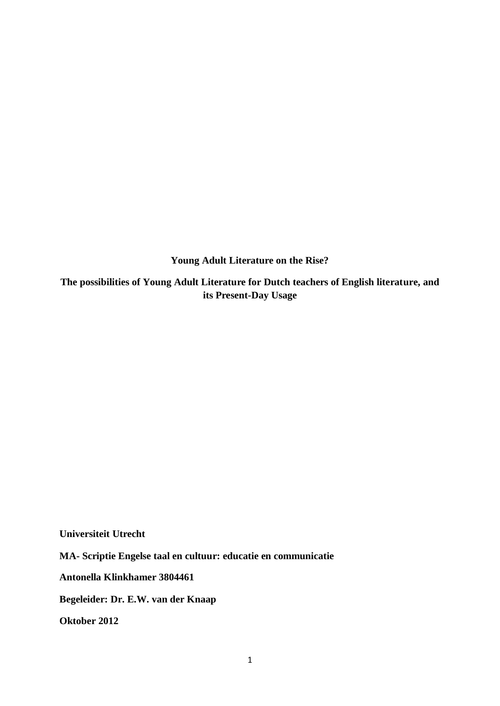**Young Adult Literature on the Rise?**

**The possibilities of Young Adult Literature for Dutch teachers of English literature, and its Present-Day Usage**

**Universiteit Utrecht**

**MA- Scriptie Engelse taal en cultuur: educatie en communicatie**

**Antonella Klinkhamer 3804461**

**Begeleider: Dr. E.W. van der Knaap**

**Oktober 2012**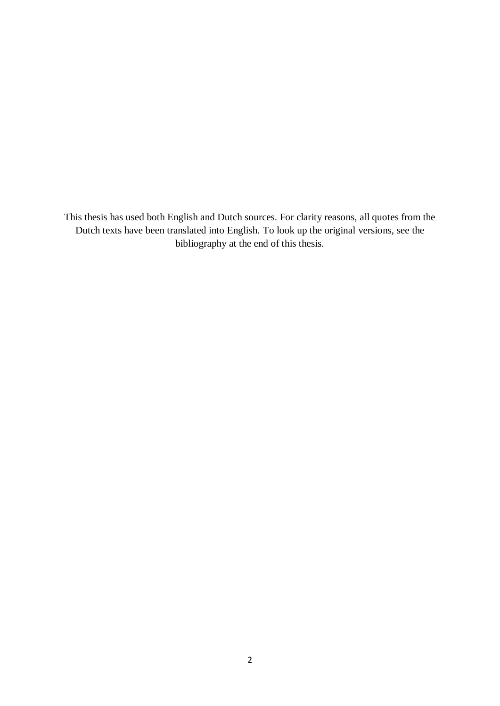This thesis has used both English and Dutch sources. For clarity reasons, all quotes from the Dutch texts have been translated into English. To look up the original versions, see the bibliography at the end of this thesis.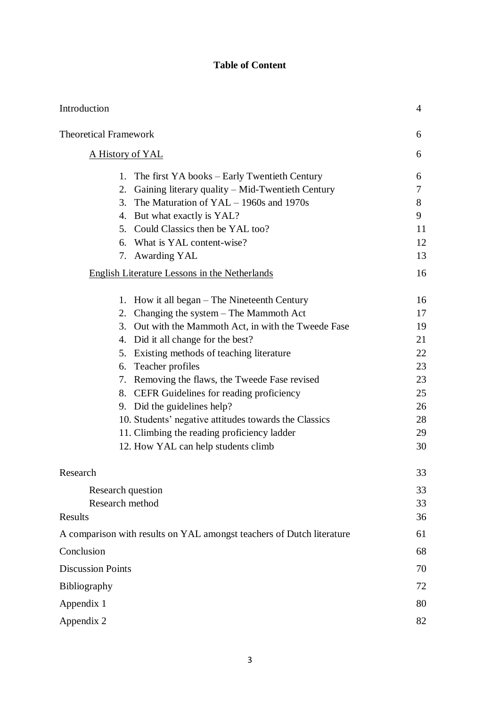# **Table of Content**

| Introduction                                                                                                                                                                                                                                                                                                                                                                                                                                                                                                                                         | 4                                                                    |
|------------------------------------------------------------------------------------------------------------------------------------------------------------------------------------------------------------------------------------------------------------------------------------------------------------------------------------------------------------------------------------------------------------------------------------------------------------------------------------------------------------------------------------------------------|----------------------------------------------------------------------|
| <b>Theoretical Framework</b>                                                                                                                                                                                                                                                                                                                                                                                                                                                                                                                         | 6                                                                    |
| A History of YAL                                                                                                                                                                                                                                                                                                                                                                                                                                                                                                                                     | 6                                                                    |
| The first YA books – Early Twentieth Century<br>1.<br>Gaining literary quality – Mid-Twentieth Century<br>2.<br>The Maturation of $YAL - 1960s$ and 1970s<br>3.<br>4. But what exactly is YAL?<br>5. Could Classics then be YAL too?<br>6. What is YAL content-wise?<br>7. Awarding YAL<br><b>English Literature Lessons in the Netherlands</b>                                                                                                                                                                                                      | 6<br>7<br>8<br>9<br>11<br>12<br>13<br>16                             |
| 1. How it all began – The Nineteenth Century<br>Changing the system $-$ The Mammoth Act<br>2.<br>3. Out with the Mammoth Act, in with the Tweede Fase<br>4. Did it all change for the best?<br>5. Existing methods of teaching literature<br>Teacher profiles<br>6.<br>7. Removing the flaws, the Tweede Fase revised<br>CEFR Guidelines for reading proficiency<br>8.<br>9. Did the guidelines help?<br>10. Students' negative attitudes towards the Classics<br>11. Climbing the reading proficiency ladder<br>12. How YAL can help students climb | 16<br>17<br>19<br>21<br>22<br>23<br>23<br>25<br>26<br>28<br>29<br>30 |
| Research                                                                                                                                                                                                                                                                                                                                                                                                                                                                                                                                             | 33                                                                   |
| Research question<br>Research method<br>Results                                                                                                                                                                                                                                                                                                                                                                                                                                                                                                      | 33<br>33<br>36                                                       |
| A comparison with results on YAL amongst teachers of Dutch literature                                                                                                                                                                                                                                                                                                                                                                                                                                                                                | 61                                                                   |
| Conclusion                                                                                                                                                                                                                                                                                                                                                                                                                                                                                                                                           | 68                                                                   |
| <b>Discussion Points</b>                                                                                                                                                                                                                                                                                                                                                                                                                                                                                                                             | 70                                                                   |
| Bibliography                                                                                                                                                                                                                                                                                                                                                                                                                                                                                                                                         | 72                                                                   |
| Appendix 1                                                                                                                                                                                                                                                                                                                                                                                                                                                                                                                                           | 80                                                                   |
| Appendix 2                                                                                                                                                                                                                                                                                                                                                                                                                                                                                                                                           | 82                                                                   |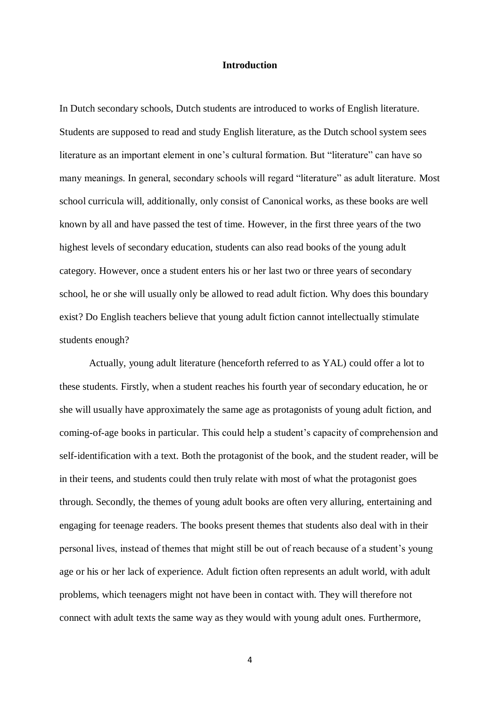# **Introduction**

In Dutch secondary schools, Dutch students are introduced to works of English literature. Students are supposed to read and study English literature, as the Dutch school system sees literature as an important element in one's cultural formation. But "literature" can have so many meanings. In general, secondary schools will regard "literature" as adult literature. Most school curricula will, additionally, only consist of Canonical works, as these books are well known by all and have passed the test of time. However, in the first three years of the two highest levels of secondary education, students can also read books of the young adult category. However, once a student enters his or her last two or three years of secondary school, he or she will usually only be allowed to read adult fiction. Why does this boundary exist? Do English teachers believe that young adult fiction cannot intellectually stimulate students enough?

Actually, young adult literature (henceforth referred to as YAL) could offer a lot to these students. Firstly, when a student reaches his fourth year of secondary education, he or she will usually have approximately the same age as protagonists of young adult fiction, and coming-of-age books in particular. This could help a student's capacity of comprehension and self-identification with a text. Both the protagonist of the book, and the student reader, will be in their teens, and students could then truly relate with most of what the protagonist goes through. Secondly, the themes of young adult books are often very alluring, entertaining and engaging for teenage readers. The books present themes that students also deal with in their personal lives, instead of themes that might still be out of reach because of a student's young age or his or her lack of experience. Adult fiction often represents an adult world, with adult problems, which teenagers might not have been in contact with. They will therefore not connect with adult texts the same way as they would with young adult ones. Furthermore,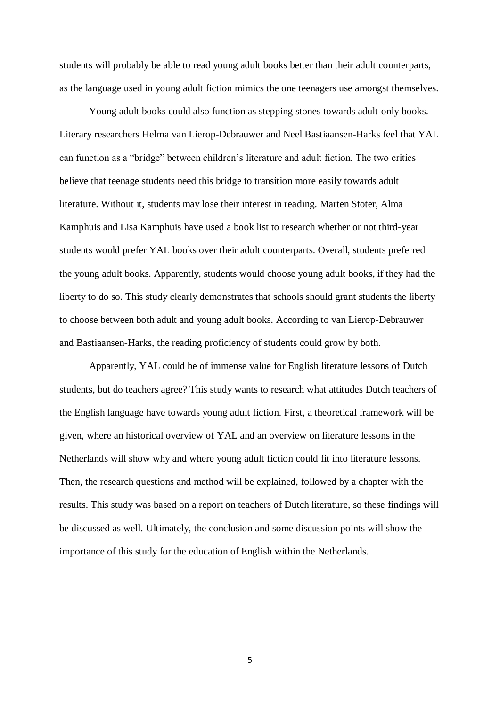students will probably be able to read young adult books better than their adult counterparts, as the language used in young adult fiction mimics the one teenagers use amongst themselves.

Young adult books could also function as stepping stones towards adult-only books. Literary researchers Helma van Lierop-Debrauwer and Neel Bastiaansen-Harks feel that YAL can function as a "bridge" between children's literature and adult fiction. The two critics believe that teenage students need this bridge to transition more easily towards adult literature. Without it, students may lose their interest in reading. Marten Stoter, Alma Kamphuis and Lisa Kamphuis have used a book list to research whether or not third-year students would prefer YAL books over their adult counterparts. Overall, students preferred the young adult books. Apparently, students would choose young adult books, if they had the liberty to do so. This study clearly demonstrates that schools should grant students the liberty to choose between both adult and young adult books. According to van Lierop-Debrauwer and Bastiaansen-Harks, the reading proficiency of students could grow by both.

Apparently, YAL could be of immense value for English literature lessons of Dutch students, but do teachers agree? This study wants to research what attitudes Dutch teachers of the English language have towards young adult fiction. First, a theoretical framework will be given, where an historical overview of YAL and an overview on literature lessons in the Netherlands will show why and where young adult fiction could fit into literature lessons. Then, the research questions and method will be explained, followed by a chapter with the results. This study was based on a report on teachers of Dutch literature, so these findings will be discussed as well. Ultimately, the conclusion and some discussion points will show the importance of this study for the education of English within the Netherlands.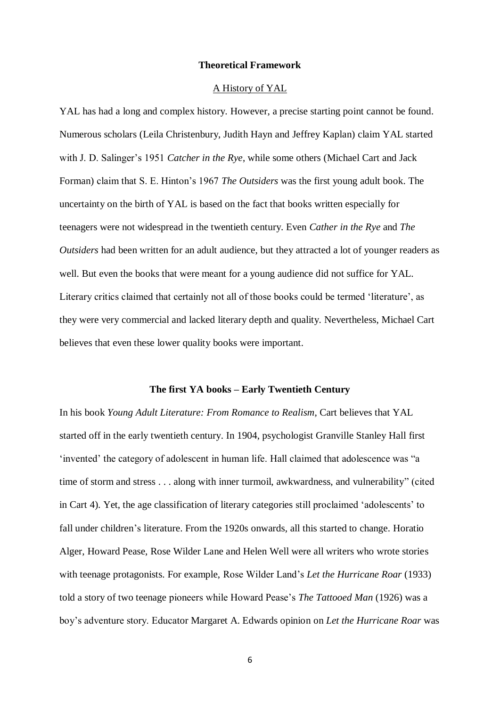# **Theoretical Framework**

#### A History of YAL

YAL has had a long and complex history. However, a precise starting point cannot be found. Numerous scholars (Leila Christenbury, Judith Hayn and Jeffrey Kaplan) claim YAL started with J. D. Salinger's 1951 *Catcher in the Rye*, while some others (Michael Cart and Jack Forman) claim that S. E. Hinton's 1967 *The Outsiders* was the first young adult book. The uncertainty on the birth of YAL is based on the fact that books written especially for teenagers were not widespread in the twentieth century. Even *Cather in the Rye* and *The Outsiders* had been written for an adult audience, but they attracted a lot of younger readers as well. But even the books that were meant for a young audience did not suffice for YAL. Literary critics claimed that certainly not all of those books could be termed 'literature', as they were very commercial and lacked literary depth and quality. Nevertheless, Michael Cart believes that even these lower quality books were important.

# **The first YA books – Early Twentieth Century**

In his book *Young Adult Literature: From Romance to Realism*, Cart believes that YAL started off in the early twentieth century. In 1904, psychologist Granville Stanley Hall first 'invented' the category of adolescent in human life. Hall claimed that adolescence was "a time of storm and stress . . . along with inner turmoil, awkwardness, and vulnerability" (cited in Cart 4). Yet, the age classification of literary categories still proclaimed 'adolescents' to fall under children's literature. From the 1920s onwards, all this started to change. Horatio Alger, Howard Pease, Rose Wilder Lane and Helen Well were all writers who wrote stories with teenage protagonists. For example, Rose Wilder Land's *Let the Hurricane Roar* (1933) told a story of two teenage pioneers while Howard Pease's *The Tattooed Man* (1926) was a boy's adventure story. Educator Margaret A. Edwards opinion on *Let the Hurricane Roar* was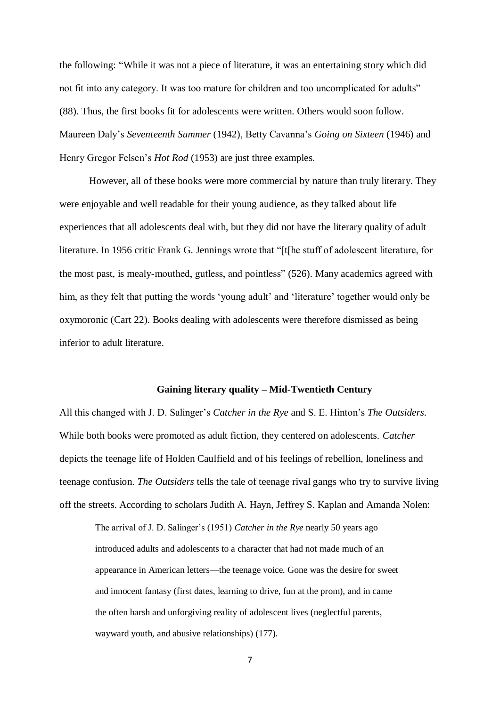the following: "While it was not a piece of literature, it was an entertaining story which did not fit into any category. It was too mature for children and too uncomplicated for adults" (88). Thus, the first books fit for adolescents were written. Others would soon follow. Maureen Daly's *Seventeenth Summer* (1942), Betty Cavanna's *Going on Sixteen* (1946) and Henry Gregor Felsen's *Hot Rod* (1953) are just three examples.

However, all of these books were more commercial by nature than truly literary. They were enjoyable and well readable for their young audience, as they talked about life experiences that all adolescents deal with, but they did not have the literary quality of adult literature. In 1956 critic Frank G. Jennings wrote that "[t[he stuff of adolescent literature, for the most past, is mealy-mouthed, gutless, and pointless" (526). Many academics agreed with him, as they felt that putting the words 'young adult' and 'literature' together would only be oxymoronic (Cart 22). Books dealing with adolescents were therefore dismissed as being inferior to adult literature.

# **Gaining literary quality – Mid-Twentieth Century**

All this changed with J. D. Salinger's *Catcher in the Rye* and S. E. Hinton's *The Outsiders*. While both books were promoted as adult fiction, they centered on adolescents. *Catcher* depicts the teenage life of Holden Caulfield and of his feelings of rebellion, loneliness and teenage confusion. *The Outsiders* tells the tale of teenage rival gangs who try to survive living off the streets. According to scholars Judith A. Hayn, Jeffrey S. Kaplan and Amanda Nolen:

The arrival of J. D. Salinger's (1951) *Catcher in the Rye* nearly 50 years ago introduced adults and adolescents to a character that had not made much of an appearance in American letters—the teenage voice. Gone was the desire for sweet and innocent fantasy (first dates, learning to drive, fun at the prom), and in came the often harsh and unforgiving reality of adolescent lives (neglectful parents, wayward youth, and abusive relationships) (177).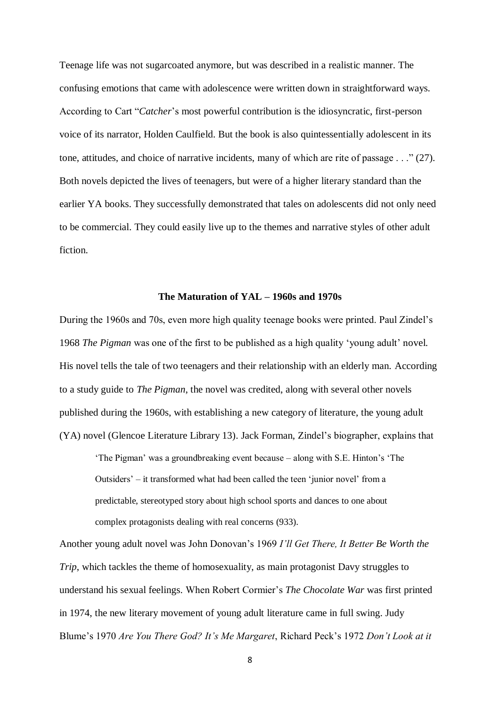Teenage life was not sugarcoated anymore, but was described in a realistic manner. The confusing emotions that came with adolescence were written down in straightforward ways. According to Cart "*Catcher*'s most powerful contribution is the idiosyncratic, first-person voice of its narrator, Holden Caulfield. But the book is also quintessentially adolescent in its tone, attitudes, and choice of narrative incidents, many of which are rite of passage . . ." (27). Both novels depicted the lives of teenagers, but were of a higher literary standard than the earlier YA books. They successfully demonstrated that tales on adolescents did not only need to be commercial. They could easily live up to the themes and narrative styles of other adult fiction.

#### **The Maturation of YAL – 1960s and 1970s**

During the 1960s and 70s, even more high quality teenage books were printed. Paul Zindel's 1968 *The Pigman* was one of the first to be published as a high quality 'young adult' novel. His novel tells the tale of two teenagers and their relationship with an elderly man. According to a study guide to *The Pigman*, the novel was credited, along with several other novels published during the 1960s, with establishing a new category of literature, the young adult (YA) novel (Glencoe Literature Library 13). Jack Forman, Zindel's biographer, explains that

'The Pigman' was a groundbreaking event because – along with S.E. Hinton's 'The Outsiders' – it transformed what had been called the teen 'junior novel' from a predictable, stereotyped story about high school sports and dances to one about complex protagonists dealing with real concerns (933).

Another young adult novel was John Donovan's 1969 *I'll Get There, It Better Be Worth the Trip*, which tackles the theme of homosexuality, as main protagonist Davy struggles to understand his sexual feelings. When Robert Cormier's *The Chocolate War* was first printed in 1974, the new literary movement of young adult literature came in full swing. Judy Blume's 1970 *Are You There God? It's Me Margaret*, Richard Peck's 1972 *Don't Look at it*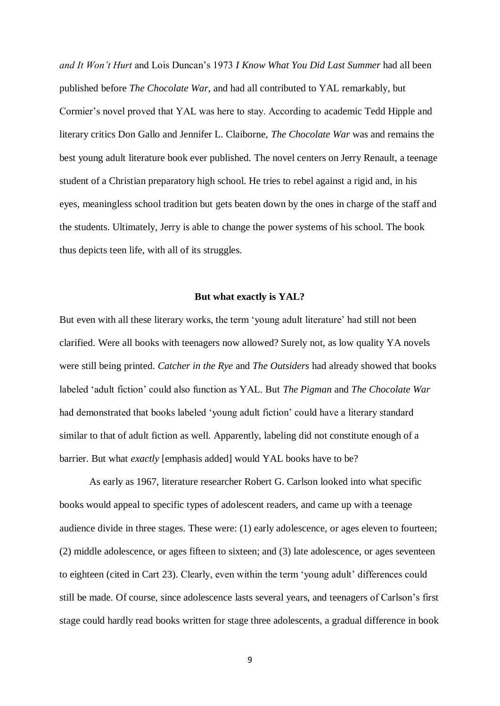*and It Won't Hurt* and Lois Duncan's 1973 *I Know What You Did Last Summer* had all been published before *The Chocolate War*, and had all contributed to YAL remarkably, but Cormier's novel proved that YAL was here to stay. According to academic Tedd Hipple and literary critics Don Gallo and Jennifer L. Claiborne, *The Chocolate War* was and remains the best young adult literature book ever published. The novel centers on Jerry Renault, a teenage student of a Christian preparatory high school. He tries to rebel against a rigid and, in his eyes, meaningless school tradition but gets beaten down by the ones in charge of the staff and the students. Ultimately, Jerry is able to change the power systems of his school. The book thus depicts teen life, with all of its struggles.

#### **But what exactly is YAL?**

But even with all these literary works, the term 'young adult literature' had still not been clarified. Were all books with teenagers now allowed? Surely not, as low quality YA novels were still being printed. *Catcher in the Rye* and *The Outsiders* had already showed that books labeled 'adult fiction' could also function as YAL. But *The Pigman* and *The Chocolate War* had demonstrated that books labeled 'young adult fiction' could have a literary standard similar to that of adult fiction as well. Apparently, labeling did not constitute enough of a barrier. But what *exactly* [emphasis added] would YAL books have to be?

As early as 1967, literature researcher Robert G. Carlson looked into what specific books would appeal to specific types of adolescent readers, and came up with a teenage audience divide in three stages. These were: (1) early adolescence, or ages eleven to fourteen; (2) middle adolescence, or ages fifteen to sixteen; and (3) late adolescence, or ages seventeen to eighteen (cited in Cart 23). Clearly, even within the term 'young adult' differences could still be made. Of course, since adolescence lasts several years, and teenagers of Carlson's first stage could hardly read books written for stage three adolescents, a gradual difference in book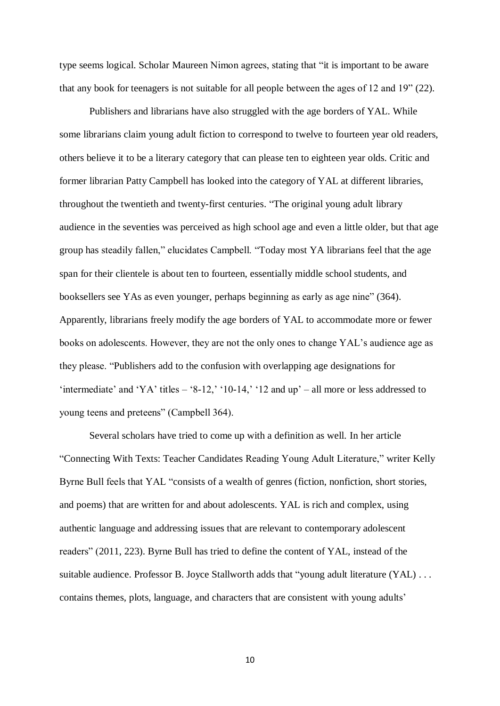type seems logical. Scholar Maureen Nimon agrees, stating that "it is important to be aware that any book for teenagers is not suitable for all people between the ages of 12 and 19" (22).

Publishers and librarians have also struggled with the age borders of YAL. While some librarians claim young adult fiction to correspond to twelve to fourteen year old readers, others believe it to be a literary category that can please ten to eighteen year olds. Critic and former librarian Patty Campbell has looked into the category of YAL at different libraries, throughout the twentieth and twenty-first centuries. "The original young adult library audience in the seventies was perceived as high school age and even a little older, but that age group has steadily fallen," elucidates Campbell. "Today most YA librarians feel that the age span for their clientele is about ten to fourteen, essentially middle school students, and booksellers see YAs as even younger, perhaps beginning as early as age nine" (364). Apparently, librarians freely modify the age borders of YAL to accommodate more or fewer books on adolescents. However, they are not the only ones to change YAL's audience age as they please. "Publishers add to the confusion with overlapping age designations for 'intermediate' and 'YA' titles  $-$  '8-12,' '10-14,' '12 and up' – all more or less addressed to young teens and preteens" (Campbell 364).

Several scholars have tried to come up with a definition as well. In her article "Connecting With Texts: Teacher Candidates Reading Young Adult Literature," writer Kelly Byrne Bull feels that YAL "consists of a wealth of genres (fiction, nonfiction, short stories, and poems) that are written for and about adolescents. YAL is rich and complex, using authentic language and addressing issues that are relevant to contemporary adolescent readers" (2011, 223). Byrne Bull has tried to define the content of YAL, instead of the suitable audience. Professor B. Joyce Stallworth adds that "young adult literature (YAL) . . . contains themes, plots, language, and characters that are consistent with young adults'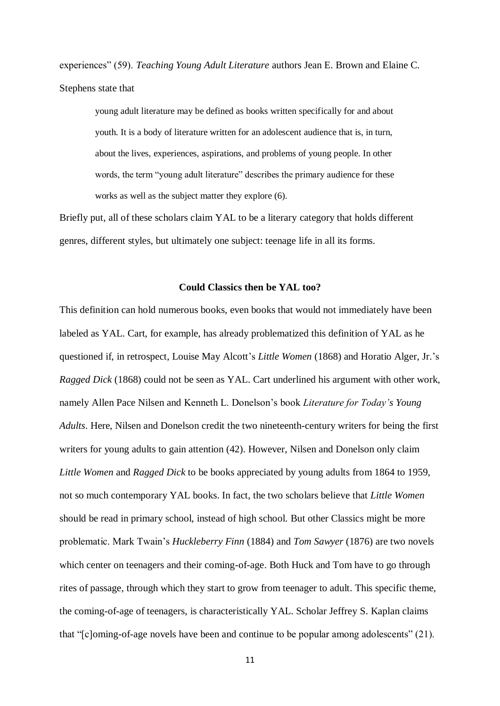experiences" (59). *Teaching Young Adult Literature* authors Jean E. Brown and Elaine C. Stephens state that

young adult literature may be defined as books written specifically for and about youth. It is a body of literature written for an adolescent audience that is, in turn, about the lives, experiences, aspirations, and problems of young people. In other words, the term "young adult literature" describes the primary audience for these works as well as the subject matter they explore (6).

Briefly put, all of these scholars claim YAL to be a literary category that holds different genres, different styles, but ultimately one subject: teenage life in all its forms.

#### **Could Classics then be YAL too?**

This definition can hold numerous books, even books that would not immediately have been labeled as YAL. Cart, for example, has already problematized this definition of YAL as he questioned if, in retrospect, Louise May Alcott's *Little Women* (1868) and Horatio Alger, Jr.'s *Ragged Dick* (1868) could not be seen as YAL. Cart underlined his argument with other work, namely Allen Pace Nilsen and Kenneth L. Donelson's book *Literature for Today's Young Adults*. Here, Nilsen and Donelson credit the two nineteenth-century writers for being the first writers for young adults to gain attention (42). However, Nilsen and Donelson only claim *Little Women* and *Ragged Dick* to be books appreciated by young adults from 1864 to 1959, not so much contemporary YAL books. In fact, the two scholars believe that *Little Women* should be read in primary school, instead of high school. But other Classics might be more problematic. Mark Twain's *Huckleberry Finn* (1884) and *Tom Sawyer* (1876) are two novels which center on teenagers and their coming-of-age. Both Huck and Tom have to go through rites of passage, through which they start to grow from teenager to adult. This specific theme, the coming-of-age of teenagers, is characteristically YAL. Scholar Jeffrey S. Kaplan claims that "[c]oming-of-age novels have been and continue to be popular among adolescents" (21).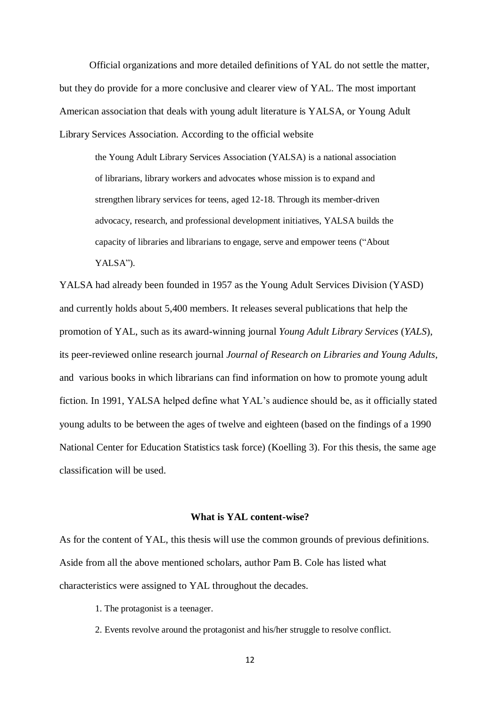Official organizations and more detailed definitions of YAL do not settle the matter, but they do provide for a more conclusive and clearer view of YAL. The most important American association that deals with young adult literature is YALSA, or Young Adult Library Services Association. According to the official website

the Young Adult Library Services Association (YALSA) is a national association of librarians, library workers and advocates whose mission is to expand and strengthen library services for teens, aged 12-18. Through its member-driven advocacy, research, and professional development initiatives, YALSA builds the capacity of libraries and librarians to engage, serve and empower teens ("About YALSA").

YALSA had already been founded in 1957 as the Young Adult Services Division (YASD) and currently holds about 5,400 members. It releases several publications that help the promotion of YAL, such as its award-winning journal *Young Adult Library Services* (*YALS*), its peer-reviewed online research journal *Journal of Research on Libraries and Young Adults*, and various books in which librarians can find information on how to promote young adult fiction. In 1991, YALSA helped define what YAL's audience should be, as it officially stated young adults to be between the ages of twelve and eighteen (based on the findings of a 1990 National Center for Education Statistics task force) (Koelling 3). For this thesis, the same age classification will be used.

## **What is YAL content-wise?**

As for the content of YAL, this thesis will use the common grounds of previous definitions. Aside from all the above mentioned scholars, author Pam B. Cole has listed what characteristics were assigned to YAL throughout the decades.

- 1. The protagonist is a teenager.
- 2. Events revolve around the protagonist and his/her struggle to resolve conflict.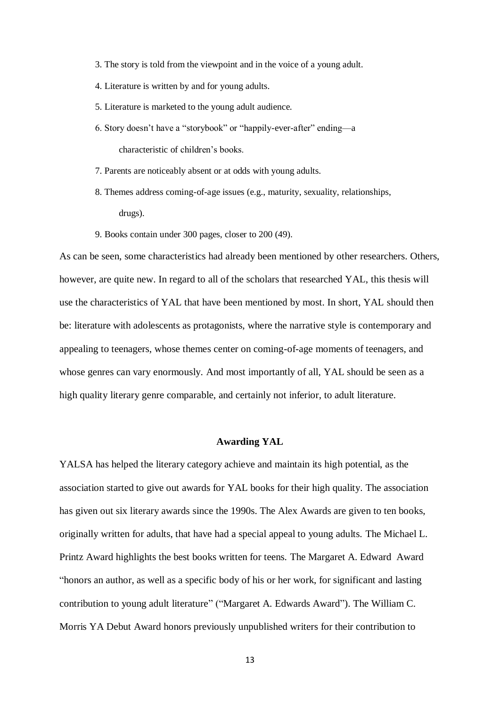- 3. The story is told from the viewpoint and in the voice of a young adult.
- 4. Literature is written by and for young adults.
- 5. Literature is marketed to the young adult audience.
- 6. Story doesn't have a "storybook" or "happily-ever-after" ending—a characteristic of children's books.
- 7. Parents are noticeably absent or at odds with young adults.
- 8. Themes address coming-of-age issues (e.g., maturity, sexuality, relationships, drugs).
- 9. Books contain under 300 pages, closer to 200 (49).

As can be seen, some characteristics had already been mentioned by other researchers. Others, however, are quite new. In regard to all of the scholars that researched YAL, this thesis will use the characteristics of YAL that have been mentioned by most. In short, YAL should then be: literature with adolescents as protagonists, where the narrative style is contemporary and appealing to teenagers, whose themes center on coming-of-age moments of teenagers, and whose genres can vary enormously. And most importantly of all, YAL should be seen as a high quality literary genre comparable, and certainly not inferior, to adult literature.

## **Awarding YAL**

YALSA has helped the literary category achieve and maintain its high potential, as the association started to give out awards for YAL books for their high quality. The association has given out six literary awards since the 1990s. The Alex Awards are given to ten books, originally written for adults, that have had a special appeal to young adults. The Michael L. Printz Award highlights the best books written for teens. The Margaret A. Edward Award "honors an author, as well as a specific body of his or her work, for significant and lasting contribution to young adult literature" ("Margaret A. Edwards Award"). The William C. Morris YA Debut Award honors previously unpublished writers for their contribution to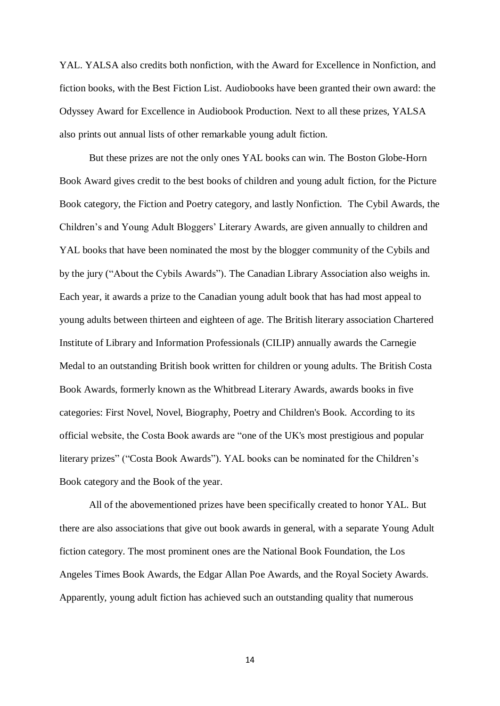YAL. YALSA also credits both nonfiction, with the Award for Excellence in Nonfiction, and fiction books, with the Best Fiction List. Audiobooks have been granted their own award: the Odyssey Award for Excellence in Audiobook Production. Next to all these prizes, YALSA also prints out annual lists of other remarkable young adult fiction.

But these prizes are not the only ones YAL books can win. The Boston Globe-Horn Book Award gives credit to the best books of children and young adult fiction, for the Picture Book category, the Fiction and Poetry category, and lastly Nonfiction. The Cybil Awards, the Children's and Young Adult Bloggers' Literary Awards, are given annually to children and YAL books that have been nominated the most by the blogger community of the Cybils and by the jury ("About the Cybils Awards"). The Canadian Library Association also weighs in. Each year, it awards a prize to the Canadian young adult book that has had most appeal to young adults between thirteen and eighteen of age. The British literary association Chartered Institute of Library and Information Professionals (CILIP) annually awards the Carnegie Medal to an outstanding British book written for children or young adults. The British Costa Book Awards, formerly known as the Whitbread Literary Awards, awards books in five categories: First Novel, Novel, Biography, Poetry and Children's Book. According to its official website, the Costa Book awards are "one of the UK's most prestigious and popular literary prizes" ("Costa Book Awards"). YAL books can be nominated for the Children's Book category and the Book of the year.

All of the abovementioned prizes have been specifically created to honor YAL. But there are also associations that give out book awards in general, with a separate Young Adult fiction category. The most prominent ones are the National Book Foundation, the Los Angeles Times Book Awards, the Edgar Allan Poe Awards, and the Royal Society Awards. Apparently, young adult fiction has achieved such an outstanding quality that numerous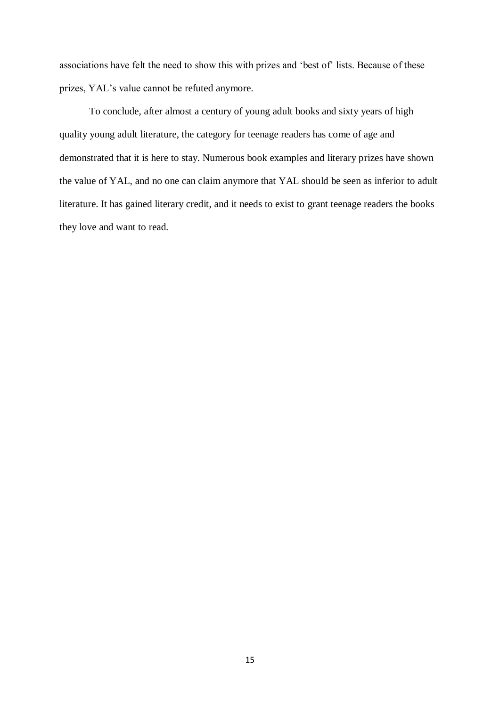associations have felt the need to show this with prizes and 'best of' lists. Because of these prizes, YAL's value cannot be refuted anymore.

To conclude, after almost a century of young adult books and sixty years of high quality young adult literature, the category for teenage readers has come of age and demonstrated that it is here to stay. Numerous book examples and literary prizes have shown the value of YAL, and no one can claim anymore that YAL should be seen as inferior to adult literature. It has gained literary credit, and it needs to exist to grant teenage readers the books they love and want to read.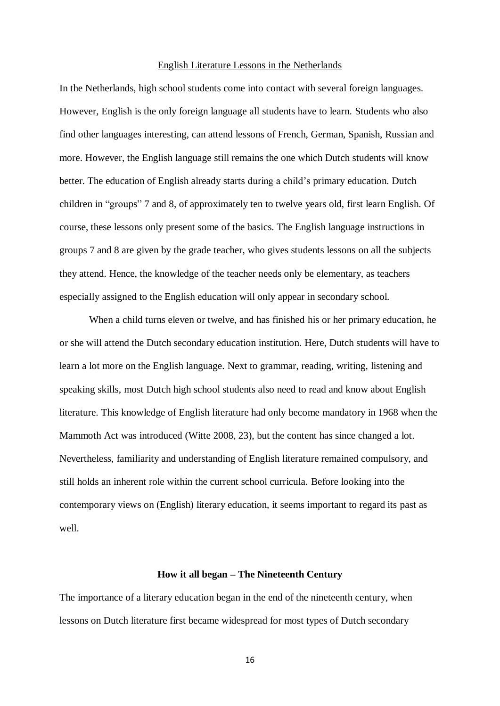# English Literature Lessons in the Netherlands

In the Netherlands, high school students come into contact with several foreign languages. However, English is the only foreign language all students have to learn. Students who also find other languages interesting, can attend lessons of French, German, Spanish, Russian and more. However, the English language still remains the one which Dutch students will know better. The education of English already starts during a child's primary education. Dutch children in "groups" 7 and 8, of approximately ten to twelve years old, first learn English. Of course, these lessons only present some of the basics. The English language instructions in groups 7 and 8 are given by the grade teacher, who gives students lessons on all the subjects they attend. Hence, the knowledge of the teacher needs only be elementary, as teachers especially assigned to the English education will only appear in secondary school.

When a child turns eleven or twelve, and has finished his or her primary education, he or she will attend the Dutch secondary education institution. Here, Dutch students will have to learn a lot more on the English language. Next to grammar, reading, writing, listening and speaking skills, most Dutch high school students also need to read and know about English literature. This knowledge of English literature had only become mandatory in 1968 when the Mammoth Act was introduced (Witte 2008, 23), but the content has since changed a lot. Nevertheless, familiarity and understanding of English literature remained compulsory, and still holds an inherent role within the current school curricula. Before looking into the contemporary views on (English) literary education, it seems important to regard its past as well.

## **How it all began – The Nineteenth Century**

The importance of a literary education began in the end of the nineteenth century, when lessons on Dutch literature first became widespread for most types of Dutch secondary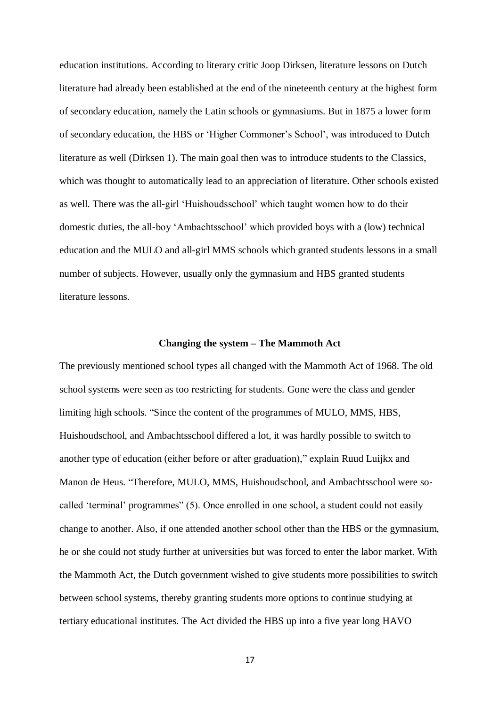education institutions. According to literary critic Joop Dirksen, literature lessons on Dutch literature had already been established at the end of the nineteenth century at the highest form of secondary education, namely the Latin schools or gymnasiums. But in 1875 a lower form of secondary education, the HBS or 'Higher Commoner's School', was introduced to Dutch literature as well (Dirksen 1). The main goal then was to introduce students to the Classics, which was thought to automatically lead to an appreciation of literature. Other schools existed as well. There was the all-girl 'Huishoudsschool' which taught women how to do their domestic duties, the all-boy 'Ambachtsschool' which provided boys with a (low) technical education and the MULO and all-girl MMS schools which granted students lessons in a small number of subjects. However, usually only the gymnasium and HBS granted students literature lessons.

## **Changing the system – The Mammoth Act**

The previously mentioned school types all changed with the Mammoth Act of 1968. The old school systems were seen as too restricting for students. Gone were the class and gender limiting high schools. "Since the content of the programmes of MULO, MMS, HBS, Huishoudschool, and Ambachtsschool differed a lot, it was hardly possible to switch to another type of education (either before or after graduation)," explain Ruud Luijkx and Manon de Heus. "Therefore, MULO, MMS, Huishoudschool, and Ambachtsschool were socalled 'terminal' programmes" (5). Once enrolled in one school, a student could not easily change to another. Also, if one attended another school other than the HBS or the gymnasium, he or she could not study further at universities but was forced to enter the labor market. With the Mammoth Act, the Dutch government wished to give students more possibilities to switch between school systems, thereby granting students more options to continue studying at tertiary educational institutes. The Act divided the HBS up into a five year long HAVO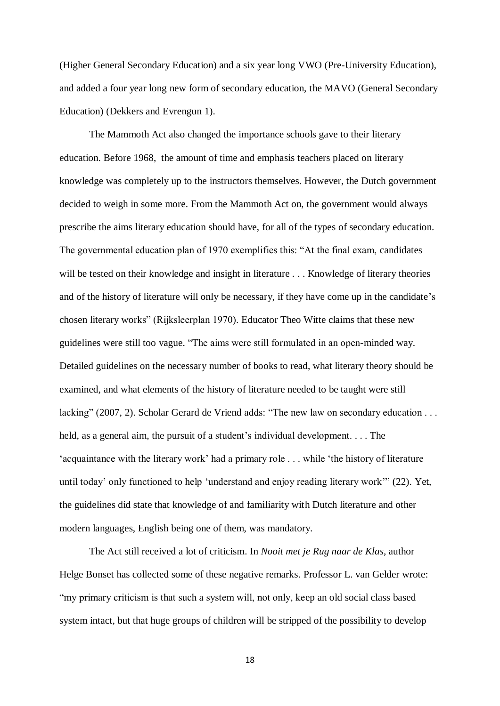(Higher General Secondary Education) and a six year long VWO (Pre-University Education), and added a four year long new form of secondary education, the MAVO (General Secondary Education) (Dekkers and Evrengun 1).

The Mammoth Act also changed the importance schools gave to their literary education. Before 1968, the amount of time and emphasis teachers placed on literary knowledge was completely up to the instructors themselves. However, the Dutch government decided to weigh in some more. From the Mammoth Act on, the government would always prescribe the aims literary education should have, for all of the types of secondary education. The governmental education plan of 1970 exemplifies this: "At the final exam, candidates will be tested on their knowledge and insight in literature . . . Knowledge of literary theories and of the history of literature will only be necessary, if they have come up in the candidate's chosen literary works" (Rijksleerplan 1970). Educator Theo Witte claims that these new guidelines were still too vague. "The aims were still formulated in an open-minded way. Detailed guidelines on the necessary number of books to read, what literary theory should be examined, and what elements of the history of literature needed to be taught were still lacking" (2007, 2). Scholar Gerard de Vriend adds: "The new law on secondary education . . . held, as a general aim, the pursuit of a student's individual development. . . . The 'acquaintance with the literary work' had a primary role . . . while 'the history of literature until today' only functioned to help 'understand and enjoy reading literary work'" (22). Yet, the guidelines did state that knowledge of and familiarity with Dutch literature and other modern languages, English being one of them, was mandatory.

The Act still received a lot of criticism. In *Nooit met je Rug naar de Klas*, author Helge Bonset has collected some of these negative remarks. Professor L. van Gelder wrote: "my primary criticism is that such a system will, not only, keep an old social class based system intact, but that huge groups of children will be stripped of the possibility to develop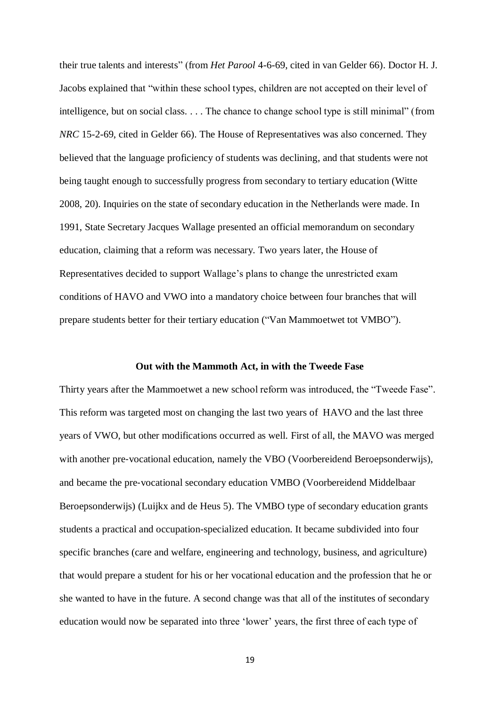their true talents and interests" (from *Het Parool* 4-6-69, cited in van Gelder 66). Doctor H. J. Jacobs explained that "within these school types, children are not accepted on their level of intelligence, but on social class. . . . The chance to change school type is still minimal" (from *NRC* 15-2-69, cited in Gelder 66). The House of Representatives was also concerned. They believed that the language proficiency of students was declining, and that students were not being taught enough to successfully progress from secondary to tertiary education (Witte 2008, 20). Inquiries on the state of secondary education in the Netherlands were made. In 1991, State Secretary Jacques Wallage presented an official memorandum on secondary education, claiming that a reform was necessary. Two years later, the House of Representatives decided to support Wallage's plans to change the unrestricted exam conditions of HAVO and VWO into a mandatory choice between four branches that will prepare students better for their tertiary education ("Van Mammoetwet tot VMBO").

## **Out with the Mammoth Act, in with the Tweede Fase**

Thirty years after the Mammoetwet a new school reform was introduced, the "Tweede Fase". This reform was targeted most on changing the last two years of HAVO and the last three years of VWO, but other modifications occurred as well. First of all, the MAVO was merged with another pre-vocational education, namely the VBO (Voorbereidend Beroepsonderwijs), and became the pre‐vocational secondary education VMBO (Voorbereidend Middelbaar Beroepsonderwijs) (Luijkx and de Heus 5). The VMBO type of secondary education grants students a practical and occupation-specialized education. It became subdivided into four specific branches (care and welfare, engineering and technology, business, and agriculture) that would prepare a student for his or her vocational education and the profession that he or she wanted to have in the future. A second change was that all of the institutes of secondary education would now be separated into three 'lower' years, the first three of each type of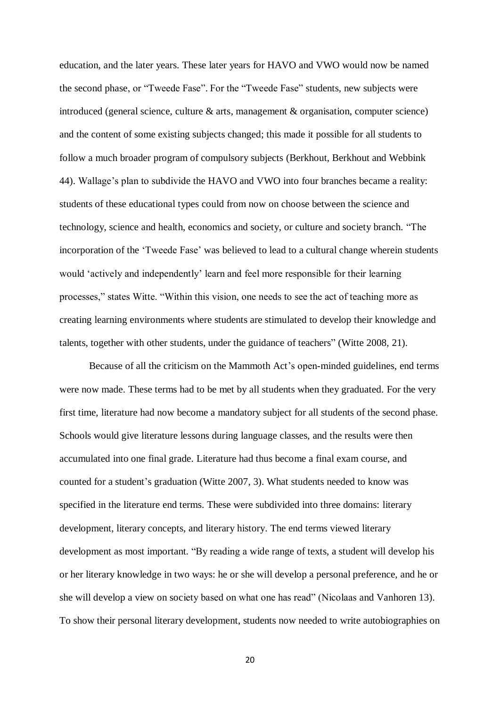education, and the later years. These later years for HAVO and VWO would now be named the second phase, or "Tweede Fase". For the "Tweede Fase" students, new subjects were introduced (general science, culture & arts, management & organisation, computer science) and the content of some existing subjects changed; this made it possible for all students to follow a much broader program of compulsory subjects (Berkhout, Berkhout and Webbink 44). Wallage's plan to subdivide the HAVO and VWO into four branches became a reality: students of these educational types could from now on choose between the science and technology, science and health, economics and society, or culture and society branch. "The incorporation of the 'Tweede Fase' was believed to lead to a cultural change wherein students would 'actively and independently' learn and feel more responsible for their learning processes," states Witte. "Within this vision, one needs to see the act of teaching more as creating learning environments where students are stimulated to develop their knowledge and talents, together with other students, under the guidance of teachers" (Witte 2008, 21).

Because of all the criticism on the Mammoth Act's open-minded guidelines, end terms were now made. These terms had to be met by all students when they graduated. For the very first time, literature had now become a mandatory subject for all students of the second phase. Schools would give literature lessons during language classes, and the results were then accumulated into one final grade. Literature had thus become a final exam course, and counted for a student's graduation (Witte 2007, 3). What students needed to know was specified in the literature end terms. These were subdivided into three domains: literary development, literary concepts, and literary history. The end terms viewed literary development as most important. "By reading a wide range of texts, a student will develop his or her literary knowledge in two ways: he or she will develop a personal preference, and he or she will develop a view on society based on what one has read" (Nicolaas and Vanhoren 13). To show their personal literary development, students now needed to write autobiographies on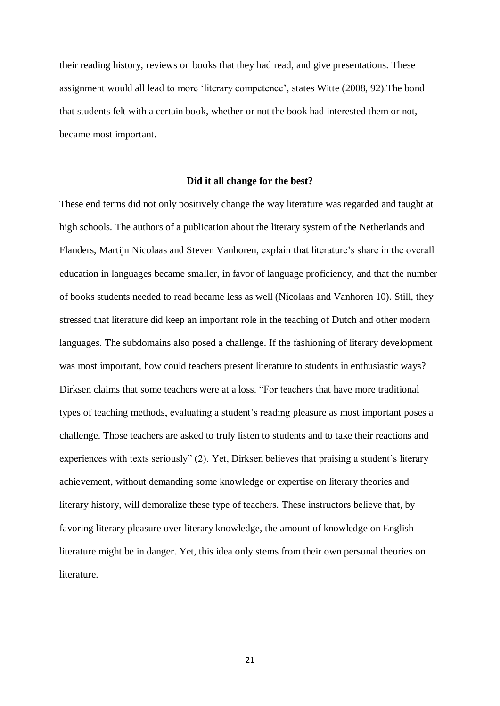their reading history, reviews on books that they had read, and give presentations. These assignment would all lead to more 'literary competence', states Witte (2008, 92).The bond that students felt with a certain book, whether or not the book had interested them or not, became most important.

#### **Did it all change for the best?**

These end terms did not only positively change the way literature was regarded and taught at high schools. The authors of a publication about the literary system of the Netherlands and Flanders, Martijn Nicolaas and Steven Vanhoren, explain that literature's share in the overall education in languages became smaller, in favor of language proficiency, and that the number of books students needed to read became less as well (Nicolaas and Vanhoren 10). Still, they stressed that literature did keep an important role in the teaching of Dutch and other modern languages. The subdomains also posed a challenge. If the fashioning of literary development was most important, how could teachers present literature to students in enthusiastic ways? Dirksen claims that some teachers were at a loss. "For teachers that have more traditional types of teaching methods, evaluating a student's reading pleasure as most important poses a challenge. Those teachers are asked to truly listen to students and to take their reactions and experiences with texts seriously" (2). Yet, Dirksen believes that praising a student's literary achievement, without demanding some knowledge or expertise on literary theories and literary history, will demoralize these type of teachers. These instructors believe that, by favoring literary pleasure over literary knowledge, the amount of knowledge on English literature might be in danger. Yet, this idea only stems from their own personal theories on literature.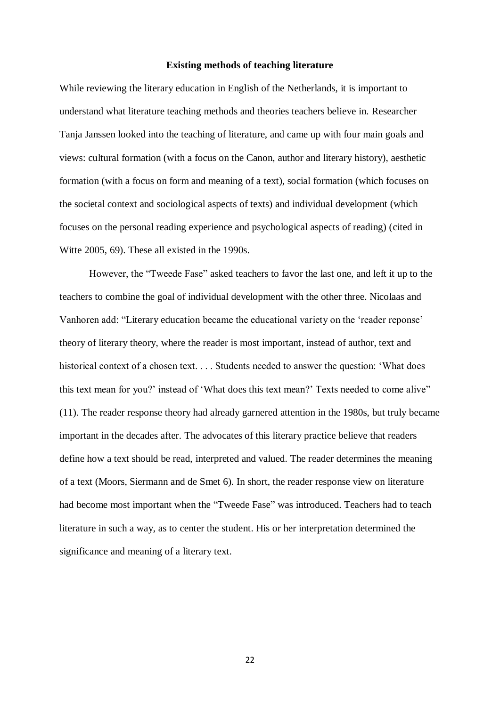## **Existing methods of teaching literature**

While reviewing the literary education in English of the Netherlands, it is important to understand what literature teaching methods and theories teachers believe in. Researcher Tanja Janssen looked into the teaching of literature, and came up with four main goals and views: cultural formation (with a focus on the Canon, author and literary history), aesthetic formation (with a focus on form and meaning of a text), social formation (which focuses on the societal context and sociological aspects of texts) and individual development (which focuses on the personal reading experience and psychological aspects of reading) (cited in Witte 2005, 69). These all existed in the 1990s.

However, the "Tweede Fase" asked teachers to favor the last one, and left it up to the teachers to combine the goal of individual development with the other three. Nicolaas and Vanhoren add: "Literary education became the educational variety on the 'reader reponse' theory of literary theory, where the reader is most important, instead of author, text and historical context of a chosen text. . . . Students needed to answer the question: 'What does this text mean for you?' instead of 'What does this text mean?' Texts needed to come alive" (11). The reader response theory had already garnered attention in the 1980s, but truly became important in the decades after. The advocates of this literary practice believe that readers define how a text should be read, interpreted and valued. The reader determines the meaning of a text (Moors, Siermann and de Smet 6). In short, the reader response view on literature had become most important when the "Tweede Fase" was introduced. Teachers had to teach literature in such a way, as to center the student. His or her interpretation determined the significance and meaning of a literary text.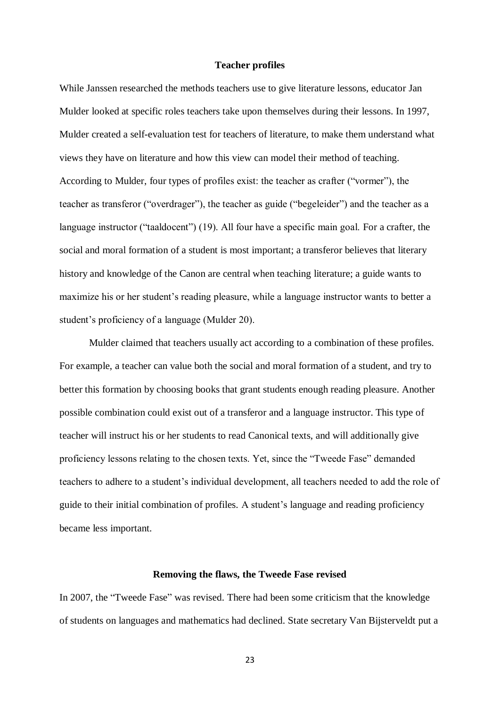## **Teacher profiles**

While Janssen researched the methods teachers use to give literature lessons, educator Jan Mulder looked at specific roles teachers take upon themselves during their lessons. In 1997, Mulder created a self-evaluation test for teachers of literature, to make them understand what views they have on literature and how this view can model their method of teaching. According to Mulder, four types of profiles exist: the teacher as crafter ("vormer"), the teacher as transferor ("overdrager"), the teacher as guide ("begeleider") and the teacher as a language instructor ("taaldocent") (19). All four have a specific main goal. For a crafter, the social and moral formation of a student is most important; a transferor believes that literary history and knowledge of the Canon are central when teaching literature; a guide wants to maximize his or her student's reading pleasure, while a language instructor wants to better a student's proficiency of a language (Mulder 20).

Mulder claimed that teachers usually act according to a combination of these profiles. For example, a teacher can value both the social and moral formation of a student, and try to better this formation by choosing books that grant students enough reading pleasure. Another possible combination could exist out of a transferor and a language instructor. This type of teacher will instruct his or her students to read Canonical texts, and will additionally give proficiency lessons relating to the chosen texts. Yet, since the "Tweede Fase" demanded teachers to adhere to a student's individual development, all teachers needed to add the role of guide to their initial combination of profiles. A student's language and reading proficiency became less important.

## **Removing the flaws, the Tweede Fase revised**

In 2007, the "Tweede Fase" was revised. There had been some criticism that the knowledge of students on languages and mathematics had declined. State secretary Van Bijsterveldt put a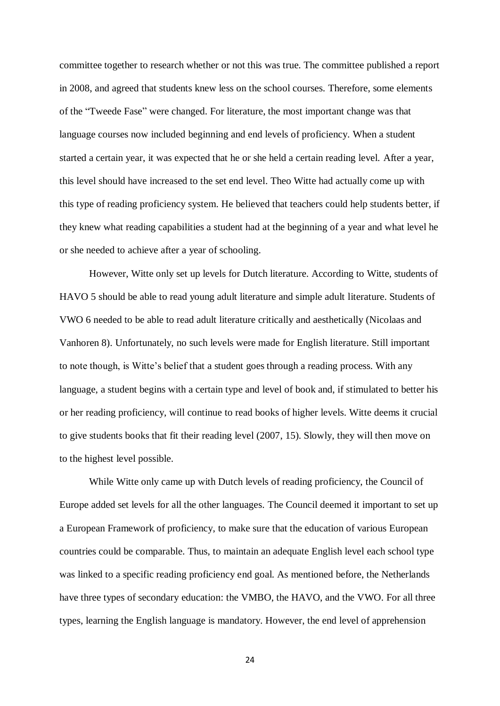committee together to research whether or not this was true. The committee published a report in 2008, and agreed that students knew less on the school courses. Therefore, some elements of the "Tweede Fase" were changed. For literature, the most important change was that language courses now included beginning and end levels of proficiency. When a student started a certain year, it was expected that he or she held a certain reading level. After a year, this level should have increased to the set end level. Theo Witte had actually come up with this type of reading proficiency system. He believed that teachers could help students better, if they knew what reading capabilities a student had at the beginning of a year and what level he or she needed to achieve after a year of schooling.

However, Witte only set up levels for Dutch literature. According to Witte, students of HAVO 5 should be able to read young adult literature and simple adult literature. Students of VWO 6 needed to be able to read adult literature critically and aesthetically (Nicolaas and Vanhoren 8). Unfortunately, no such levels were made for English literature. Still important to note though, is Witte's belief that a student goes through a reading process. With any language, a student begins with a certain type and level of book and, if stimulated to better his or her reading proficiency, will continue to read books of higher levels. Witte deems it crucial to give students books that fit their reading level (2007, 15). Slowly, they will then move on to the highest level possible.

While Witte only came up with Dutch levels of reading proficiency, the Council of Europe added set levels for all the other languages. The Council deemed it important to set up a European Framework of proficiency, to make sure that the education of various European countries could be comparable. Thus, to maintain an adequate English level each school type was linked to a specific reading proficiency end goal. As mentioned before, the Netherlands have three types of secondary education: the VMBO, the HAVO, and the VWO. For all three types, learning the English language is mandatory. However, the end level of apprehension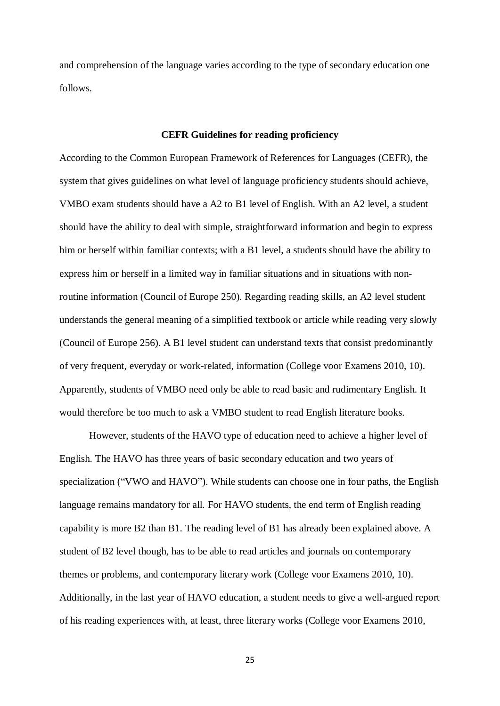and comprehension of the language varies according to the type of secondary education one follows.

# **CEFR Guidelines for reading proficiency**

According to the Common European Framework of References for Languages (CEFR), the system that gives guidelines on what level of language proficiency students should achieve, VMBO exam students should have a A2 to B1 level of English. With an A2 level, a student should have the ability to deal with simple, straightforward information and begin to express him or herself within familiar contexts; with a B1 level, a students should have the ability to express him or herself in a limited way in familiar situations and in situations with nonroutine information (Council of Europe 250). Regarding reading skills, an A2 level student understands the general meaning of a simplified textbook or article while reading very slowly (Council of Europe 256). A B1 level student can understand texts that consist predominantly of very frequent, everyday or work-related, information (College voor Examens 2010, 10). Apparently, students of VMBO need only be able to read basic and rudimentary English. It would therefore be too much to ask a VMBO student to read English literature books.

However, students of the HAVO type of education need to achieve a higher level of English. The HAVO has three years of basic secondary education and two years of specialization ("VWO and HAVO"). While students can choose one in four paths, the English language remains mandatory for all. For HAVO students, the end term of English reading capability is more B2 than B1. The reading level of B1 has already been explained above. A student of B2 level though, has to be able to read articles and journals on contemporary themes or problems, and contemporary literary work (College voor Examens 2010, 10). Additionally, in the last year of HAVO education, a student needs to give a well-argued report of his reading experiences with, at least, three literary works (College voor Examens 2010,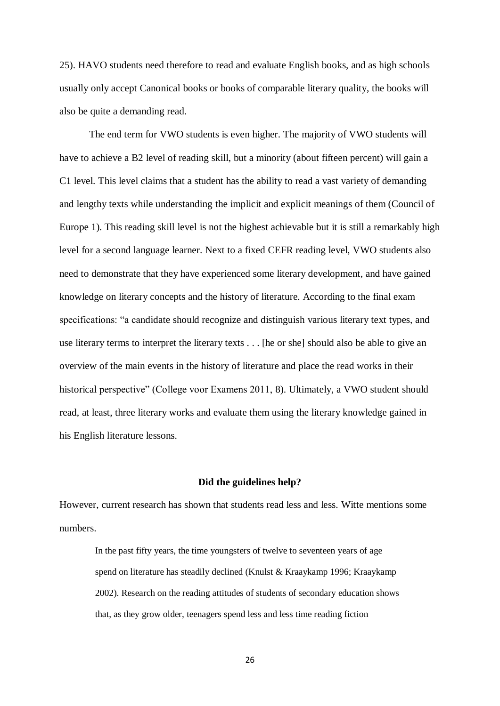25). HAVO students need therefore to read and evaluate English books, and as high schools usually only accept Canonical books or books of comparable literary quality, the books will also be quite a demanding read.

The end term for VWO students is even higher. The majority of VWO students will have to achieve a B2 level of reading skill, but a minority (about fifteen percent) will gain a C1 level. This level claims that a student has the ability to read a vast variety of demanding and lengthy texts while understanding the implicit and explicit meanings of them (Council of Europe 1). This reading skill level is not the highest achievable but it is still a remarkably high level for a second language learner. Next to a fixed CEFR reading level, VWO students also need to demonstrate that they have experienced some literary development, and have gained knowledge on literary concepts and the history of literature. According to the final exam specifications: "a candidate should recognize and distinguish various literary text types, and use literary terms to interpret the literary texts . . . [he or she] should also be able to give an overview of the main events in the history of literature and place the read works in their historical perspective" (College voor Examens 2011, 8). Ultimately, a VWO student should read, at least, three literary works and evaluate them using the literary knowledge gained in his English literature lessons.

#### **Did the guidelines help?**

However, current research has shown that students read less and less. Witte mentions some numbers.

In the past fifty years, the time youngsters of twelve to seventeen years of age spend on literature has steadily declined (Knulst & Kraaykamp 1996; Kraaykamp 2002). Research on the reading attitudes of students of secondary education shows that, as they grow older, teenagers spend less and less time reading fiction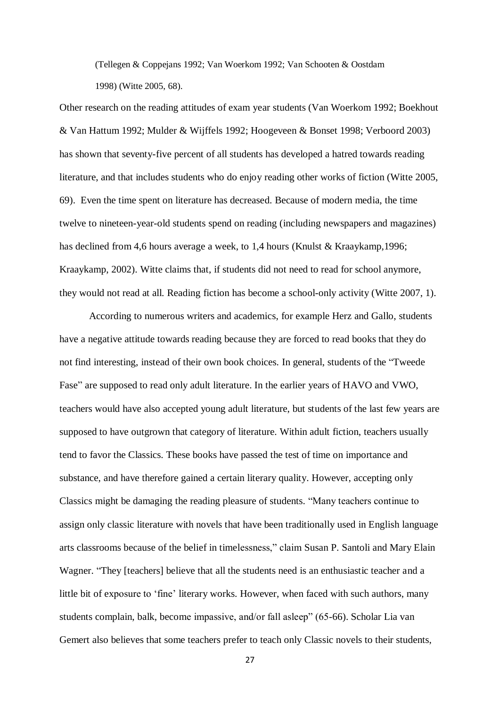(Tellegen & Coppejans 1992; Van Woerkom 1992; Van Schooten & Oostdam 1998) (Witte 2005, 68).

Other research on the reading attitudes of exam year students (Van Woerkom 1992; Boekhout & Van Hattum 1992; Mulder & Wijffels 1992; Hoogeveen & Bonset 1998; Verboord 2003) has shown that seventy-five percent of all students has developed a hatred towards reading literature, and that includes students who do enjoy reading other works of fiction (Witte 2005, 69). Even the time spent on literature has decreased. Because of modern media, the time twelve to nineteen-year-old students spend on reading (including newspapers and magazines) has declined from 4,6 hours average a week, to 1,4 hours (Knulst & Kraaykamp,1996; Kraaykamp, 2002). Witte claims that, if students did not need to read for school anymore, they would not read at all. Reading fiction has become a school-only activity (Witte 2007, 1).

According to numerous writers and academics, for example Herz and Gallo, students have a negative attitude towards reading because they are forced to read books that they do not find interesting, instead of their own book choices. In general, students of the "Tweede Fase" are supposed to read only adult literature. In the earlier years of HAVO and VWO, teachers would have also accepted young adult literature, but students of the last few years are supposed to have outgrown that category of literature. Within adult fiction, teachers usually tend to favor the Classics. These books have passed the test of time on importance and substance, and have therefore gained a certain literary quality. However, accepting only Classics might be damaging the reading pleasure of students. "Many teachers continue to assign only classic literature with novels that have been traditionally used in English language arts classrooms because of the belief in timelessness," claim Susan P. Santoli and Mary Elain Wagner. "They [teachers] believe that all the students need is an enthusiastic teacher and a little bit of exposure to 'fine' literary works. However, when faced with such authors, many students complain, balk, become impassive, and/or fall asleep" (65-66). Scholar Lia van Gemert also believes that some teachers prefer to teach only Classic novels to their students,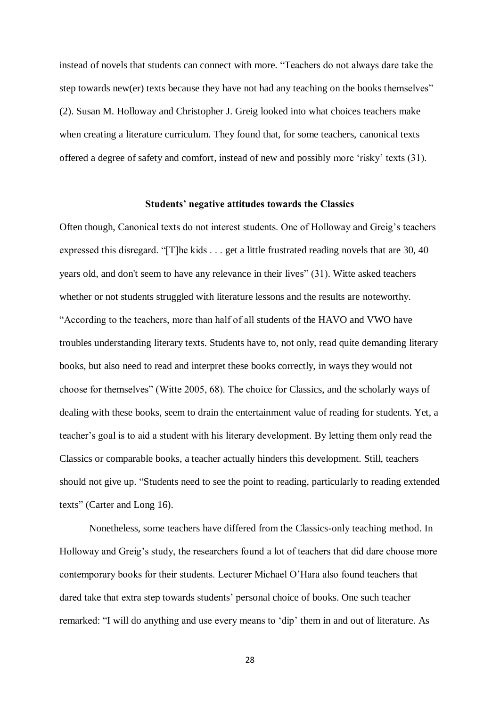instead of novels that students can connect with more. "Teachers do not always dare take the step towards new(er) texts because they have not had any teaching on the books themselves" (2). Susan M. Holloway and Christopher J. Greig looked into what choices teachers make when creating a literature curriculum. They found that, for some teachers, canonical texts offered a degree of safety and comfort, instead of new and possibly more 'risky' texts (31).

## **Students' negative attitudes towards the Classics**

Often though, Canonical texts do not interest students. One of Holloway and Greig's teachers expressed this disregard. "[T]he kids . . . get a little frustrated reading novels that are 30, 40 years old, and don't seem to have any relevance in their lives" (31). Witte asked teachers whether or not students struggled with literature lessons and the results are noteworthy. "According to the teachers, more than half of all students of the HAVO and VWO have troubles understanding literary texts. Students have to, not only, read quite demanding literary books, but also need to read and interpret these books correctly, in ways they would not choose for themselves" (Witte 2005, 68). The choice for Classics, and the scholarly ways of dealing with these books, seem to drain the entertainment value of reading for students. Yet, a teacher's goal is to aid a student with his literary development. By letting them only read the Classics or comparable books, a teacher actually hinders this development. Still, teachers should not give up. "Students need to see the point to reading, particularly to reading extended texts" (Carter and Long 16).

Nonetheless, some teachers have differed from the Classics-only teaching method. In Holloway and Greig's study, the researchers found a lot of teachers that did dare choose more contemporary books for their students. Lecturer Michael O'Hara also found teachers that dared take that extra step towards students' personal choice of books. One such teacher remarked: "I will do anything and use every means to 'dip' them in and out of literature. As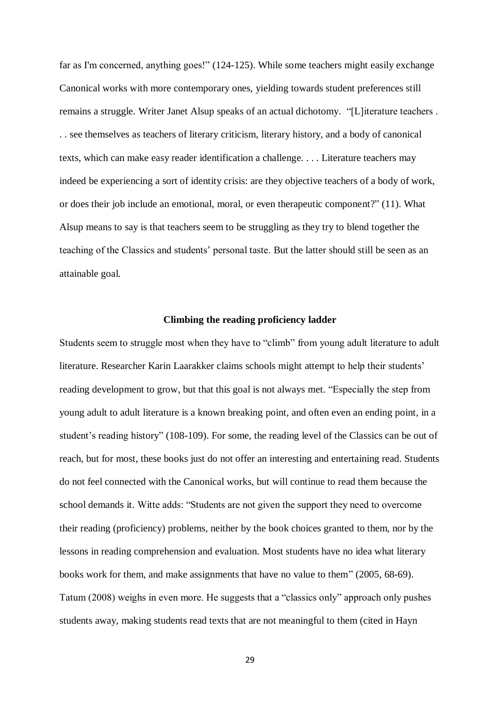far as I'm concerned, anything goes!" (124-125). While some teachers might easily exchange Canonical works with more contemporary ones, yielding towards student preferences still remains a struggle. Writer Janet Alsup speaks of an actual dichotomy. "[L]iterature teachers . . . see themselves as teachers of literary criticism, literary history, and a body of canonical texts, which can make easy reader identification a challenge. . . . Literature teachers may indeed be experiencing a sort of identity crisis: are they objective teachers of a body of work, or does their job include an emotional, moral, or even therapeutic component?" (11). What Alsup means to say is that teachers seem to be struggling as they try to blend together the teaching of the Classics and students' personal taste. But the latter should still be seen as an attainable goal.

#### **Climbing the reading proficiency ladder**

Students seem to struggle most when they have to "climb" from young adult literature to adult literature. Researcher Karin Laarakker claims schools might attempt to help their students' reading development to grow, but that this goal is not always met. "Especially the step from young adult to adult literature is a known breaking point, and often even an ending point, in a student's reading history" (108-109). For some, the reading level of the Classics can be out of reach, but for most, these books just do not offer an interesting and entertaining read. Students do not feel connected with the Canonical works, but will continue to read them because the school demands it. Witte adds: "Students are not given the support they need to overcome their reading (proficiency) problems, neither by the book choices granted to them, nor by the lessons in reading comprehension and evaluation. Most students have no idea what literary books work for them, and make assignments that have no value to them" (2005, 68-69). Tatum (2008) weighs in even more. He suggests that a "classics only" approach only pushes students away, making students read texts that are not meaningful to them (cited in Hayn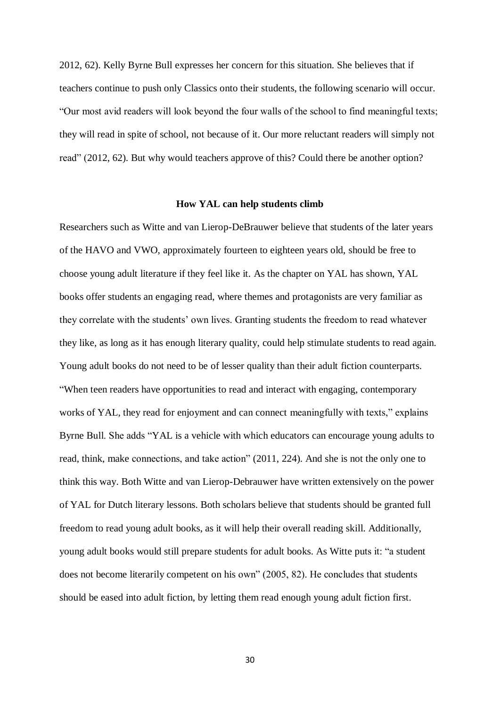2012, 62). Kelly Byrne Bull expresses her concern for this situation. She believes that if teachers continue to push only Classics onto their students, the following scenario will occur. "Our most avid readers will look beyond the four walls of the school to find meaningful texts; they will read in spite of school, not because of it. Our more reluctant readers will simply not read" (2012, 62). But why would teachers approve of this? Could there be another option?

#### **How YAL can help students climb**

Researchers such as Witte and van Lierop-DeBrauwer believe that students of the later years of the HAVO and VWO, approximately fourteen to eighteen years old, should be free to choose young adult literature if they feel like it. As the chapter on YAL has shown, YAL books offer students an engaging read, where themes and protagonists are very familiar as they correlate with the students' own lives. Granting students the freedom to read whatever they like, as long as it has enough literary quality, could help stimulate students to read again. Young adult books do not need to be of lesser quality than their adult fiction counterparts. "When teen readers have opportunities to read and interact with engaging, contemporary works of YAL, they read for enjoyment and can connect meaningfully with texts," explains Byrne Bull. She adds "YAL is a vehicle with which educators can encourage young adults to read, think, make connections, and take action" (2011, 224). And she is not the only one to think this way. Both Witte and van Lierop-Debrauwer have written extensively on the power of YAL for Dutch literary lessons. Both scholars believe that students should be granted full freedom to read young adult books, as it will help their overall reading skill. Additionally, young adult books would still prepare students for adult books. As Witte puts it: "a student does not become literarily competent on his own" (2005, 82). He concludes that students should be eased into adult fiction, by letting them read enough young adult fiction first.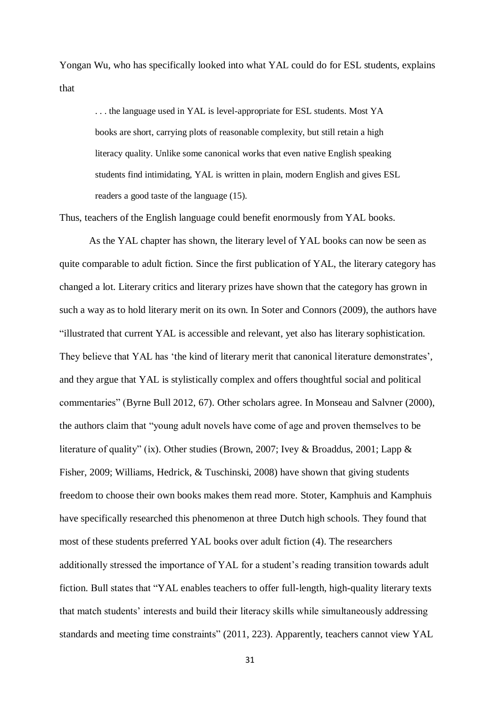Yongan Wu, who has specifically looked into what YAL could do for ESL students, explains that

. . . the language used in YAL is level-appropriate for ESL students. Most YA books are short, carrying plots of reasonable complexity, but still retain a high literacy quality. Unlike some canonical works that even native English speaking students find intimidating, YAL is written in plain, modern English and gives ESL readers a good taste of the language (15).

Thus, teachers of the English language could benefit enormously from YAL books.

As the YAL chapter has shown, the literary level of YAL books can now be seen as quite comparable to adult fiction. Since the first publication of YAL, the literary category has changed a lot. Literary critics and literary prizes have shown that the category has grown in such a way as to hold literary merit on its own. In Soter and Connors (2009), the authors have "illustrated that current YAL is accessible and relevant, yet also has literary sophistication. They believe that YAL has 'the kind of literary merit that canonical literature demonstrates', and they argue that YAL is stylistically complex and offers thoughtful social and political commentaries" (Byrne Bull 2012, 67). Other scholars agree. In Monseau and Salvner (2000), the authors claim that "young adult novels have come of age and proven themselves to be literature of quality" (ix). Other studies (Brown, 2007; Ivey & Broaddus, 2001; Lapp & Fisher, 2009; Williams, Hedrick, & Tuschinski, 2008) have shown that giving students freedom to choose their own books makes them read more. Stoter, Kamphuis and Kamphuis have specifically researched this phenomenon at three Dutch high schools. They found that most of these students preferred YAL books over adult fiction (4). The researchers additionally stressed the importance of YAL for a student's reading transition towards adult fiction. Bull states that "YAL enables teachers to offer full-length, high-quality literary texts that match students' interests and build their literacy skills while simultaneously addressing standards and meeting time constraints" (2011, 223). Apparently, teachers cannot view YAL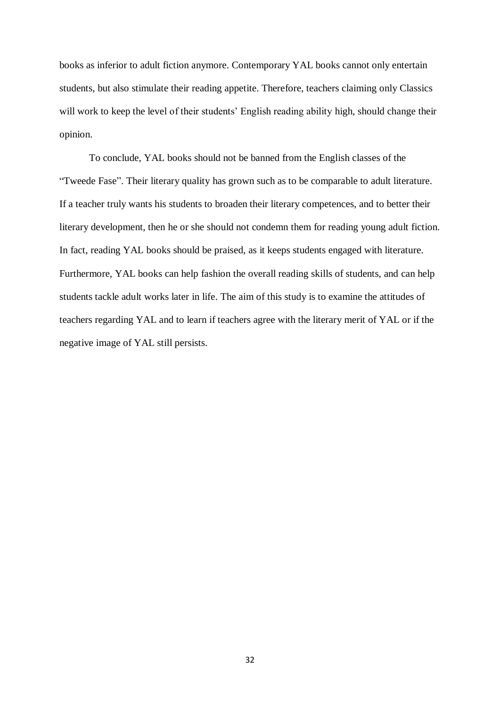books as inferior to adult fiction anymore. Contemporary YAL books cannot only entertain students, but also stimulate their reading appetite. Therefore, teachers claiming only Classics will work to keep the level of their students' English reading ability high, should change their opinion.

To conclude, YAL books should not be banned from the English classes of the "Tweede Fase". Their literary quality has grown such as to be comparable to adult literature. If a teacher truly wants his students to broaden their literary competences, and to better their literary development, then he or she should not condemn them for reading young adult fiction. In fact, reading YAL books should be praised, as it keeps students engaged with literature. Furthermore, YAL books can help fashion the overall reading skills of students, and can help students tackle adult works later in life. The aim of this study is to examine the attitudes of teachers regarding YAL and to learn if teachers agree with the literary merit of YAL or if the negative image of YAL still persists.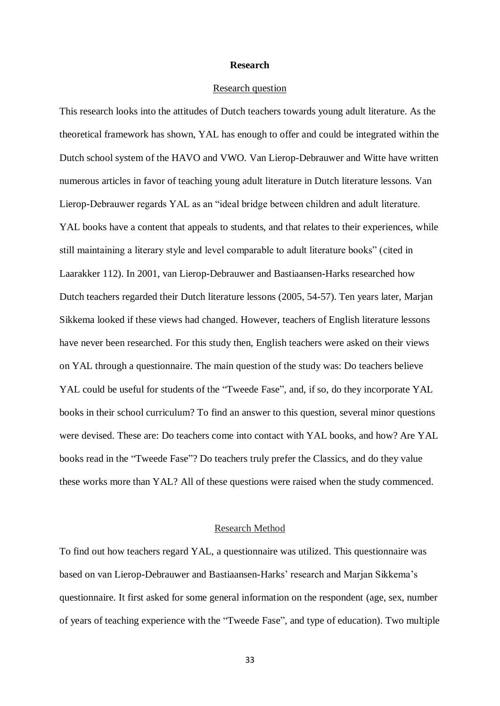## **Research**

#### Research question

This research looks into the attitudes of Dutch teachers towards young adult literature. As the theoretical framework has shown, YAL has enough to offer and could be integrated within the Dutch school system of the HAVO and VWO. Van Lierop-Debrauwer and Witte have written numerous articles in favor of teaching young adult literature in Dutch literature lessons. Van Lierop-Debrauwer regards YAL as an "ideal bridge between children and adult literature. YAL books have a content that appeals to students, and that relates to their experiences, while still maintaining a literary style and level comparable to adult literature books" (cited in Laarakker 112). In 2001, van Lierop-Debrauwer and Bastiaansen-Harks researched how Dutch teachers regarded their Dutch literature lessons (2005, 54-57). Ten years later, Marjan Sikkema looked if these views had changed. However, teachers of English literature lessons have never been researched. For this study then, English teachers were asked on their views on YAL through a questionnaire. The main question of the study was: Do teachers believe YAL could be useful for students of the "Tweede Fase", and, if so, do they incorporate YAL books in their school curriculum? To find an answer to this question, several minor questions were devised. These are: Do teachers come into contact with YAL books, and how? Are YAL books read in the "Tweede Fase"? Do teachers truly prefer the Classics, and do they value these works more than YAL? All of these questions were raised when the study commenced.

# Research Method

To find out how teachers regard YAL, a questionnaire was utilized. This questionnaire was based on van Lierop-Debrauwer and Bastiaansen-Harks' research and Marjan Sikkema's questionnaire. It first asked for some general information on the respondent (age, sex, number of years of teaching experience with the "Tweede Fase", and type of education). Two multiple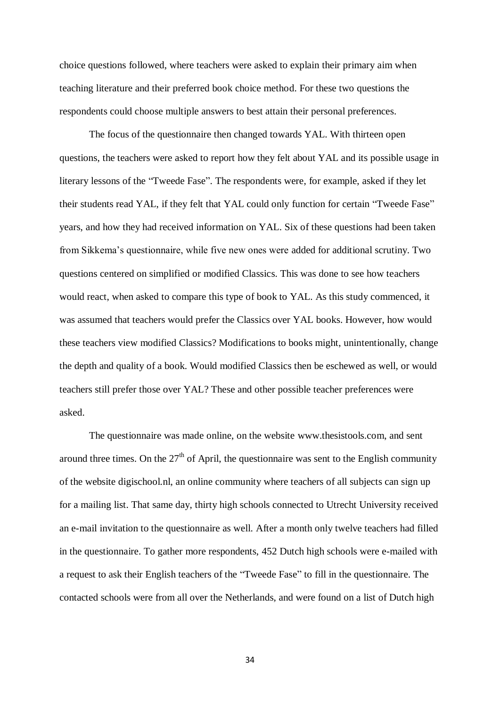choice questions followed, where teachers were asked to explain their primary aim when teaching literature and their preferred book choice method. For these two questions the respondents could choose multiple answers to best attain their personal preferences.

The focus of the questionnaire then changed towards YAL. With thirteen open questions, the teachers were asked to report how they felt about YAL and its possible usage in literary lessons of the "Tweede Fase". The respondents were, for example, asked if they let their students read YAL, if they felt that YAL could only function for certain "Tweede Fase" years, and how they had received information on YAL. Six of these questions had been taken from Sikkema's questionnaire, while five new ones were added for additional scrutiny. Two questions centered on simplified or modified Classics. This was done to see how teachers would react, when asked to compare this type of book to YAL. As this study commenced, it was assumed that teachers would prefer the Classics over YAL books. However, how would these teachers view modified Classics? Modifications to books might, unintentionally, change the depth and quality of a book. Would modified Classics then be eschewed as well, or would teachers still prefer those over YAL? These and other possible teacher preferences were asked.

The questionnaire was made online, on the website www.thesistools.com, and sent around three times. On the  $27<sup>th</sup>$  of April, the questionnaire was sent to the English community of the website digischool.nl, an online community where teachers of all subjects can sign up for a mailing list. That same day, thirty high schools connected to Utrecht University received an e-mail invitation to the questionnaire as well. After a month only twelve teachers had filled in the questionnaire. To gather more respondents, 452 Dutch high schools were e-mailed with a request to ask their English teachers of the "Tweede Fase" to fill in the questionnaire. The contacted schools were from all over the Netherlands, and were found on a list of Dutch high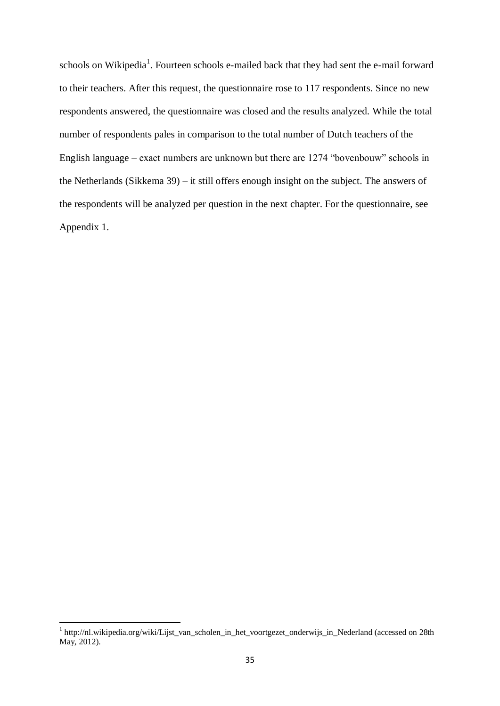schools on Wikipedia<sup>1</sup>. Fourteen schools e-mailed back that they had sent the e-mail forward to their teachers. After this request, the questionnaire rose to 117 respondents. Since no new respondents answered, the questionnaire was closed and the results analyzed. While the total number of respondents pales in comparison to the total number of Dutch teachers of the English language – exact numbers are unknown but there are 1274 "bovenbouw" schools in the Netherlands (Sikkema 39) – it still offers enough insight on the subject. The answers of the respondents will be analyzed per question in the next chapter. For the questionnaire, see Appendix 1.

 1 http://nl.wikipedia.org/wiki/Lijst\_van\_scholen\_in\_het\_voortgezet\_onderwijs\_in\_Nederland (accessed on 28th May, 2012).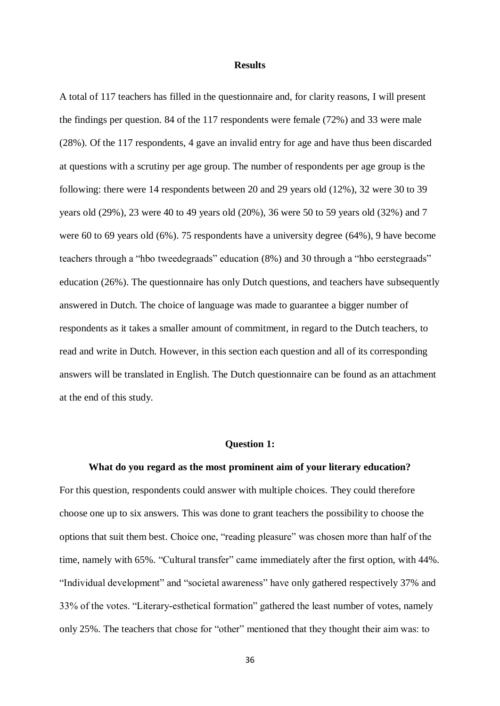#### **Results**

A total of 117 teachers has filled in the questionnaire and, for clarity reasons, I will present the findings per question. 84 of the 117 respondents were female (72%) and 33 were male (28%). Of the 117 respondents, 4 gave an invalid entry for age and have thus been discarded at questions with a scrutiny per age group. The number of respondents per age group is the following: there were 14 respondents between 20 and 29 years old (12%), 32 were 30 to 39 years old (29%), 23 were 40 to 49 years old (20%), 36 were 50 to 59 years old (32%) and 7 were 60 to 69 years old (6%). 75 respondents have a university degree (64%), 9 have become teachers through a "hbo tweedegraads" education (8%) and 30 through a "hbo eerstegraads" education (26%). The questionnaire has only Dutch questions, and teachers have subsequently answered in Dutch. The choice of language was made to guarantee a bigger number of respondents as it takes a smaller amount of commitment, in regard to the Dutch teachers, to read and write in Dutch. However, in this section each question and all of its corresponding answers will be translated in English. The Dutch questionnaire can be found as an attachment at the end of this study.

#### **Question 1:**

**What do you regard as the most prominent aim of your literary education?** For this question, respondents could answer with multiple choices. They could therefore choose one up to six answers. This was done to grant teachers the possibility to choose the options that suit them best. Choice one, "reading pleasure" was chosen more than half of the time, namely with 65%. "Cultural transfer" came immediately after the first option, with 44%. "Individual development" and "societal awareness" have only gathered respectively 37% and 33% of the votes. "Literary-esthetical formation" gathered the least number of votes, namely only 25%. The teachers that chose for "other" mentioned that they thought their aim was: to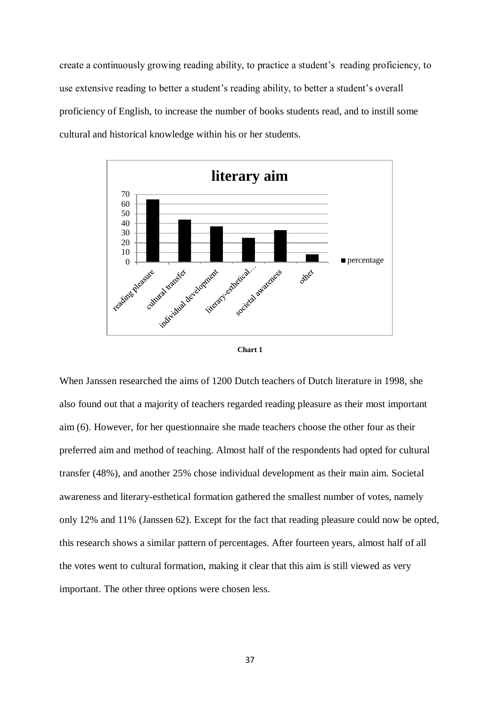create a continuously growing reading ability, to practice a student's reading proficiency, to use extensive reading to better a student's reading ability, to better a student's overall proficiency of English, to increase the number of books students read, and to instill some cultural and historical knowledge within his or her students.





When Janssen researched the aims of 1200 Dutch teachers of Dutch literature in 1998, she also found out that a majority of teachers regarded reading pleasure as their most important aim (6). However, for her questionnaire she made teachers choose the other four as their preferred aim and method of teaching. Almost half of the respondents had opted for cultural transfer (48%), and another 25% chose individual development as their main aim. Societal awareness and literary-esthetical formation gathered the smallest number of votes, namely only 12% and 11% (Janssen 62). Except for the fact that reading pleasure could now be opted, this research shows a similar pattern of percentages. After fourteen years, almost half of all the votes went to cultural formation, making it clear that this aim is still viewed as very important. The other three options were chosen less.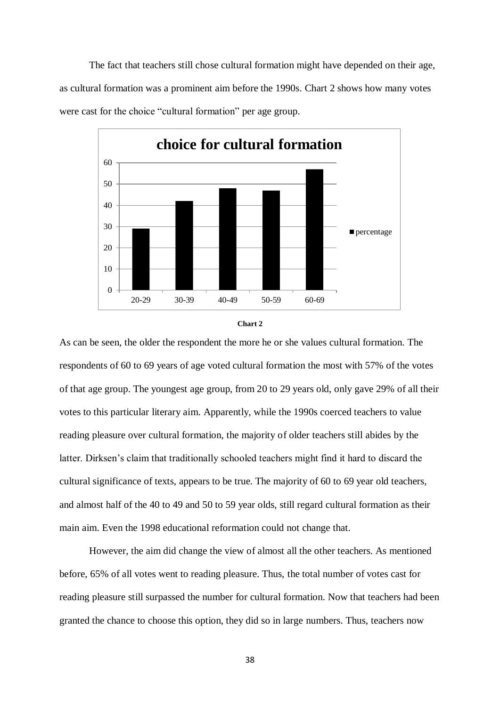The fact that teachers still chose cultural formation might have depended on their age, as cultural formation was a prominent aim before the 1990s. Chart 2 shows how many votes were cast for the choice "cultural formation" per age group.





As can be seen, the older the respondent the more he or she values cultural formation. The respondents of 60 to 69 years of age voted cultural formation the most with 57% of the votes of that age group. The youngest age group, from 20 to 29 years old, only gave 29% of all their votes to this particular literary aim. Apparently, while the 1990s coerced teachers to value reading pleasure over cultural formation, the majority of older teachers still abides by the latter. Dirksen's claim that traditionally schooled teachers might find it hard to discard the cultural significance of texts, appears to be true. The majority of 60 to 69 year old teachers, and almost half of the 40 to 49 and 50 to 59 year olds, still regard cultural formation as their main aim. Even the 1998 educational reformation could not change that.

However, the aim did change the view of almost all the other teachers. As mentioned before, 65% of all votes went to reading pleasure. Thus, the total number of votes cast for reading pleasure still surpassed the number for cultural formation. Now that teachers had been granted the chance to choose this option, they did so in large numbers. Thus, teachers now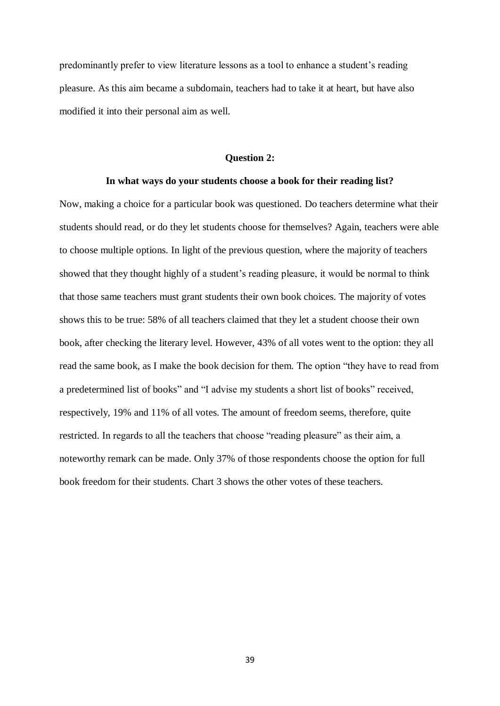predominantly prefer to view literature lessons as a tool to enhance a student's reading pleasure. As this aim became a subdomain, teachers had to take it at heart, but have also modified it into their personal aim as well.

#### **Question 2:**

#### **In what ways do your students choose a book for their reading list?**

Now, making a choice for a particular book was questioned. Do teachers determine what their students should read, or do they let students choose for themselves? Again, teachers were able to choose multiple options. In light of the previous question, where the majority of teachers showed that they thought highly of a student's reading pleasure, it would be normal to think that those same teachers must grant students their own book choices. The majority of votes shows this to be true: 58% of all teachers claimed that they let a student choose their own book, after checking the literary level. However, 43% of all votes went to the option: they all read the same book, as I make the book decision for them. The option "they have to read from a predetermined list of books" and "I advise my students a short list of books" received, respectively, 19% and 11% of all votes. The amount of freedom seems, therefore, quite restricted. In regards to all the teachers that choose "reading pleasure" as their aim, a noteworthy remark can be made. Only 37% of those respondents choose the option for full book freedom for their students. Chart 3 shows the other votes of these teachers.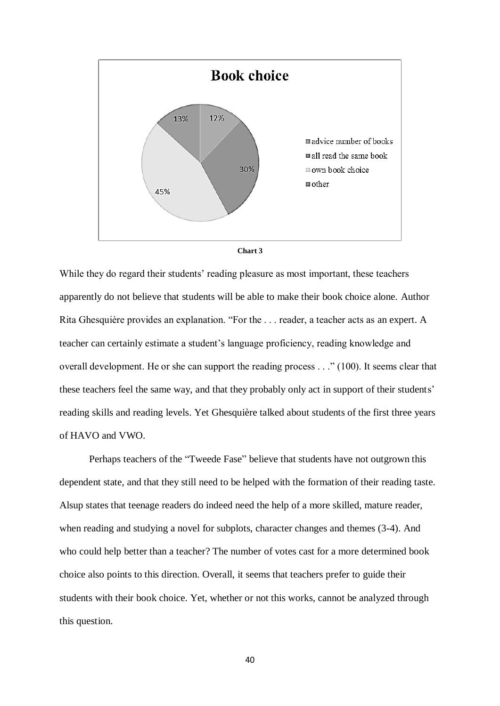



While they do regard their students' reading pleasure as most important, these teachers apparently do not believe that students will be able to make their book choice alone. Author Rita Ghesquière provides an explanation. "For the . . . reader, a teacher acts as an expert. A teacher can certainly estimate a student's language proficiency, reading knowledge and overall development. He or she can support the reading process . . ." (100). It seems clear that these teachers feel the same way, and that they probably only act in support of their students' reading skills and reading levels. Yet Ghesquière talked about students of the first three years of HAVO and VWO.

Perhaps teachers of the "Tweede Fase" believe that students have not outgrown this dependent state, and that they still need to be helped with the formation of their reading taste. Alsup states that teenage readers do indeed need the help of a more skilled, mature reader, when reading and studying a novel for subplots, character changes and themes (3-4). And who could help better than a teacher? The number of votes cast for a more determined book choice also points to this direction. Overall, it seems that teachers prefer to guide their students with their book choice. Yet, whether or not this works, cannot be analyzed through this question.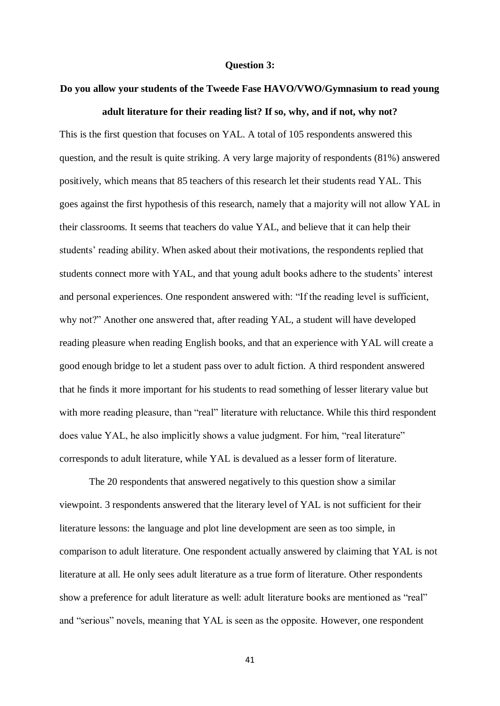#### **Question 3:**

# **Do you allow your students of the Tweede Fase HAVO/VWO/Gymnasium to read young**

#### **adult literature for their reading list? If so, why, and if not, why not?**

This is the first question that focuses on YAL. A total of 105 respondents answered this question, and the result is quite striking. A very large majority of respondents (81%) answered positively, which means that 85 teachers of this research let their students read YAL. This goes against the first hypothesis of this research, namely that a majority will not allow YAL in their classrooms. It seems that teachers do value YAL, and believe that it can help their students' reading ability. When asked about their motivations, the respondents replied that students connect more with YAL, and that young adult books adhere to the students' interest and personal experiences. One respondent answered with: "If the reading level is sufficient, why not?" Another one answered that, after reading YAL, a student will have developed reading pleasure when reading English books, and that an experience with YAL will create a good enough bridge to let a student pass over to adult fiction. A third respondent answered that he finds it more important for his students to read something of lesser literary value but with more reading pleasure, than "real" literature with reluctance. While this third respondent does value YAL, he also implicitly shows a value judgment. For him, "real literature" corresponds to adult literature, while YAL is devalued as a lesser form of literature.

The 20 respondents that answered negatively to this question show a similar viewpoint. 3 respondents answered that the literary level of YAL is not sufficient for their literature lessons: the language and plot line development are seen as too simple, in comparison to adult literature. One respondent actually answered by claiming that YAL is not literature at all. He only sees adult literature as a true form of literature. Other respondents show a preference for adult literature as well: adult literature books are mentioned as "real" and "serious" novels, meaning that YAL is seen as the opposite. However, one respondent

41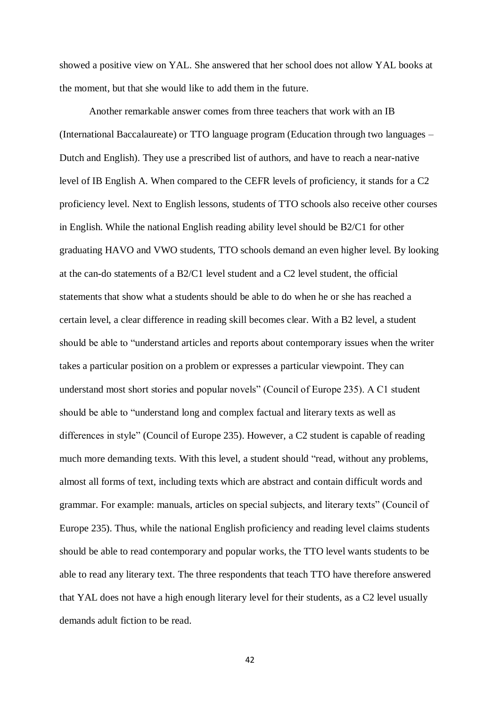showed a positive view on YAL. She answered that her school does not allow YAL books at the moment, but that she would like to add them in the future.

Another remarkable answer comes from three teachers that work with an IB (International Baccalaureate) or TTO language program (Education through two languages – Dutch and English). They use a prescribed list of authors, and have to reach a near-native level of IB English A. When compared to the CEFR levels of proficiency, it stands for a C2 proficiency level. Next to English lessons, students of TTO schools also receive other courses in English. While the national English reading ability level should be B2/C1 for other graduating HAVO and VWO students, TTO schools demand an even higher level. By looking at the can-do statements of a B2/C1 level student and a C2 level student, the official statements that show what a students should be able to do when he or she has reached a certain level, a clear difference in reading skill becomes clear. With a B2 level, a student should be able to "understand articles and reports about contemporary issues when the writer takes a particular position on a problem or expresses a particular viewpoint. They can understand most short stories and popular novels" (Council of Europe 235). A C1 student should be able to "understand long and complex factual and literary texts as well as differences in style" (Council of Europe 235). However, a C2 student is capable of reading much more demanding texts. With this level, a student should "read, without any problems, almost all forms of text, including texts which are abstract and contain difficult words and grammar. For example: manuals, articles on special subjects, and literary texts" (Council of Europe 235). Thus, while the national English proficiency and reading level claims students should be able to read contemporary and popular works, the TTO level wants students to be able to read any literary text. The three respondents that teach TTO have therefore answered that YAL does not have a high enough literary level for their students, as a C2 level usually demands adult fiction to be read.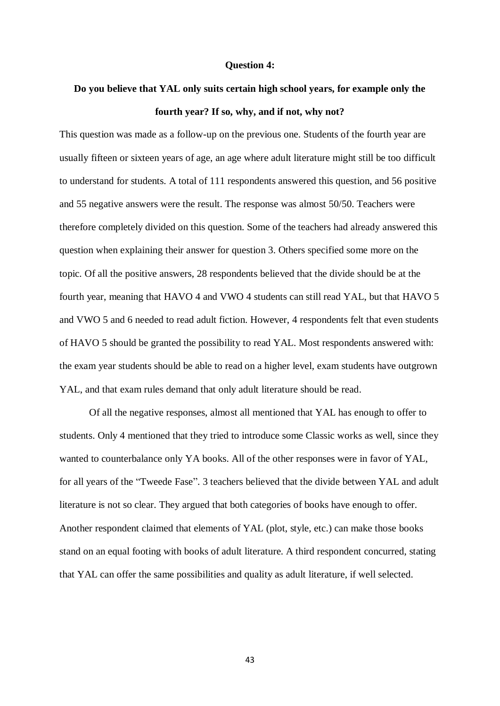### **Question 4:**

# **Do you believe that YAL only suits certain high school years, for example only the fourth year? If so, why, and if not, why not?**

This question was made as a follow-up on the previous one. Students of the fourth year are usually fifteen or sixteen years of age, an age where adult literature might still be too difficult to understand for students. A total of 111 respondents answered this question, and 56 positive and 55 negative answers were the result. The response was almost 50/50. Teachers were therefore completely divided on this question. Some of the teachers had already answered this question when explaining their answer for question 3. Others specified some more on the topic. Of all the positive answers, 28 respondents believed that the divide should be at the fourth year, meaning that HAVO 4 and VWO 4 students can still read YAL, but that HAVO 5 and VWO 5 and 6 needed to read adult fiction. However, 4 respondents felt that even students of HAVO 5 should be granted the possibility to read YAL. Most respondents answered with: the exam year students should be able to read on a higher level, exam students have outgrown YAL, and that exam rules demand that only adult literature should be read.

Of all the negative responses, almost all mentioned that YAL has enough to offer to students. Only 4 mentioned that they tried to introduce some Classic works as well, since they wanted to counterbalance only YA books. All of the other responses were in favor of YAL, for all years of the "Tweede Fase". 3 teachers believed that the divide between YAL and adult literature is not so clear. They argued that both categories of books have enough to offer. Another respondent claimed that elements of YAL (plot, style, etc.) can make those books stand on an equal footing with books of adult literature. A third respondent concurred, stating that YAL can offer the same possibilities and quality as adult literature, if well selected.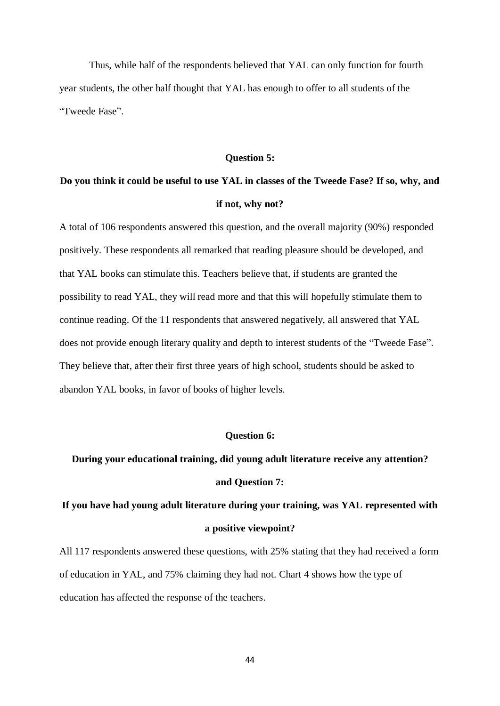Thus, while half of the respondents believed that YAL can only function for fourth year students, the other half thought that YAL has enough to offer to all students of the "Tweede Fase".

#### **Question 5:**

# **Do you think it could be useful to use YAL in classes of the Tweede Fase? If so, why, and if not, why not?**

A total of 106 respondents answered this question, and the overall majority (90%) responded positively. These respondents all remarked that reading pleasure should be developed, and that YAL books can stimulate this. Teachers believe that, if students are granted the possibility to read YAL, they will read more and that this will hopefully stimulate them to continue reading. Of the 11 respondents that answered negatively, all answered that YAL does not provide enough literary quality and depth to interest students of the "Tweede Fase". They believe that, after their first three years of high school, students should be asked to abandon YAL books, in favor of books of higher levels.

# **Question 6:**

# **During your educational training, did young adult literature receive any attention? and Question 7:**

# **If you have had young adult literature during your training, was YAL represented with a positive viewpoint?**

All 117 respondents answered these questions, with 25% stating that they had received a form of education in YAL, and 75% claiming they had not. Chart 4 shows how the type of education has affected the response of the teachers.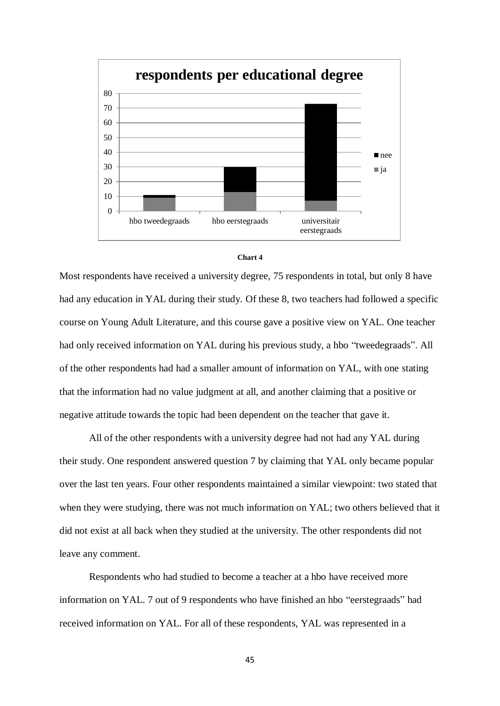



Most respondents have received a university degree, 75 respondents in total, but only 8 have had any education in YAL during their study. Of these 8, two teachers had followed a specific course on Young Adult Literature, and this course gave a positive view on YAL. One teacher had only received information on YAL during his previous study, a hbo "tweedegraads". All of the other respondents had had a smaller amount of information on YAL, with one stating that the information had no value judgment at all, and another claiming that a positive or negative attitude towards the topic had been dependent on the teacher that gave it.

All of the other respondents with a university degree had not had any YAL during their study. One respondent answered question 7 by claiming that YAL only became popular over the last ten years. Four other respondents maintained a similar viewpoint: two stated that when they were studying, there was not much information on YAL; two others believed that it did not exist at all back when they studied at the university. The other respondents did not leave any comment.

Respondents who had studied to become a teacher at a hbo have received more information on YAL. 7 out of 9 respondents who have finished an hbo "eerstegraads" had received information on YAL. For all of these respondents, YAL was represented in a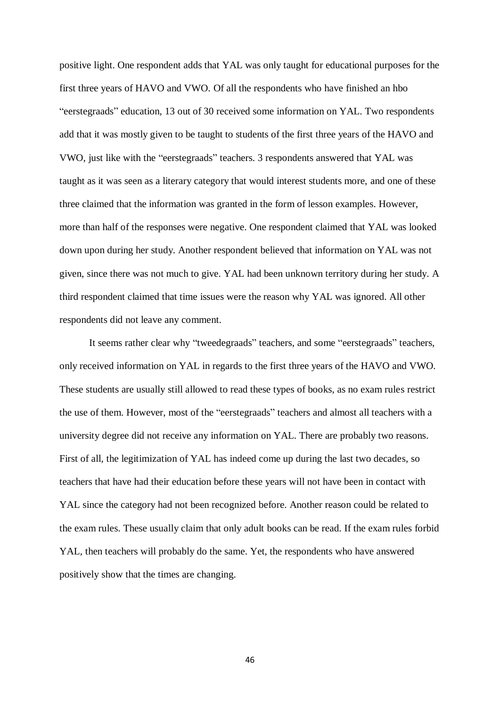positive light. One respondent adds that YAL was only taught for educational purposes for the first three years of HAVO and VWO. Of all the respondents who have finished an hbo "eerstegraads" education, 13 out of 30 received some information on YAL. Two respondents add that it was mostly given to be taught to students of the first three years of the HAVO and VWO, just like with the "eerstegraads" teachers. 3 respondents answered that YAL was taught as it was seen as a literary category that would interest students more, and one of these three claimed that the information was granted in the form of lesson examples. However, more than half of the responses were negative. One respondent claimed that YAL was looked down upon during her study. Another respondent believed that information on YAL was not given, since there was not much to give. YAL had been unknown territory during her study. A third respondent claimed that time issues were the reason why YAL was ignored. All other respondents did not leave any comment.

It seems rather clear why "tweedegraads" teachers, and some "eerstegraads" teachers, only received information on YAL in regards to the first three years of the HAVO and VWO. These students are usually still allowed to read these types of books, as no exam rules restrict the use of them. However, most of the "eerstegraads" teachers and almost all teachers with a university degree did not receive any information on YAL. There are probably two reasons. First of all, the legitimization of YAL has indeed come up during the last two decades, so teachers that have had their education before these years will not have been in contact with YAL since the category had not been recognized before. Another reason could be related to the exam rules. These usually claim that only adult books can be read. If the exam rules forbid YAL, then teachers will probably do the same. Yet, the respondents who have answered positively show that the times are changing.

46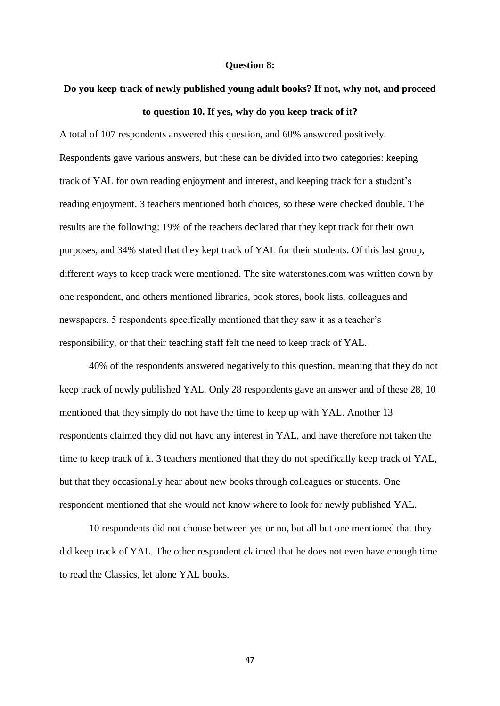### **Question 8:**

# **Do you keep track of newly published young adult books? If not, why not, and proceed to question 10. If yes, why do you keep track of it?**

A total of 107 respondents answered this question, and 60% answered positively. Respondents gave various answers, but these can be divided into two categories: keeping track of YAL for own reading enjoyment and interest, and keeping track for a student's reading enjoyment. 3 teachers mentioned both choices, so these were checked double. The results are the following: 19% of the teachers declared that they kept track for their own purposes, and 34% stated that they kept track of YAL for their students. Of this last group, different ways to keep track were mentioned. The site waterstones.com was written down by one respondent, and others mentioned libraries, book stores, book lists, colleagues and newspapers. 5 respondents specifically mentioned that they saw it as a teacher's responsibility, or that their teaching staff felt the need to keep track of YAL.

40% of the respondents answered negatively to this question, meaning that they do not keep track of newly published YAL. Only 28 respondents gave an answer and of these 28, 10 mentioned that they simply do not have the time to keep up with YAL. Another 13 respondents claimed they did not have any interest in YAL, and have therefore not taken the time to keep track of it. 3 teachers mentioned that they do not specifically keep track of YAL, but that they occasionally hear about new books through colleagues or students. One respondent mentioned that she would not know where to look for newly published YAL.

10 respondents did not choose between yes or no, but all but one mentioned that they did keep track of YAL. The other respondent claimed that he does not even have enough time to read the Classics, let alone YAL books.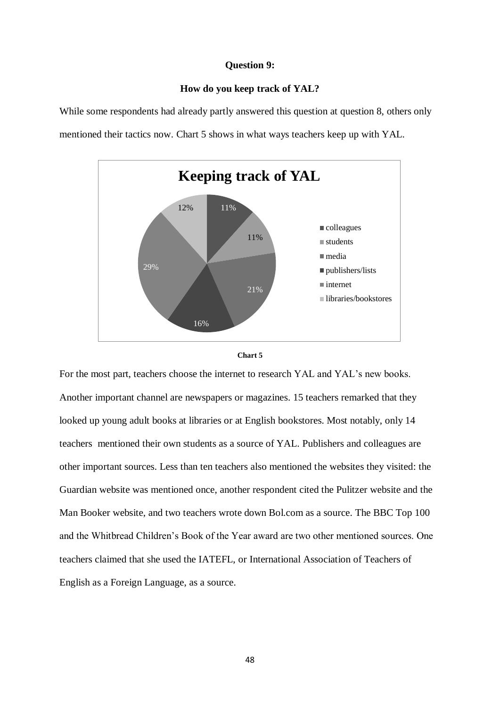# **Question 9:**

# **How do you keep track of YAL?**

While some respondents had already partly answered this question at question 8, others only mentioned their tactics now. Chart 5 shows in what ways teachers keep up with YAL.





For the most part, teachers choose the internet to research YAL and YAL's new books. Another important channel are newspapers or magazines. 15 teachers remarked that they looked up young adult books at libraries or at English bookstores. Most notably, only 14 teachers mentioned their own students as a source of YAL. Publishers and colleagues are other important sources. Less than ten teachers also mentioned the websites they visited: the Guardian website was mentioned once, another respondent cited the Pulitzer website and the Man Booker website, and two teachers wrote down Bol.com as a source. The BBC Top 100 and the Whitbread Children's Book of the Year award are two other mentioned sources. One teachers claimed that she used the IATEFL, or International Association of Teachers of English as a Foreign Language, as a source.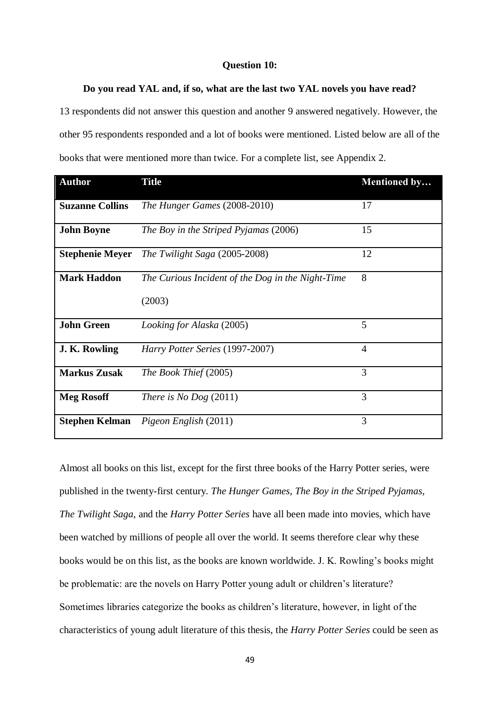# **Question 10:**

# **Do you read YAL and, if so, what are the last two YAL novels you have read?**

13 respondents did not answer this question and another 9 answered negatively. However, the other 95 respondents responded and a lot of books were mentioned. Listed below are all of the books that were mentioned more than twice. For a complete list, see Appendix 2.

| <b>Author</b>          | <b>Title</b>                                      | Mentioned by   |
|------------------------|---------------------------------------------------|----------------|
| <b>Suzanne Collins</b> | The Hunger Games (2008-2010)                      | 17             |
| <b>John Boyne</b>      | The Boy in the Striped Pyjamas (2006)             | 15             |
| <b>Stephenie Meyer</b> | The Twilight Saga (2005-2008)                     | 12             |
| <b>Mark Haddon</b>     | The Curious Incident of the Dog in the Night-Time | 8              |
|                        | (2003)                                            |                |
| <b>John Green</b>      | Looking for Alaska (2005)                         | 5              |
| J. K. Rowling          | Harry Potter Series (1997-2007)                   | $\overline{4}$ |
| <b>Markus Zusak</b>    | The Book Thief (2005)                             | 3              |
| <b>Meg Rosoff</b>      | There is No Dog $(2011)$                          | 3              |
| <b>Stephen Kelman</b>  | Pigeon English (2011)                             | 3              |

Almost all books on this list, except for the first three books of the Harry Potter series, were published in the twenty-first century. *The Hunger Games*, *The Boy in the Striped Pyjamas*, *The Twilight Saga*, and the *Harry Potter Series* have all been made into movies, which have been watched by millions of people all over the world. It seems therefore clear why these books would be on this list, as the books are known worldwide. J. K. Rowling's books might be problematic: are the novels on Harry Potter young adult or children's literature? Sometimes libraries categorize the books as children's literature, however, in light of the characteristics of young adult literature of this thesis, the *Harry Potter Series* could be seen as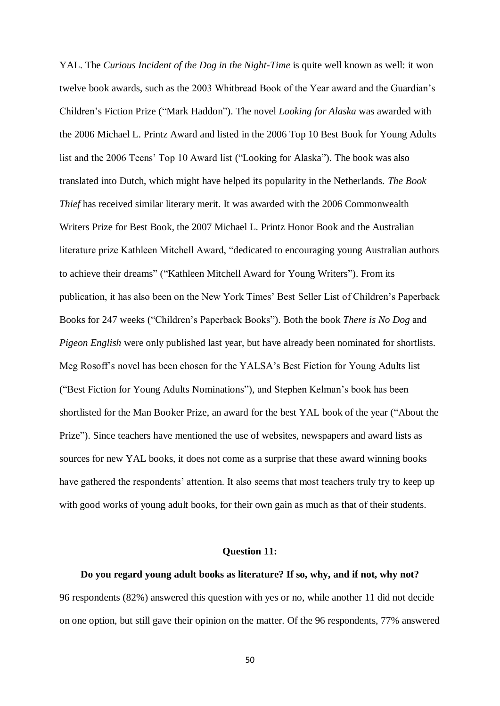YAL. The *Curious Incident of the Dog in the Night-Time* is quite well known as well: it won twelve book awards, such as the 2003 Whitbread Book of the Year award and the Guardian's Children's Fiction Prize ("Mark Haddon"). The novel *Looking for Alaska* was awarded with the 2006 Michael L. Printz Award and listed in the 2006 Top 10 Best Book for Young Adults list and the 2006 Teens' Top 10 Award list ("Looking for Alaska"). The book was also translated into Dutch, which might have helped its popularity in the Netherlands. *The Book Thief* has received similar literary merit. It was awarded with the 2006 Commonwealth Writers Prize for Best Book, the 2007 Michael L. Printz Honor Book and the Australian literature prize Kathleen Mitchell Award, "dedicated to encouraging young Australian authors to achieve their dreams" ("Kathleen Mitchell Award for Young Writers"). From its publication, it has also been on the New York Times' Best Seller List of Children's Paperback Books for 247 weeks ("Children's Paperback Books"). Both the book *There is No Dog* and *Pigeon English* were only published last year, but have already been nominated for shortlists. Meg Rosoff's novel has been chosen for the YALSA's Best Fiction for Young Adults list ("Best Fiction for Young Adults Nominations"), and Stephen Kelman's book has been shortlisted for the Man Booker Prize, an award for the best YAL book of the year ("About the Prize"). Since teachers have mentioned the use of websites, newspapers and award lists as sources for new YAL books, it does not come as a surprise that these award winning books have gathered the respondents' attention. It also seems that most teachers truly try to keep up with good works of young adult books, for their own gain as much as that of their students.

### **Question 11:**

**Do you regard young adult books as literature? If so, why, and if not, why not?** 96 respondents (82%) answered this question with yes or no, while another 11 did not decide on one option, but still gave their opinion on the matter. Of the 96 respondents, 77% answered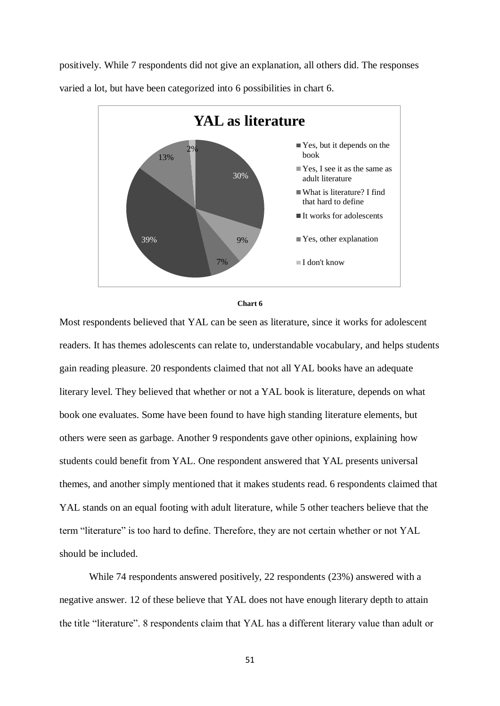positively. While 7 respondents did not give an explanation, all others did. The responses varied a lot, but have been categorized into 6 possibilities in chart 6.





Most respondents believed that YAL can be seen as literature, since it works for adolescent readers. It has themes adolescents can relate to, understandable vocabulary, and helps students gain reading pleasure. 20 respondents claimed that not all YAL books have an adequate literary level. They believed that whether or not a YAL book is literature, depends on what book one evaluates. Some have been found to have high standing literature elements, but others were seen as garbage. Another 9 respondents gave other opinions, explaining how students could benefit from YAL. One respondent answered that YAL presents universal themes, and another simply mentioned that it makes students read. 6 respondents claimed that YAL stands on an equal footing with adult literature, while 5 other teachers believe that the term "literature" is too hard to define. Therefore, they are not certain whether or not YAL should be included.

While 74 respondents answered positively, 22 respondents (23%) answered with a negative answer. 12 of these believe that YAL does not have enough literary depth to attain the title "literature". 8 respondents claim that YAL has a different literary value than adult or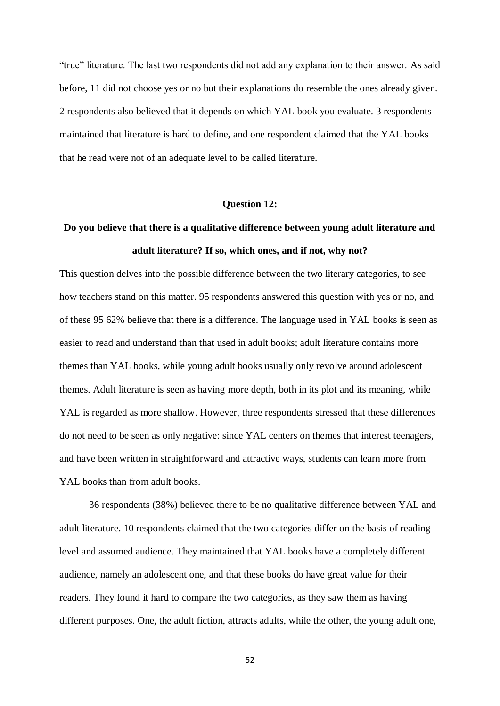"true" literature. The last two respondents did not add any explanation to their answer. As said before, 11 did not choose yes or no but their explanations do resemble the ones already given. 2 respondents also believed that it depends on which YAL book you evaluate. 3 respondents maintained that literature is hard to define, and one respondent claimed that the YAL books that he read were not of an adequate level to be called literature.

### **Question 12:**

# **Do you believe that there is a qualitative difference between young adult literature and adult literature? If so, which ones, and if not, why not?**

This question delves into the possible difference between the two literary categories, to see how teachers stand on this matter. 95 respondents answered this question with yes or no, and of these 95 62% believe that there is a difference. The language used in YAL books is seen as easier to read and understand than that used in adult books; adult literature contains more themes than YAL books, while young adult books usually only revolve around adolescent themes. Adult literature is seen as having more depth, both in its plot and its meaning, while YAL is regarded as more shallow. However, three respondents stressed that these differences do not need to be seen as only negative: since YAL centers on themes that interest teenagers, and have been written in straightforward and attractive ways, students can learn more from YAL books than from adult books.

36 respondents (38%) believed there to be no qualitative difference between YAL and adult literature. 10 respondents claimed that the two categories differ on the basis of reading level and assumed audience. They maintained that YAL books have a completely different audience, namely an adolescent one, and that these books do have great value for their readers. They found it hard to compare the two categories, as they saw them as having different purposes. One, the adult fiction, attracts adults, while the other, the young adult one,

52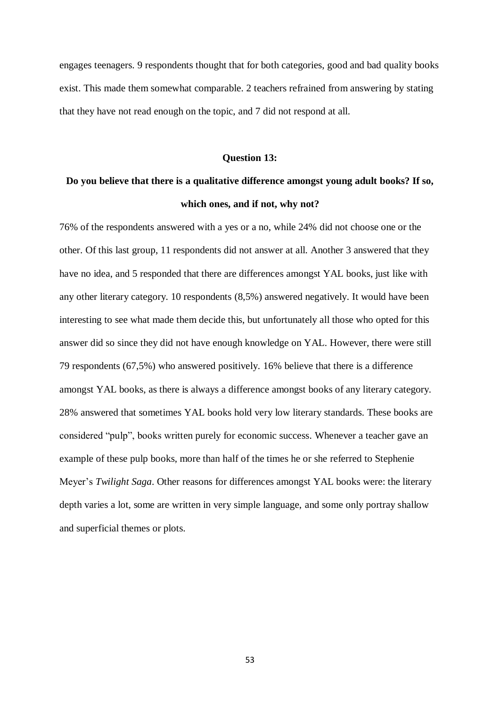engages teenagers. 9 respondents thought that for both categories, good and bad quality books exist. This made them somewhat comparable. 2 teachers refrained from answering by stating that they have not read enough on the topic, and 7 did not respond at all.

#### **Question 13:**

# **Do you believe that there is a qualitative difference amongst young adult books? If so, which ones, and if not, why not?**

76% of the respondents answered with a yes or a no, while 24% did not choose one or the other. Of this last group, 11 respondents did not answer at all. Another 3 answered that they have no idea, and 5 responded that there are differences amongst YAL books, just like with any other literary category. 10 respondents (8,5%) answered negatively. It would have been interesting to see what made them decide this, but unfortunately all those who opted for this answer did so since they did not have enough knowledge on YAL. However, there were still 79 respondents (67,5%) who answered positively. 16% believe that there is a difference amongst YAL books, as there is always a difference amongst books of any literary category. 28% answered that sometimes YAL books hold very low literary standards. These books are considered "pulp", books written purely for economic success. Whenever a teacher gave an example of these pulp books, more than half of the times he or she referred to Stephenie Meyer's *Twilight Saga*. Other reasons for differences amongst YAL books were: the literary depth varies a lot, some are written in very simple language, and some only portray shallow and superficial themes or plots.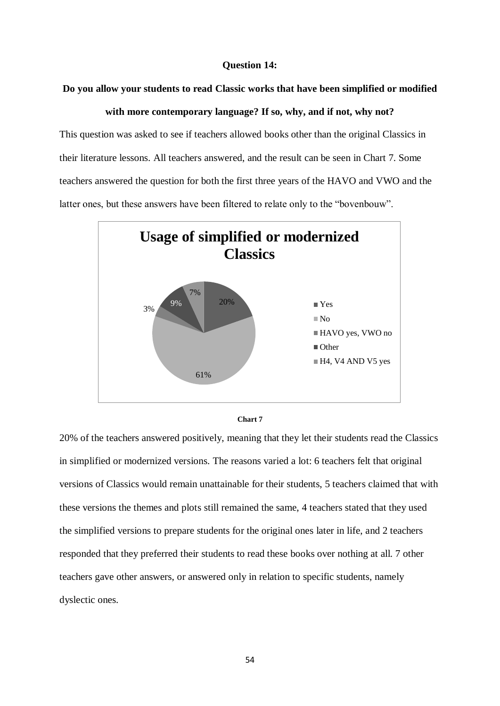# **Question 14:**

# **Do you allow your students to read Classic works that have been simplified or modified**

# **with more contemporary language? If so, why, and if not, why not?**

This question was asked to see if teachers allowed books other than the original Classics in their literature lessons. All teachers answered, and the result can be seen in Chart 7. Some teachers answered the question for both the first three years of the HAVO and VWO and the latter ones, but these answers have been filtered to relate only to the "bovenbouw".





20% of the teachers answered positively, meaning that they let their students read the Classics in simplified or modernized versions. The reasons varied a lot: 6 teachers felt that original versions of Classics would remain unattainable for their students, 5 teachers claimed that with these versions the themes and plots still remained the same, 4 teachers stated that they used the simplified versions to prepare students for the original ones later in life, and 2 teachers responded that they preferred their students to read these books over nothing at all. 7 other teachers gave other answers, or answered only in relation to specific students, namely dyslectic ones.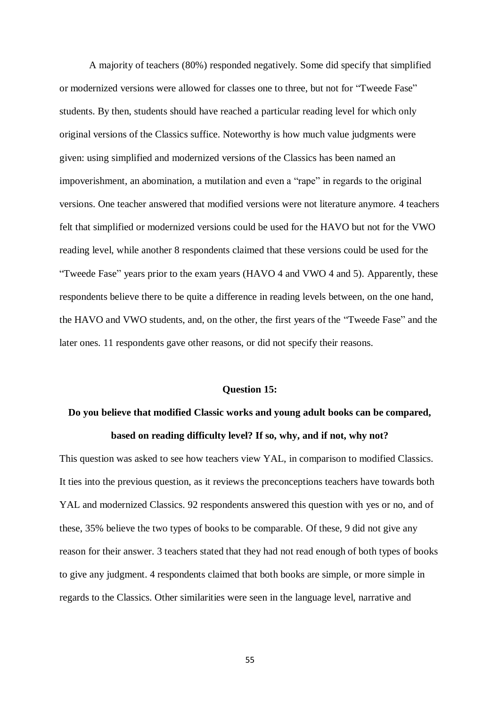A majority of teachers (80%) responded negatively. Some did specify that simplified or modernized versions were allowed for classes one to three, but not for "Tweede Fase" students. By then, students should have reached a particular reading level for which only original versions of the Classics suffice. Noteworthy is how much value judgments were given: using simplified and modernized versions of the Classics has been named an impoverishment, an abomination, a mutilation and even a "rape" in regards to the original versions. One teacher answered that modified versions were not literature anymore. 4 teachers felt that simplified or modernized versions could be used for the HAVO but not for the VWO reading level, while another 8 respondents claimed that these versions could be used for the "Tweede Fase" years prior to the exam years (HAVO 4 and VWO 4 and 5). Apparently, these respondents believe there to be quite a difference in reading levels between, on the one hand, the HAVO and VWO students, and, on the other, the first years of the "Tweede Fase" and the later ones. 11 respondents gave other reasons, or did not specify their reasons.

## **Question 15:**

# **Do you believe that modified Classic works and young adult books can be compared, based on reading difficulty level? If so, why, and if not, why not?**

This question was asked to see how teachers view YAL, in comparison to modified Classics. It ties into the previous question, as it reviews the preconceptions teachers have towards both YAL and modernized Classics. 92 respondents answered this question with yes or no, and of these, 35% believe the two types of books to be comparable. Of these, 9 did not give any reason for their answer. 3 teachers stated that they had not read enough of both types of books to give any judgment. 4 respondents claimed that both books are simple, or more simple in regards to the Classics. Other similarities were seen in the language level, narrative and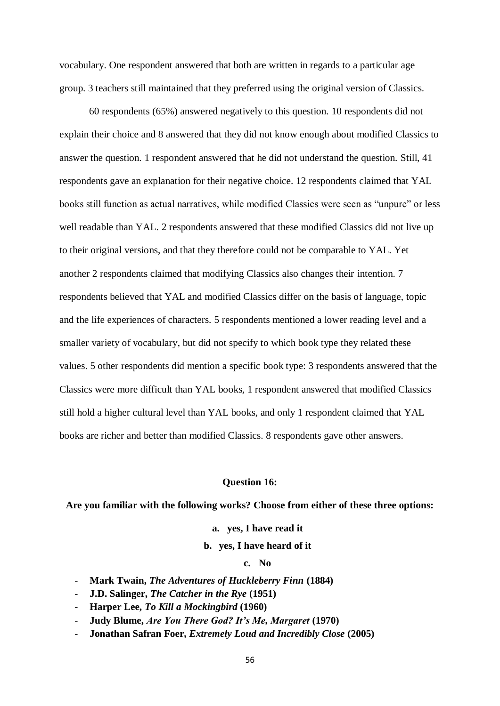vocabulary. One respondent answered that both are written in regards to a particular age group. 3 teachers still maintained that they preferred using the original version of Classics.

60 respondents (65%) answered negatively to this question. 10 respondents did not explain their choice and 8 answered that they did not know enough about modified Classics to answer the question. 1 respondent answered that he did not understand the question. Still, 41 respondents gave an explanation for their negative choice. 12 respondents claimed that YAL books still function as actual narratives, while modified Classics were seen as "unpure" or less well readable than YAL. 2 respondents answered that these modified Classics did not live up to their original versions, and that they therefore could not be comparable to YAL. Yet another 2 respondents claimed that modifying Classics also changes their intention. 7 respondents believed that YAL and modified Classics differ on the basis of language, topic and the life experiences of characters. 5 respondents mentioned a lower reading level and a smaller variety of vocabulary, but did not specify to which book type they related these values. 5 other respondents did mention a specific book type: 3 respondents answered that the Classics were more difficult than YAL books, 1 respondent answered that modified Classics still hold a higher cultural level than YAL books, and only 1 respondent claimed that YAL books are richer and better than modified Classics. 8 respondents gave other answers.

#### **Question 16:**

### **Are you familiar with the following works? Choose from either of these three options:**

**a. yes, I have read it**

## **b. yes, I have heard of it**

### **c. No**

- **Mark Twain,** *The Adventures of Huckleberry Finn* **(1884)**
- **J.D. Salinger,** *The Catcher in the Rye* **(1951)**
- **Harper Lee,** *To Kill a Mockingbird* **(1960)**
- **Judy Blume,** *Are You There God? It's Me, Margaret* **(1970)**
- **Jonathan Safran Foer,** *Extremely Loud and Incredibly Close* **(2005)**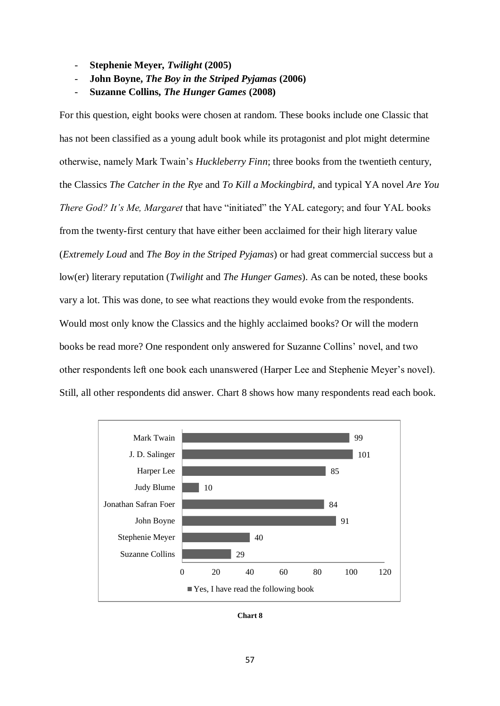- **Stephenie Meyer,** *Twilight* **(2005)**
- **John Boyne,** *The Boy in the Striped Pyjamas* **(2006)**
- **Suzanne Collins,** *The Hunger Games* **(2008)**

For this question, eight books were chosen at random. These books include one Classic that has not been classified as a young adult book while its protagonist and plot might determine otherwise, namely Mark Twain's *Huckleberry Finn*; three books from the twentieth century, the Classics *The Catcher in the Rye* and *To Kill a Mockingbird*, and typical YA novel *Are You There God? It's Me, Margaret* that have "initiated" the YAL category; and four YAL books from the twenty-first century that have either been acclaimed for their high literary value (*Extremely Loud* and *The Boy in the Striped Pyjamas*) or had great commercial success but a low(er) literary reputation (*Twilight* and *The Hunger Games*). As can be noted, these books vary a lot. This was done, to see what reactions they would evoke from the respondents. Would most only know the Classics and the highly acclaimed books? Or will the modern books be read more? One respondent only answered for Suzanne Collins' novel, and two other respondents left one book each unanswered (Harper Lee and Stephenie Meyer's novel). Still, all other respondents did answer. Chart 8 shows how many respondents read each book.



**Chart 8**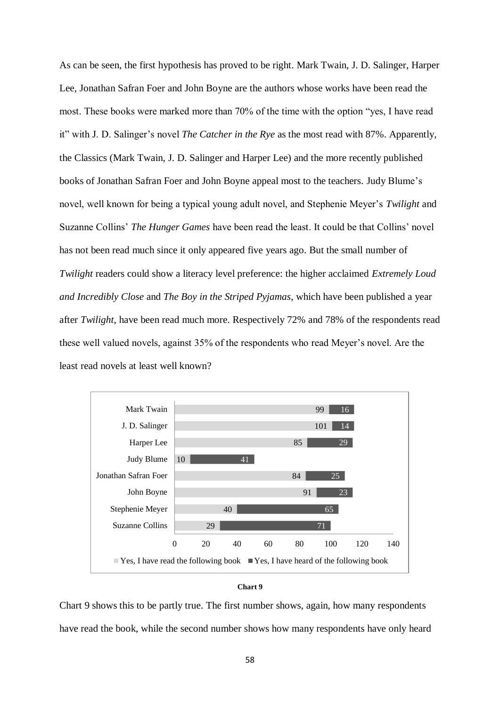As can be seen, the first hypothesis has proved to be right. Mark Twain, J. D. Salinger, Harper Lee, Jonathan Safran Foer and John Boyne are the authors whose works have been read the most. These books were marked more than 70% of the time with the option "yes, I have read it" with J. D. Salinger's novel *The Catcher in the Rye* as the most read with 87%. Apparently, the Classics (Mark Twain, J. D. Salinger and Harper Lee) and the more recently published books of Jonathan Safran Foer and John Boyne appeal most to the teachers. Judy Blume's novel, well known for being a typical young adult novel, and Stephenie Meyer's *Twilight* and Suzanne Collins' *The Hunger Games* have been read the least. It could be that Collins' novel has not been read much since it only appeared five years ago. But the small number of *Twilight* readers could show a literacy level preference: the higher acclaimed *Extremely Loud and Incredibly Close* and *The Boy in the Striped Pyjamas*, which have been published a year after *Twilight*, have been read much more. Respectively 72% and 78% of the respondents read these well valued novels, against 35% of the respondents who read Meyer's novel. Are the least read novels at least well known?





Chart 9 shows this to be partly true. The first number shows, again, how many respondents have read the book, while the second number shows how many respondents have only heard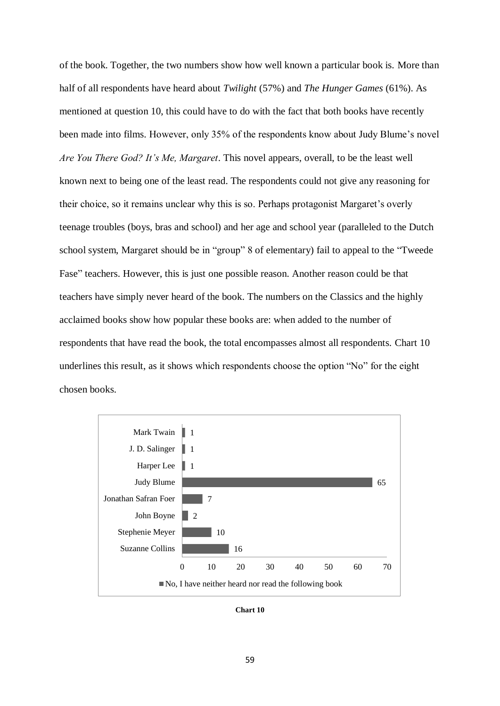of the book. Together, the two numbers show how well known a particular book is. More than half of all respondents have heard about *Twilight* (57%) and *The Hunger Games* (61%). As mentioned at question 10, this could have to do with the fact that both books have recently been made into films. However, only 35% of the respondents know about Judy Blume's novel *Are You There God? It's Me, Margaret*. This novel appears, overall, to be the least well known next to being one of the least read. The respondents could not give any reasoning for their choice, so it remains unclear why this is so. Perhaps protagonist Margaret's overly teenage troubles (boys, bras and school) and her age and school year (paralleled to the Dutch school system, Margaret should be in "group" 8 of elementary) fail to appeal to the "Tweede Fase" teachers. However, this is just one possible reason. Another reason could be that teachers have simply never heard of the book. The numbers on the Classics and the highly acclaimed books show how popular these books are: when added to the number of respondents that have read the book, the total encompasses almost all respondents. Chart 10 underlines this result, as it shows which respondents choose the option "No" for the eight chosen books.



**Chart 10**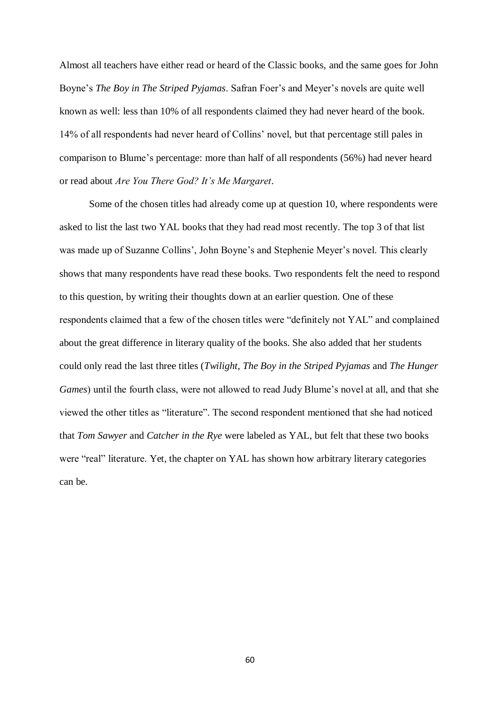Almost all teachers have either read or heard of the Classic books, and the same goes for John Boyne's *The Boy in The Striped Pyjamas*. Safran Foer's and Meyer's novels are quite well known as well: less than 10% of all respondents claimed they had never heard of the book. 14% of all respondents had never heard of Collins' novel, but that percentage still pales in comparison to Blume's percentage: more than half of all respondents (56%) had never heard or read about *Are You There God? It's Me Margaret*.

Some of the chosen titles had already come up at question 10, where respondents were asked to list the last two YAL books that they had read most recently. The top 3 of that list was made up of Suzanne Collins', John Boyne's and Stephenie Meyer's novel. This clearly shows that many respondents have read these books. Two respondents felt the need to respond to this question, by writing their thoughts down at an earlier question. One of these respondents claimed that a few of the chosen titles were "definitely not YAL" and complained about the great difference in literary quality of the books. She also added that her students could only read the last three titles (*Twilight*, *The Boy in the Striped Pyjamas* and *The Hunger Games*) until the fourth class, were not allowed to read Judy Blume's novel at all, and that she viewed the other titles as "literature". The second respondent mentioned that she had noticed that *Tom Sawyer* and *Catcher in the Rye* were labeled as YAL, but felt that these two books were "real" literature. Yet, the chapter on YAL has shown how arbitrary literary categories can be.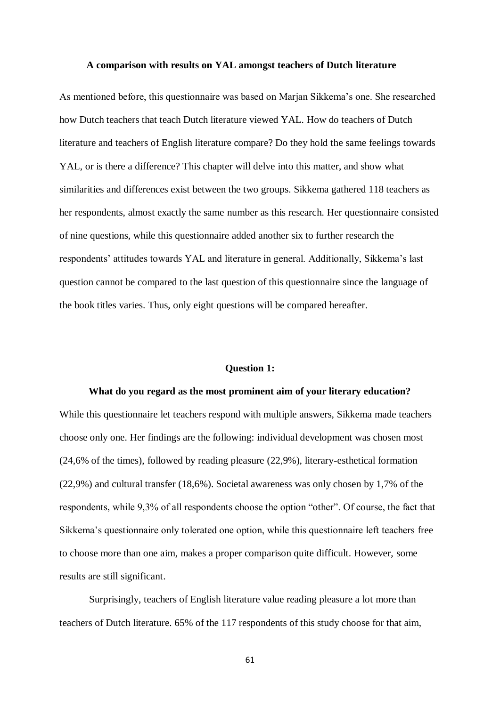#### **A comparison with results on YAL amongst teachers of Dutch literature**

As mentioned before, this questionnaire was based on Marjan Sikkema's one. She researched how Dutch teachers that teach Dutch literature viewed YAL. How do teachers of Dutch literature and teachers of English literature compare? Do they hold the same feelings towards YAL, or is there a difference? This chapter will delve into this matter, and show what similarities and differences exist between the two groups. Sikkema gathered 118 teachers as her respondents, almost exactly the same number as this research. Her questionnaire consisted of nine questions, while this questionnaire added another six to further research the respondents' attitudes towards YAL and literature in general. Additionally, Sikkema's last question cannot be compared to the last question of this questionnaire since the language of the book titles varies. Thus, only eight questions will be compared hereafter.

#### **Question 1:**

# **What do you regard as the most prominent aim of your literary education?**

While this questionnaire let teachers respond with multiple answers, Sikkema made teachers choose only one. Her findings are the following: individual development was chosen most (24,6% of the times), followed by reading pleasure (22,9%), literary-esthetical formation (22,9%) and cultural transfer (18,6%). Societal awareness was only chosen by 1,7% of the respondents, while 9,3% of all respondents choose the option "other". Of course, the fact that Sikkema's questionnaire only tolerated one option, while this questionnaire left teachers free to choose more than one aim, makes a proper comparison quite difficult. However, some results are still significant.

Surprisingly, teachers of English literature value reading pleasure a lot more than teachers of Dutch literature. 65% of the 117 respondents of this study choose for that aim,

61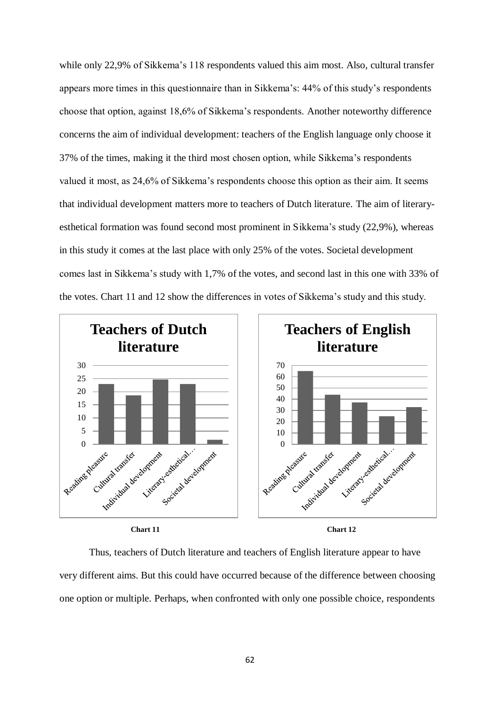while only 22,9% of Sikkema's 118 respondents valued this aim most. Also, cultural transfer appears more times in this questionnaire than in Sikkema's: 44% of this study's respondents choose that option, against 18,6% of Sikkema's respondents. Another noteworthy difference concerns the aim of individual development: teachers of the English language only choose it 37% of the times, making it the third most chosen option, while Sikkema's respondents valued it most, as 24,6% of Sikkema's respondents choose this option as their aim. It seems that individual development matters more to teachers of Dutch literature. The aim of literaryesthetical formation was found second most prominent in Sikkema's study (22,9%), whereas in this study it comes at the last place with only 25% of the votes. Societal development comes last in Sikkema's study with 1,7% of the votes, and second last in this one with 33% of the votes. Chart 11 and 12 show the differences in votes of Sikkema's study and this study.



Thus, teachers of Dutch literature and teachers of English literature appear to have very different aims. But this could have occurred because of the difference between choosing one option or multiple. Perhaps, when confronted with only one possible choice, respondents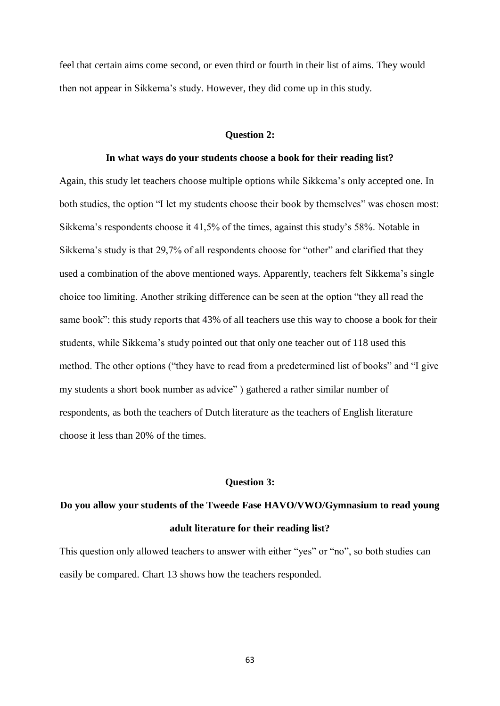feel that certain aims come second, or even third or fourth in their list of aims. They would then not appear in Sikkema's study. However, they did come up in this study.

# **Question 2:**

#### **In what ways do your students choose a book for their reading list?**

Again, this study let teachers choose multiple options while Sikkema's only accepted one. In both studies, the option "I let my students choose their book by themselves" was chosen most: Sikkema's respondents choose it 41,5% of the times, against this study's 58%. Notable in Sikkema's study is that 29,7% of all respondents choose for "other" and clarified that they used a combination of the above mentioned ways. Apparently, teachers felt Sikkema's single choice too limiting. Another striking difference can be seen at the option "they all read the same book": this study reports that 43% of all teachers use this way to choose a book for their students, while Sikkema's study pointed out that only one teacher out of 118 used this method. The other options ("they have to read from a predetermined list of books" and "I give my students a short book number as advice" ) gathered a rather similar number of respondents, as both the teachers of Dutch literature as the teachers of English literature choose it less than 20% of the times.

#### **Question 3:**

# **Do you allow your students of the Tweede Fase HAVO/VWO/Gymnasium to read young adult literature for their reading list?**

This question only allowed teachers to answer with either "yes" or "no", so both studies can easily be compared. Chart 13 shows how the teachers responded.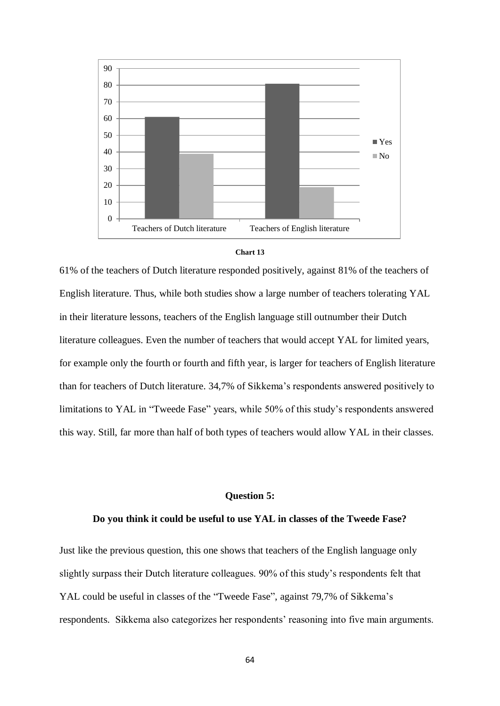



61% of the teachers of Dutch literature responded positively, against 81% of the teachers of English literature. Thus, while both studies show a large number of teachers tolerating YAL in their literature lessons, teachers of the English language still outnumber their Dutch literature colleagues. Even the number of teachers that would accept YAL for limited years, for example only the fourth or fourth and fifth year, is larger for teachers of English literature than for teachers of Dutch literature. 34,7% of Sikkema's respondents answered positively to limitations to YAL in "Tweede Fase" years, while 50% of this study's respondents answered this way. Still, far more than half of both types of teachers would allow YAL in their classes.

# **Question 5:**

# **Do you think it could be useful to use YAL in classes of the Tweede Fase?**

Just like the previous question, this one shows that teachers of the English language only slightly surpass their Dutch literature colleagues. 90% of this study's respondents felt that YAL could be useful in classes of the "Tweede Fase", against 79,7% of Sikkema's respondents. Sikkema also categorizes her respondents' reasoning into five main arguments.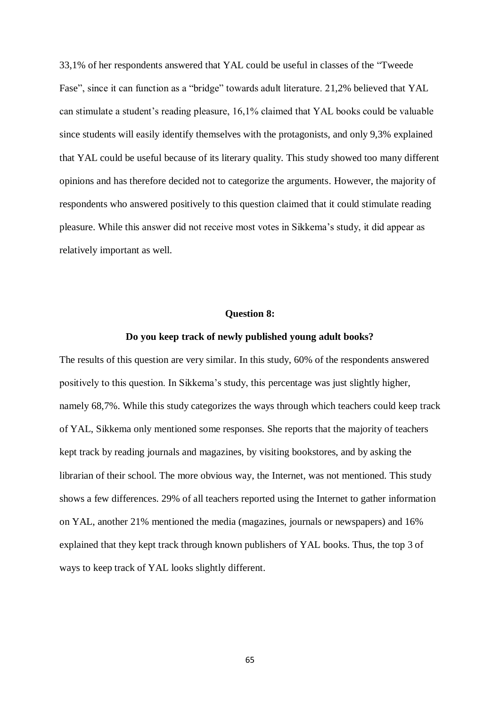33,1% of her respondents answered that YAL could be useful in classes of the "Tweede Fase", since it can function as a "bridge" towards adult literature. 21,2% believed that YAL can stimulate a student's reading pleasure, 16,1% claimed that YAL books could be valuable since students will easily identify themselves with the protagonists, and only 9,3% explained that YAL could be useful because of its literary quality. This study showed too many different opinions and has therefore decided not to categorize the arguments. However, the majority of respondents who answered positively to this question claimed that it could stimulate reading pleasure. While this answer did not receive most votes in Sikkema's study, it did appear as relatively important as well.

### **Question 8:**

#### **Do you keep track of newly published young adult books?**

The results of this question are very similar. In this study, 60% of the respondents answered positively to this question. In Sikkema's study, this percentage was just slightly higher, namely 68,7%. While this study categorizes the ways through which teachers could keep track of YAL, Sikkema only mentioned some responses. She reports that the majority of teachers kept track by reading journals and magazines, by visiting bookstores, and by asking the librarian of their school. The more obvious way, the Internet, was not mentioned. This study shows a few differences. 29% of all teachers reported using the Internet to gather information on YAL, another 21% mentioned the media (magazines, journals or newspapers) and 16% explained that they kept track through known publishers of YAL books. Thus, the top 3 of ways to keep track of YAL looks slightly different.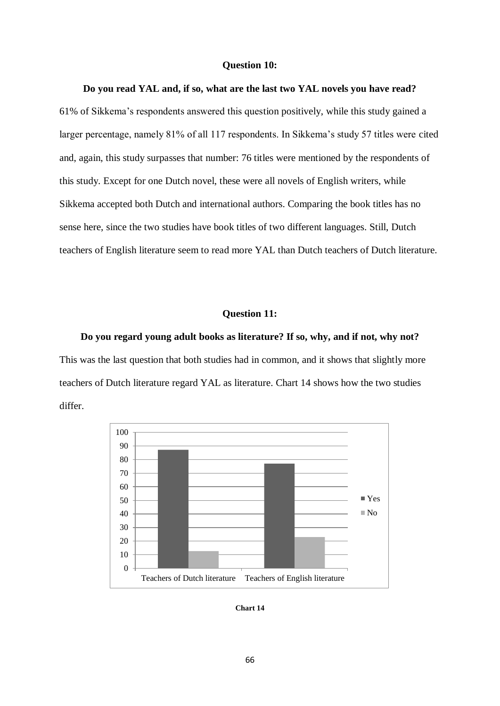#### **Question 10:**

# **Do you read YAL and, if so, what are the last two YAL novels you have read?**

61% of Sikkema's respondents answered this question positively, while this study gained a larger percentage, namely 81% of all 117 respondents. In Sikkema's study 57 titles were cited and, again, this study surpasses that number: 76 titles were mentioned by the respondents of this study. Except for one Dutch novel, these were all novels of English writers, while Sikkema accepted both Dutch and international authors. Comparing the book titles has no sense here, since the two studies have book titles of two different languages. Still, Dutch teachers of English literature seem to read more YAL than Dutch teachers of Dutch literature.

# **Question 11:**

**Do you regard young adult books as literature? If so, why, and if not, why not?** This was the last question that both studies had in common, and it shows that slightly more teachers of Dutch literature regard YAL as literature. Chart 14 shows how the two studies differ.



**Chart 14**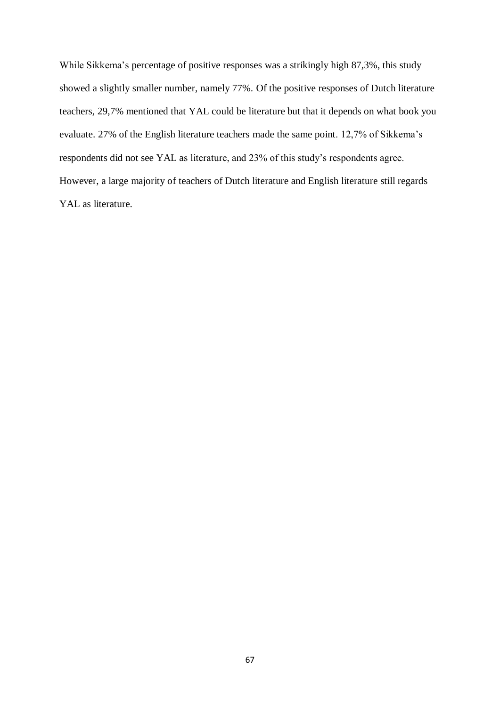While Sikkema's percentage of positive responses was a strikingly high 87,3%, this study showed a slightly smaller number, namely 77%. Of the positive responses of Dutch literature teachers, 29,7% mentioned that YAL could be literature but that it depends on what book you evaluate. 27% of the English literature teachers made the same point. 12,7% of Sikkema's respondents did not see YAL as literature, and 23% of this study's respondents agree. However, a large majority of teachers of Dutch literature and English literature still regards YAL as literature.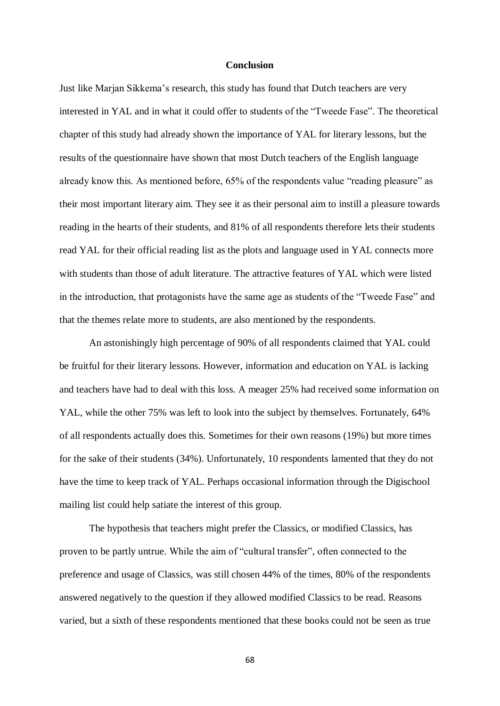# **Conclusion**

Just like Marjan Sikkema's research, this study has found that Dutch teachers are very interested in YAL and in what it could offer to students of the "Tweede Fase". The theoretical chapter of this study had already shown the importance of YAL for literary lessons, but the results of the questionnaire have shown that most Dutch teachers of the English language already know this. As mentioned before, 65% of the respondents value "reading pleasure" as their most important literary aim. They see it as their personal aim to instill a pleasure towards reading in the hearts of their students, and 81% of all respondents therefore lets their students read YAL for their official reading list as the plots and language used in YAL connects more with students than those of adult literature. The attractive features of YAL which were listed in the introduction, that protagonists have the same age as students of the "Tweede Fase" and that the themes relate more to students, are also mentioned by the respondents.

An astonishingly high percentage of 90% of all respondents claimed that YAL could be fruitful for their literary lessons. However, information and education on YAL is lacking and teachers have had to deal with this loss. A meager 25% had received some information on YAL, while the other 75% was left to look into the subject by themselves. Fortunately, 64% of all respondents actually does this. Sometimes for their own reasons (19%) but more times for the sake of their students (34%). Unfortunately, 10 respondents lamented that they do not have the time to keep track of YAL. Perhaps occasional information through the Digischool mailing list could help satiate the interest of this group.

The hypothesis that teachers might prefer the Classics, or modified Classics, has proven to be partly untrue. While the aim of "cultural transfer", often connected to the preference and usage of Classics, was still chosen 44% of the times, 80% of the respondents answered negatively to the question if they allowed modified Classics to be read. Reasons varied, but a sixth of these respondents mentioned that these books could not be seen as true

68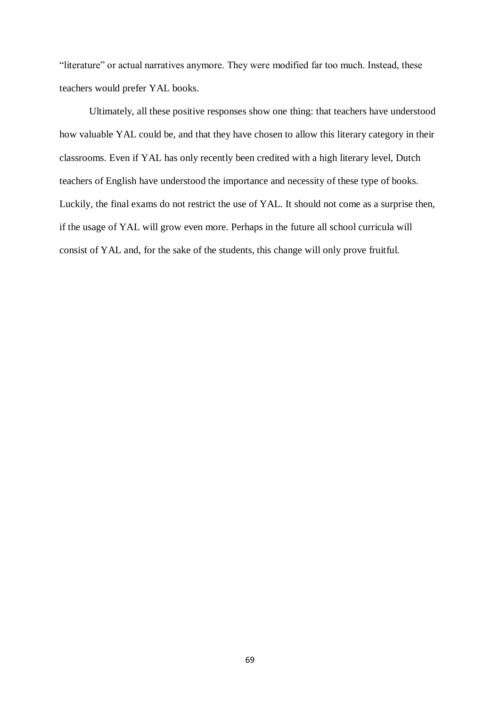"literature" or actual narratives anymore. They were modified far too much. Instead, these teachers would prefer YAL books.

Ultimately, all these positive responses show one thing: that teachers have understood how valuable YAL could be, and that they have chosen to allow this literary category in their classrooms. Even if YAL has only recently been credited with a high literary level, Dutch teachers of English have understood the importance and necessity of these type of books. Luckily, the final exams do not restrict the use of YAL. It should not come as a surprise then, if the usage of YAL will grow even more. Perhaps in the future all school curricula will consist of YAL and, for the sake of the students, this change will only prove fruitful.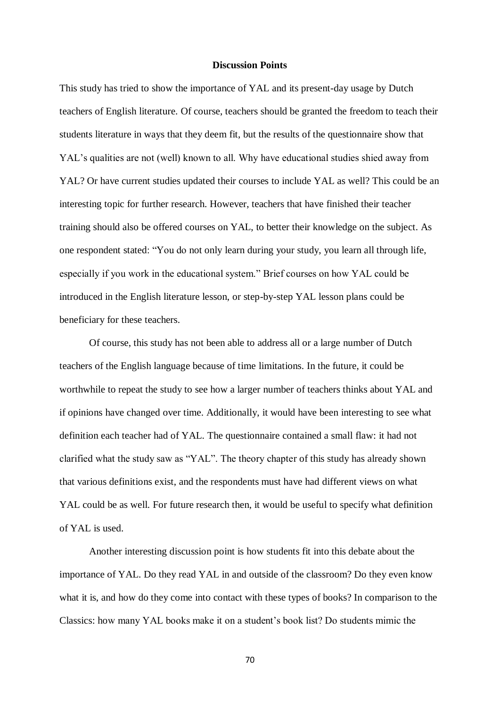# **Discussion Points**

This study has tried to show the importance of YAL and its present-day usage by Dutch teachers of English literature. Of course, teachers should be granted the freedom to teach their students literature in ways that they deem fit, but the results of the questionnaire show that YAL's qualities are not (well) known to all. Why have educational studies shied away from YAL? Or have current studies updated their courses to include YAL as well? This could be an interesting topic for further research. However, teachers that have finished their teacher training should also be offered courses on YAL, to better their knowledge on the subject. As one respondent stated: "You do not only learn during your study, you learn all through life, especially if you work in the educational system." Brief courses on how YAL could be introduced in the English literature lesson, or step-by-step YAL lesson plans could be beneficiary for these teachers.

Of course, this study has not been able to address all or a large number of Dutch teachers of the English language because of time limitations. In the future, it could be worthwhile to repeat the study to see how a larger number of teachers thinks about YAL and if opinions have changed over time. Additionally, it would have been interesting to see what definition each teacher had of YAL. The questionnaire contained a small flaw: it had not clarified what the study saw as "YAL". The theory chapter of this study has already shown that various definitions exist, and the respondents must have had different views on what YAL could be as well. For future research then, it would be useful to specify what definition of YAL is used.

Another interesting discussion point is how students fit into this debate about the importance of YAL. Do they read YAL in and outside of the classroom? Do they even know what it is, and how do they come into contact with these types of books? In comparison to the Classics: how many YAL books make it on a student's book list? Do students mimic the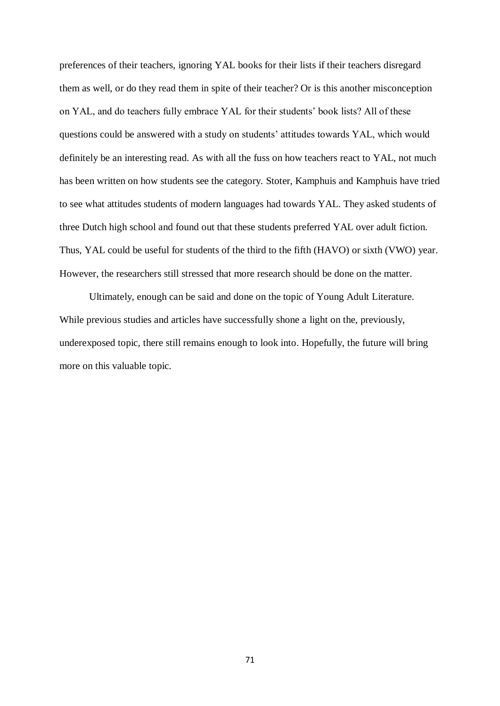preferences of their teachers, ignoring YAL books for their lists if their teachers disregard them as well, or do they read them in spite of their teacher? Or is this another misconception on YAL, and do teachers fully embrace YAL for their students' book lists? All of these questions could be answered with a study on students' attitudes towards YAL, which would definitely be an interesting read. As with all the fuss on how teachers react to YAL, not much has been written on how students see the category. Stoter, Kamphuis and Kamphuis have tried to see what attitudes students of modern languages had towards YAL. They asked students of three Dutch high school and found out that these students preferred YAL over adult fiction. Thus, YAL could be useful for students of the third to the fifth (HAVO) or sixth (VWO) year. However, the researchers still stressed that more research should be done on the matter.

Ultimately, enough can be said and done on the topic of Young Adult Literature. While previous studies and articles have successfully shone a light on the, previously, underexposed topic, there still remains enough to look into. Hopefully, the future will bring more on this valuable topic.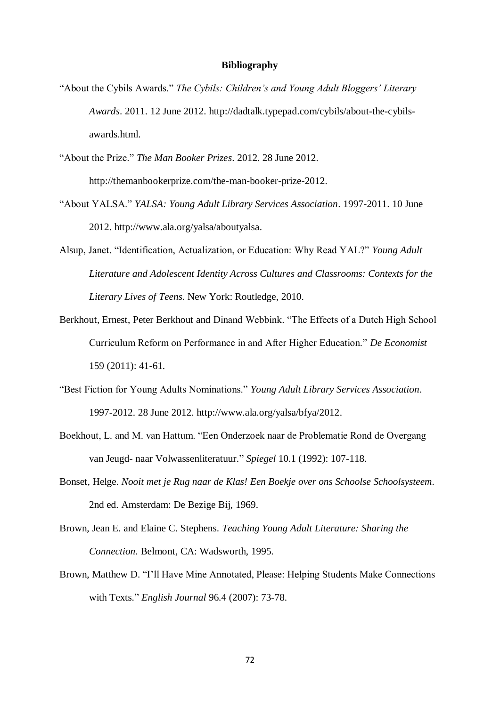# **Bibliography**

- "About the Cybils Awards." *The Cybils: Children's and Young Adult Bloggers' Literary Awards*. 2011. 12 June 2012. http://dadtalk.typepad.com/cybils/about-the-cybilsawards.html.
- "About the Prize." *The Man Booker Prizes*. 2012. 28 June 2012. http://themanbookerprize.com/the-man-booker-prize-2012.
- "About YALSA." *YALSA: Young Adult Library Services Association*. 1997-2011. 10 June 2012. http://www.ala.org/yalsa/aboutyalsa.
- Alsup, Janet. "Identification, Actualization, or Education: Why Read YAL?" *Young Adult Literature and Adolescent Identity Across Cultures and Classrooms: Contexts for the Literary Lives of Teens*. New York: Routledge, 2010.
- Berkhout, Ernest, Peter Berkhout and Dinand Webbink. "The Effects of a Dutch High School Curriculum Reform on Performance in and After Higher Education." *De Economist* 159 (2011): 41-61.
- "Best Fiction for Young Adults Nominations." *Young Adult Library Services Association*. 1997-2012. 28 June 2012. http://www.ala.org/yalsa/bfya/2012.
- Boekhout, L. and M. van Hattum. "Een Onderzoek naar de Problematie Rond de Overgang van Jeugd- naar Volwassenliteratuur." *Spiegel* 10.1 (1992): 107-118.
- Bonset, Helge. *Nooit met je Rug naar de Klas! Een Boekje over ons Schoolse Schoolsysteem*. 2nd ed. Amsterdam: De Bezige Bij, 1969.
- Brown, Jean E. and Elaine C. Stephens. *Teaching Young Adult Literature: Sharing the Connection*. Belmont, CA: Wadsworth, 1995.
- Brown, Matthew D. "I'll Have Mine Annotated, Please: Helping Students Make Connections with Texts." *English Journal* 96.4 (2007): 73-78.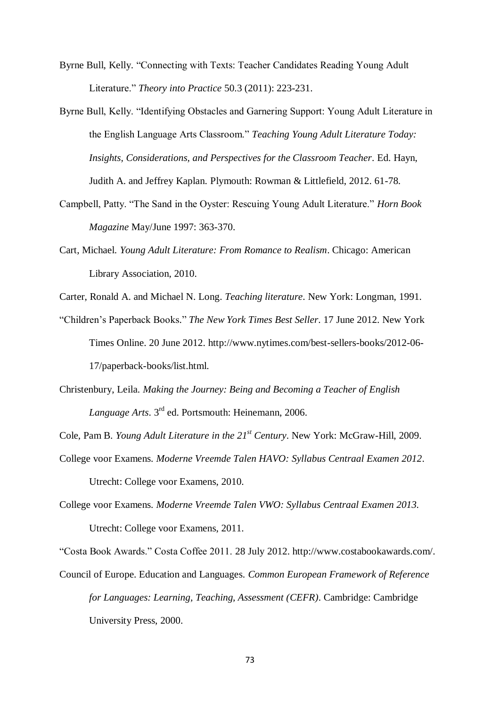- Byrne Bull, Kelly. "Connecting with Texts: Teacher Candidates Reading Young Adult Literature." *Theory into Practice* 50.3 (2011): 223-231.
- Byrne Bull, Kelly. "Identifying Obstacles and Garnering Support: Young Adult Literature in the English Language Arts Classroom." *Teaching Young Adult Literature Today: Insights, Considerations, and Perspectives for the Classroom Teacher*. Ed. Hayn, Judith A. and Jeffrey Kaplan. Plymouth: Rowman & Littlefield, 2012. 61-78.
- Campbell, Patty. "The Sand in the Oyster: Rescuing Young Adult Literature." *Horn Book Magazine* May/June 1997: 363-370.
- Cart, Michael. *Young Adult Literature: From Romance to Realism*. Chicago: American Library Association, 2010.
- Carter, Ronald A. and Michael N. Long. *Teaching literature*. New York: Longman, 1991.
- "Children's Paperback Books." *The New York Times Best Seller*. 17 June 2012. New York Times Online. 20 June 2012. http://www.nytimes.com/best-sellers-books/2012-06- 17/paperback-books/list.html.
- Christenbury, Leila. *Making the Journey: Being and Becoming a Teacher of English Language Arts*. 3rd ed. Portsmouth: Heinemann, 2006.
- Cole, Pam B. *Young Adult Literature in the 21st Century*. New York: McGraw-Hill, 2009.
- College voor Examens. *Moderne Vreemde Talen HAVO: Syllabus Centraal Examen 2012*. Utrecht: College voor Examens, 2010.
- College voor Examens. *Moderne Vreemde Talen VWO: Syllabus Centraal Examen 2013.* Utrecht: College voor Examens, 2011.

"Costa Book Awards." Costa Coffee 2011. 28 July 2012. http://www.costabookawards.com/.

Council of Europe. Education and Languages. *Common European Framework of Reference for Languages: Learning, Teaching, Assessment (CEFR)*. Cambridge: Cambridge University Press, 2000.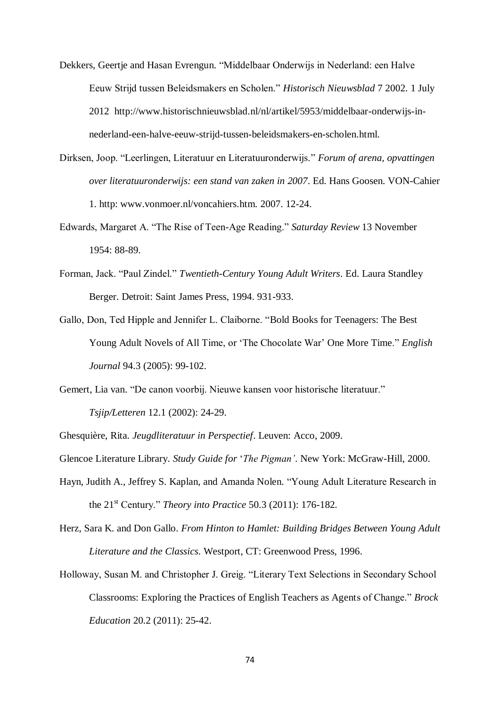- Dekkers, Geertje and Hasan Evrengun. "Middelbaar Onderwijs in Nederland: een Halve Eeuw Strijd tussen Beleidsmakers en Scholen." *Historisch Nieuwsblad* 7 2002. 1 July 2012 http://www.historischnieuwsblad.nl/nl/artikel/5953/middelbaar-onderwijs-innederland-een-halve-eeuw-strijd-tussen-beleidsmakers-en-scholen.html.
- Dirksen, Joop. "Leerlingen, Literatuur en Literatuuronderwijs." *Forum of arena, opvattingen over literatuuronderwijs: een stand van zaken in 2007*. Ed. Hans Goosen. VON-Cahier 1. http: www.vonmoer.nl/voncahiers.htm. 2007. 12-24.
- Edwards, Margaret A. "The Rise of Teen-Age Reading." *Saturday Review* 13 November 1954: 88-89.
- Forman, Jack. "Paul Zindel." *Twentieth-Century Young Adult Writers*. Ed. Laura Standley Berger. Detroit: Saint James Press, 1994. 931-933.
- Gallo, Don, Ted Hipple and Jennifer L. Claiborne. "Bold Books for Teenagers: The Best Young Adult Novels of All Time, or 'The Chocolate War' One More Time." *English Journal* 94.3 (2005): 99-102.
- Gemert, Lia van. "De canon voorbij. Nieuwe kansen voor historische literatuur." *Tsjip/Letteren* 12.1 (2002): 24-29.
- Ghesquière, Rita. *Jeugdliteratuur in Perspectief*. Leuven: Acco, 2009.
- Glencoe Literature Library. *Study Guide for* '*The Pigman'*. New York: McGraw-Hill, 2000.
- Hayn, Judith A., Jeffrey S. Kaplan, and Amanda Nolen. "Young Adult Literature Research in the 21st Century." *Theory into Practice* 50.3 (2011): 176-182.
- Herz, Sara K. and Don Gallo. *From Hinton to Hamlet: Building Bridges Between Young Adult Literature and the Classics*. Westport, CT: Greenwood Press, 1996.
- Holloway, Susan M. and Christopher J. Greig. "Literary Text Selections in Secondary School Classrooms: Exploring the Practices of English Teachers as Agents of Change." *Brock Education* 20.2 (2011): 25-42.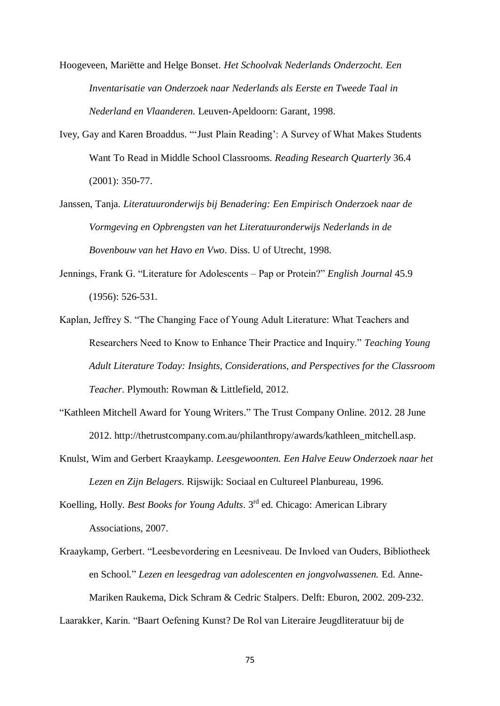Hoogeveen, Mariëtte and Helge Bonset. *Het Schoolvak Nederlands Onderzocht. Een Inventarisatie van Onderzoek naar Nederlands als Eerste en Tweede Taal in Nederland en Vlaanderen.* Leuven-Apeldoorn: Garant, 1998.

- Ivey, Gay and Karen Broaddus. "'Just Plain Reading': A Survey of What Makes Students Want To Read in Middle School Classrooms. *Reading Research Quarterly* 36.4 (2001): 350-77.
- Janssen, Tanja. *Literatuuronderwijs bij Benadering: Een Empirisch Onderzoek naar de Vormgeving en Opbrengsten van het Literatuuronderwijs Nederlands in de Bovenbouw van het Havo en Vwo*. Diss. U of Utrecht, 1998.
- Jennings, Frank G. "Literature for Adolescents Pap or Protein?" *English Journal* 45.9 (1956): 526-531.
- Kaplan, Jeffrey S. "The Changing Face of Young Adult Literature: What Teachers and Researchers Need to Know to Enhance Their Practice and Inquiry." *Teaching Young Adult Literature Today: Insights, Considerations, and Perspectives for the Classroom Teacher*. Plymouth: Rowman & Littlefield, 2012.
- "Kathleen Mitchell Award for Young Writers." The Trust Company Online. 2012. 28 June 2012. http://thetrustcompany.com.au/philanthropy/awards/kathleen\_mitchell.asp.
- Knulst, Wim and Gerbert Kraaykamp. *Leesgewoonten. Een Halve Eeuw Onderzoek naar het Lezen en Zijn Belagers*. Rijswijk: Sociaal en Cultureel Planbureau, 1996.
- Koelling, Holly. *Best Books for Young Adults*. 3rd ed. Chicago: American Library Associations, 2007.
- Kraaykamp, Gerbert. "Leesbevordering en Leesniveau. De Invloed van Ouders, Bibliotheek en School." *Lezen en leesgedrag van adolescenten en jongvolwassenen.* Ed. Anne-Mariken Raukema, Dick Schram & Cedric Stalpers. Delft: Eburon, 2002. 209-232.

Laarakker, Karin. "Baart Oefening Kunst? De Rol van Literaire Jeugdliteratuur bij de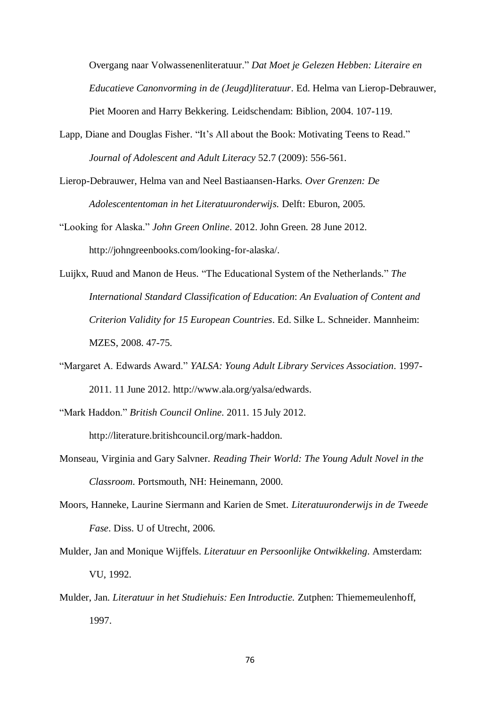Overgang naar Volwassenenliteratuur." *Dat Moet je Gelezen Hebben: Literaire en Educatieve Canonvorming in de (Jeugd)literatuur*. Ed. Helma van Lierop-Debrauwer, Piet Mooren and Harry Bekkering. Leidschendam: Biblion, 2004. 107-119.

- Lapp, Diane and Douglas Fisher. "It's All about the Book: Motivating Teens to Read." *Journal of Adolescent and Adult Literacy* 52.7 (2009): 556-561.
- Lierop-Debrauwer, Helma van and Neel Bastiaansen-Harks. *Over Grenzen: De Adolescententoman in het Literatuuronderwijs.* Delft: Eburon, 2005.
- "Looking for Alaska." *John Green Online*. 2012. John Green. 28 June 2012. http://johngreenbooks.com/looking-for-alaska/.
- Luijkx, Ruud and Manon de Heus. "The Educational System of the Netherlands." *The International Standard Classification of Education*: *An Evaluation of Content and Criterion Validity for 15 European Countries*. Ed. Silke L. Schneider. Mannheim: MZES, 2008. 47-75.
- "Margaret A. Edwards Award." *YALSA: Young Adult Library Services Association*. 1997- 2011. 11 June 2012. http://www.ala.org/yalsa/edwards.
- "Mark Haddon." *British Council Online*. 2011. 15 July 2012. http://literature.britishcouncil.org/mark-haddon.
- Monseau, Virginia and Gary Salvner. *Reading Their World: The Young Adult Novel in the Classroom*. Portsmouth, NH: Heinemann, 2000.
- Moors, Hanneke, Laurine Siermann and Karien de Smet. *Literatuuronderwijs in de Tweede Fase*. Diss. U of Utrecht, 2006.
- Mulder, Jan and Monique Wijffels. *Literatuur en Persoonlijke Ontwikkeling*. Amsterdam: VU, 1992.
- Mulder, Jan. *Literatuur in het Studiehuis: Een Introductie.* Zutphen: Thiememeulenhoff, 1997.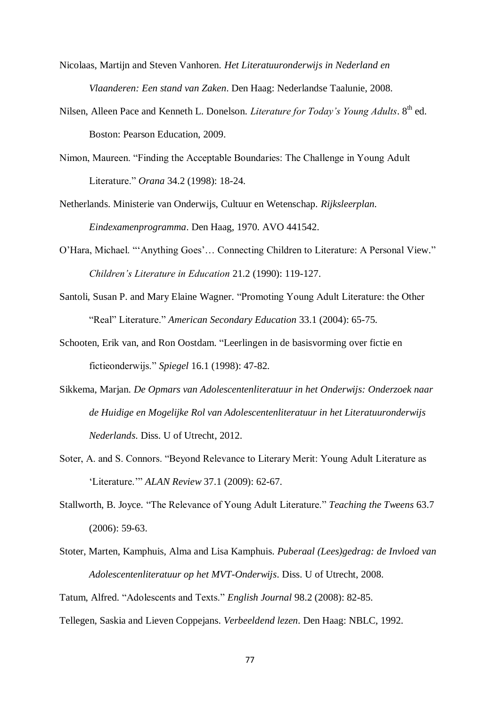- Nicolaas, Martijn and Steven Vanhoren. *Het Literatuuronderwijs in Nederland en Vlaanderen: Een stand van Zaken*. Den Haag: Nederlandse Taalunie, 2008.
- Nilsen, Alleen Pace and Kenneth L. Donelson. *Literature for Today's Young Adults*. 8<sup>th</sup> ed. Boston: Pearson Education, 2009.
- Nimon, Maureen. "Finding the Acceptable Boundaries: The Challenge in Young Adult Literature." *Orana* 34.2 (1998): 18-24.
- Netherlands. Ministerie van Onderwijs, Cultuur en Wetenschap. *Rijksleerplan. Eindexamenprogramma*. Den Haag, 1970. AVO 441542.
- O'Hara, Michael. "'Anything Goes'… Connecting Children to Literature: A Personal View." *Children's Literature in Education* 21.2 (1990): 119-127.
- Santoli, Susan P. and Mary Elaine Wagner. "Promoting Young Adult Literature: the Other "Real" Literature." *American Secondary Education* 33.1 (2004): 65-75.
- Schooten, Erik van, and Ron Oostdam. "Leerlingen in de basisvorming over fictie en fictieonderwijs." *Spiegel* 16.1 (1998): 47-82.
- Sikkema, Marjan. *De Opmars van Adolescentenliteratuur in het Onderwijs: Onderzoek naar de Huidige en Mogelijke Rol van Adolescentenliteratuur in het Literatuuronderwijs Nederlands*. Diss. U of Utrecht, 2012.
- Soter, A. and S. Connors. "Beyond Relevance to Literary Merit: Young Adult Literature as 'Literature.'" *ALAN Review* 37.1 (2009): 62-67.
- Stallworth, B. Joyce. "The Relevance of Young Adult Literature." *Teaching the Tweens* 63.7 (2006): 59-63.
- Stoter, Marten, Kamphuis, Alma and Lisa Kamphuis. *Puberaal (Lees)gedrag: de Invloed van Adolescentenliteratuur op het MVT-Onderwijs*. Diss. U of Utrecht, 2008.

Tatum, Alfred. "Adolescents and Texts." *English Journal* 98.2 (2008): 82-85.

Tellegen, Saskia and Lieven Coppejans. *Verbeeldend lezen*. Den Haag: NBLC, 1992.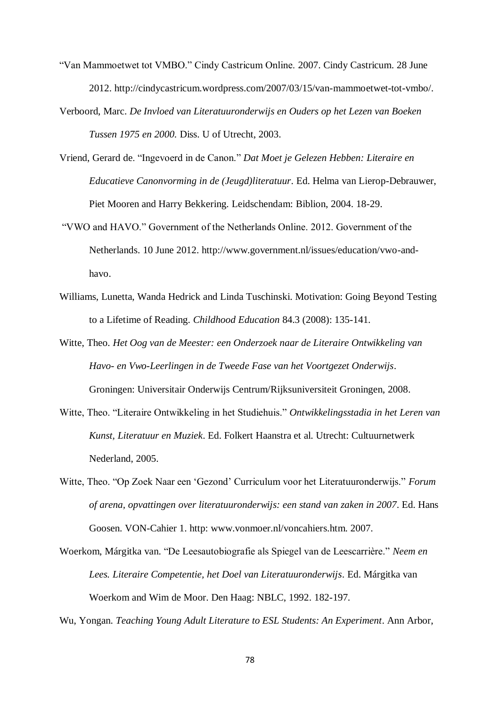- "Van Mammoetwet tot VMBO." Cindy Castricum Online. 2007. Cindy Castricum. 28 June 2012. http://cindycastricum.wordpress.com/2007/03/15/van-mammoetwet-tot-vmbo/.
- Verboord, Marc. *De Invloed van Literatuuronderwijs en Ouders op het Lezen van Boeken Tussen 1975 en 2000.* Diss. U of Utrecht, 2003.
- Vriend, Gerard de. "Ingevoerd in de Canon." *Dat Moet je Gelezen Hebben: Literaire en Educatieve Canonvorming in de (Jeugd)literatuur*. Ed. Helma van Lierop-Debrauwer, Piet Mooren and Harry Bekkering. Leidschendam: Biblion, 2004. 18-29.
- "VWO and HAVO." Government of the Netherlands Online. 2012. Government of the Netherlands. 10 June 2012. http://www.government.nl/issues/education/vwo-andhavo.
- Williams, Lunetta, Wanda Hedrick and Linda Tuschinski. Motivation: Going Beyond Testing to a Lifetime of Reading. *Childhood Education* 84.3 (2008): 135-141.
- Witte, Theo. *Het Oog van de Meester: een Onderzoek naar de Literaire Ontwikkeling van Havo- en Vwo-Leerlingen in de Tweede Fase van het Voortgezet Onderwijs*. Groningen: Universitair Onderwijs Centrum/Rijksuniversiteit Groningen, 2008.
- Witte, Theo. "Literaire Ontwikkeling in het Studiehuis." *Ontwikkelingsstadia in het Leren van Kunst, Literatuur en Muziek*. Ed. Folkert Haanstra et al. Utrecht: Cultuurnetwerk Nederland, 2005.
- Witte, Theo. "Op Zoek Naar een 'Gezond' Curriculum voor het Literatuuronderwijs." *Forum of arena, opvattingen over literatuuronderwijs: een stand van zaken in 2007*. Ed. Hans Goosen. VON-Cahier 1. http: www.vonmoer.nl/voncahiers.htm. 2007.
- Woerkom, Márgitka van. "De Leesautobiografie als Spiegel van de Leescarrière." *Neem en Lees. Literaire Competentie, het Doel van Literatuuronderwijs*. Ed. Márgitka van Woerkom and Wim de Moor. Den Haag: NBLC, 1992. 182-197.

Wu, Yongan. *Teaching Young Adult Literature to ESL Students: An Experiment*. Ann Arbor,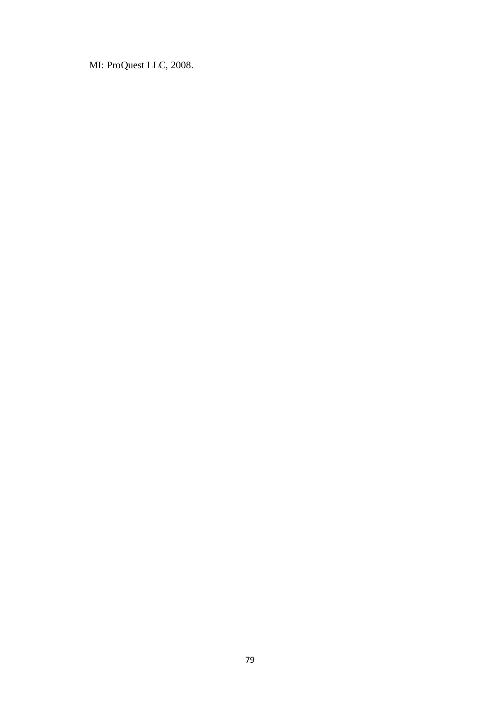MI: ProQuest LLC, 2008.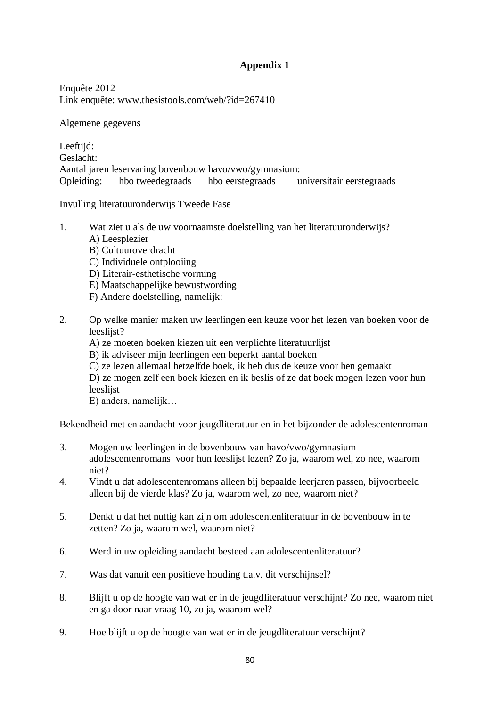## **Appendix 1**

Enquête 2012 Link enquête: www.thesistools.com/web/?id=267410

Algemene gegevens

Leeftiid: Geslacht: Aantal jaren leservaring bovenbouw havo/vwo/gymnasium: Opleiding: hbo tweedegraads hbo eerstegraads universitair eerstegraads

Invulling literatuuronderwijs Tweede Fase

- 1. Wat ziet u als de uw voornaamste doelstelling van het literatuuronderwijs? A) Leesplezier
	- B) Cultuuroverdracht
	- C) Individuele ontplooiing
	- D) Literair-esthetische vorming
	- E) Maatschappelijke bewustwording
	- F) Andere doelstelling, namelijk:
- 2. Op welke manier maken uw leerlingen een keuze voor het lezen van boeken voor de leeslijst?
	- A) ze moeten boeken kiezen uit een verplichte literatuurlijst
	- B) ik adviseer mijn leerlingen een beperkt aantal boeken
	- C) ze lezen allemaal hetzelfde boek, ik heb dus de keuze voor hen gemaakt

D) ze mogen zelf een boek kiezen en ik beslis of ze dat boek mogen lezen voor hun leeslijst

E) anders, namelijk…

Bekendheid met en aandacht voor jeugdliteratuur en in het bijzonder de adolescentenroman

- 3. Mogen uw leerlingen in de bovenbouw van havo/vwo/gymnasium adolescentenromans voor hun leeslijst lezen? Zo ja, waarom wel, zo nee, waarom niet?
- 4. Vindt u dat adolescentenromans alleen bij bepaalde leerjaren passen, bijvoorbeeld alleen bij de vierde klas? Zo ja, waarom wel, zo nee, waarom niet?
- 5. Denkt u dat het nuttig kan zijn om adolescentenliteratuur in de bovenbouw in te zetten? Zo ja, waarom wel, waarom niet?
- 6. Werd in uw opleiding aandacht besteed aan adolescentenliteratuur?
- 7. Was dat vanuit een positieve houding t.a.v. dit verschijnsel?
- 8. Blijft u op de hoogte van wat er in de jeugdliteratuur verschijnt? Zo nee, waarom niet en ga door naar vraag 10, zo ja, waarom wel?
- 9. Hoe blijft u op de hoogte van wat er in de jeugdliteratuur verschijnt?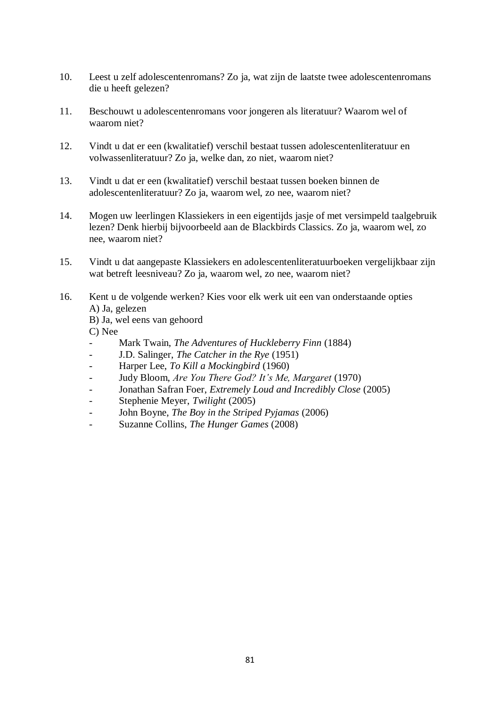- 10. Leest u zelf adolescentenromans? Zo ja, wat zijn de laatste twee adolescentenromans die u heeft gelezen?
- 11. Beschouwt u adolescentenromans voor jongeren als literatuur? Waarom wel of waarom niet?
- 12. Vindt u dat er een (kwalitatief) verschil bestaat tussen adolescentenliteratuur en volwassenliteratuur? Zo ja, welke dan, zo niet, waarom niet?
- 13. Vindt u dat er een (kwalitatief) verschil bestaat tussen boeken binnen de adolescentenliteratuur? Zo ja, waarom wel, zo nee, waarom niet?
- 14. Mogen uw leerlingen Klassiekers in een eigentijds jasje of met versimpeld taalgebruik lezen? Denk hierbij bijvoorbeeld aan de Blackbirds Classics. Zo ja, waarom wel, zo nee, waarom niet?
- 15. Vindt u dat aangepaste Klassiekers en adolescentenliteratuurboeken vergelijkbaar zijn wat betreft leesniveau? Zo ja, waarom wel, zo nee, waarom niet?
- 16. Kent u de volgende werken? Kies voor elk werk uit een van onderstaande opties A) Ja, gelezen
	- B) Ja, wel eens van gehoord

C) Nee

- Mark Twain, *The Adventures of Huckleberry Finn* (1884)
- J.D. Salinger, *The Catcher in the Rye* (1951)
- Harper Lee, *To Kill a Mockingbird* (1960)
- Judy Bloom, *Are You There God? It's Me, Margaret* (1970)
- Jonathan Safran Foer, *Extremely Loud and Incredibly Close* (2005)
- Stephenie Meyer, *Twilight* (2005)
- John Boyne, *The Boy in the Striped Pyjamas* (2006)
- Suzanne Collins, *The Hunger Games* (2008)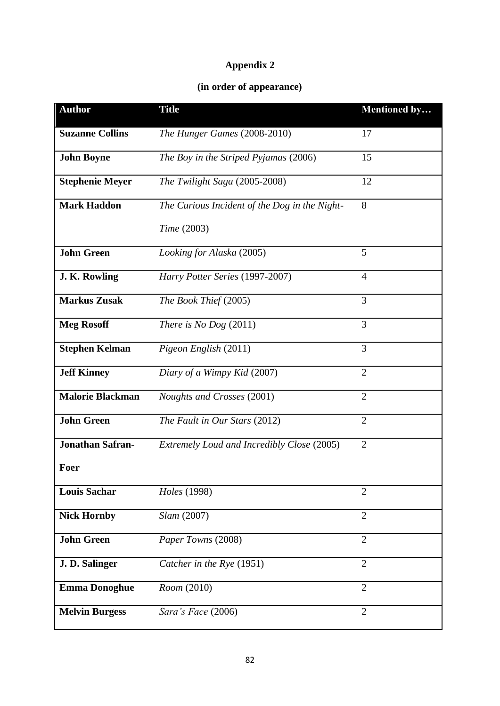## **Appendix 2**

## **(in order of appearance)**

| <b>Author</b>           | <b>Title</b>                                  | <b>Mentioned by</b> |
|-------------------------|-----------------------------------------------|---------------------|
| <b>Suzanne Collins</b>  | The Hunger Games (2008-2010)                  | 17                  |
| <b>John Boyne</b>       | The Boy in the Striped Pyjamas (2006)         | 15                  |
| <b>Stephenie Meyer</b>  | The Twilight Saga (2005-2008)                 | 12                  |
| <b>Mark Haddon</b>      | The Curious Incident of the Dog in the Night- | 8                   |
|                         | Time (2003)                                   |                     |
| <b>John Green</b>       | Looking for Alaska (2005)                     | 5                   |
| J. K. Rowling           | Harry Potter Series (1997-2007)               | $\overline{4}$      |
| <b>Markus Zusak</b>     | The Book Thief (2005)                         | 3                   |
| <b>Meg Rosoff</b>       | There is No Dog $(2011)$                      | 3                   |
| <b>Stephen Kelman</b>   | Pigeon English (2011)                         | 3                   |
| <b>Jeff Kinney</b>      | Diary of a Wimpy Kid (2007)                   | $\overline{2}$      |
| <b>Malorie Blackman</b> | Noughts and Crosses (2001)                    | $\overline{2}$      |
| <b>John Green</b>       | The Fault in Our Stars (2012)                 | $\overline{2}$      |
| <b>Jonathan Safran-</b> | Extremely Loud and Incredibly Close (2005)    | $\overline{2}$      |
| Foer                    |                                               |                     |
| <b>Louis Sachar</b>     | Holes (1998)                                  | $\overline{2}$      |
| <b>Nick Hornby</b>      | Slam (2007)                                   | $\overline{2}$      |
| <b>John Green</b>       | Paper Towns (2008)                            | $\overline{2}$      |
| J. D. Salinger          | Catcher in the Rye (1951)                     | $\overline{2}$      |
| <b>Emma Donoghue</b>    | Room (2010)                                   | $\overline{2}$      |
| <b>Melvin Burgess</b>   | Sara's Face (2006)                            | $\overline{2}$      |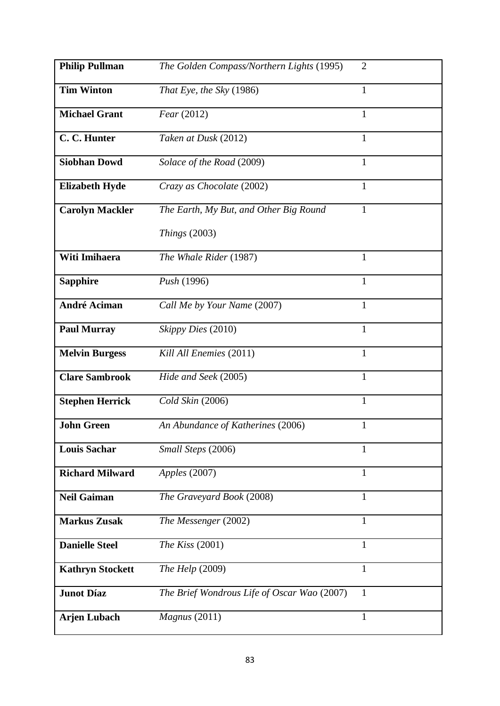| <b>Philip Pullman</b>   | The Golden Compass/Northern Lights (1995)   | $\overline{2}$ |
|-------------------------|---------------------------------------------|----------------|
| <b>Tim Winton</b>       | That Eye, the Sky (1986)                    | $\mathbf{1}$   |
| <b>Michael Grant</b>    | Fear(2012)                                  | $\mathbf{1}$   |
| C. C. Hunter            | Taken at Dusk (2012)                        | $\mathbf{1}$   |
| <b>Siobhan Dowd</b>     | Solace of the Road (2009)                   | $\mathbf{1}$   |
| <b>Elizabeth Hyde</b>   | Crazy as Chocolate (2002)                   | 1              |
| <b>Carolyn Mackler</b>  | The Earth, My But, and Other Big Round      | $\mathbf{1}$   |
|                         | Things $(2003)$                             |                |
| Witi Imihaera           | The Whale Rider (1987)                      | $\mathbf{1}$   |
| <b>Sapphire</b>         | <i>Push</i> (1996)                          | $\mathbf{1}$   |
| <b>André Aciman</b>     | Call Me by Your Name (2007)                 | $\mathbf{1}$   |
| <b>Paul Murray</b>      | Skippy Dies (2010)                          | $\mathbf{1}$   |
| <b>Melvin Burgess</b>   | Kill All Enemies (2011)                     | $\mathbf{1}$   |
| <b>Clare Sambrook</b>   | Hide and Seek (2005)                        | $\mathbf{1}$   |
| <b>Stephen Herrick</b>  | Cold Skin (2006)                            | $\mathbf{1}$   |
| <b>John Green</b>       | An Abundance of Katherines (2006)           | $\mathbf{1}$   |
| <b>Louis Sachar</b>     | Small Steps (2006)                          | $\mathbf{1}$   |
| <b>Richard Milward</b>  | Apples (2007)                               | 1              |
| <b>Neil Gaiman</b>      | The Graveyard Book (2008)                   | 1              |
| <b>Markus Zusak</b>     | The Messenger (2002)                        | 1              |
| <b>Danielle Steel</b>   | The Kiss $(2001)$                           | 1              |
| <b>Kathryn Stockett</b> | The Help (2009)                             | $\mathbf{1}$   |
| <b>Junot Díaz</b>       | The Brief Wondrous Life of Oscar Wao (2007) | $\mathbf{1}$   |
| <b>Arjen Lubach</b>     | Magnus (2011)                               | $\mathbf{1}$   |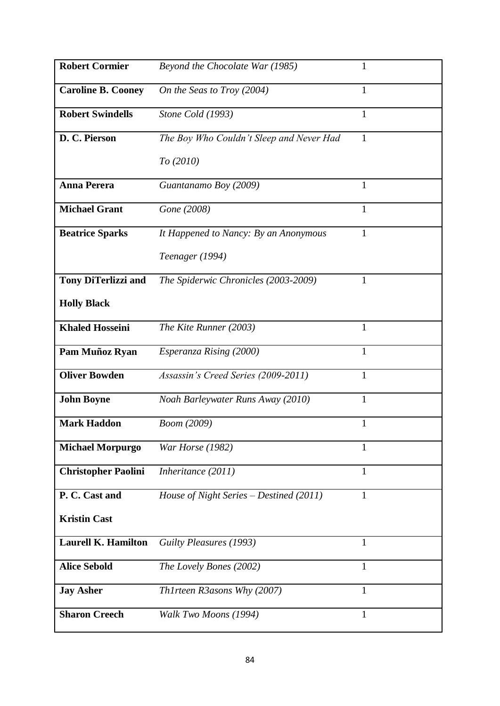| <b>Robert Cormier</b>      | Beyond the Chocolate War (1985)<br>$\mathbf{1}$          |  |
|----------------------------|----------------------------------------------------------|--|
| <b>Caroline B. Cooney</b>  | On the Seas to Troy (2004)<br>1                          |  |
| <b>Robert Swindells</b>    | Stone Cold (1993)<br>1                                   |  |
| D. C. Pierson              | The Boy Who Couldn't Sleep and Never Had<br>$\mathbf{1}$ |  |
|                            | To (2010)                                                |  |
| <b>Anna Perera</b>         | Guantanamo Boy (2009)<br>1                               |  |
| <b>Michael Grant</b>       | Gone (2008)<br>$\mathbf{1}$                              |  |
| <b>Beatrice Sparks</b>     | 1<br>It Happened to Nancy: By an Anonymous               |  |
|                            | Teenager (1994)                                          |  |
| <b>Tony DiTerlizzi and</b> | $\mathbf{1}$<br>The Spiderwic Chronicles (2003-2009)     |  |
| <b>Holly Black</b>         |                                                          |  |
| <b>Khaled Hosseini</b>     | The Kite Runner (2003)<br>1                              |  |
| Pam Muñoz Ryan             | $\mathbf{1}$<br>Esperanza Rising (2000)                  |  |
| <b>Oliver Bowden</b>       | Assassin's Creed Series (2009-2011)<br>$\mathbf{1}$      |  |
| <b>John Boyne</b>          | $\mathbf{1}$<br>Noah Barleywater Runs Away (2010)        |  |
| <b>Mark Haddon</b>         | Boom (2009)<br>$\mathbf{1}$                              |  |
| <b>Michael Morpurgo</b>    | War Horse (1982)<br>1                                    |  |
| <b>Christopher Paolini</b> | Inheritance (2011)<br>1                                  |  |
| P. C. Cast and             | House of Night Series – Destined (2011)<br>1             |  |
| <b>Kristin Cast</b>        |                                                          |  |
| <b>Laurell K. Hamilton</b> | Guilty Pleasures (1993)<br>1                             |  |
| <b>Alice Sebold</b>        | $\mathbf{1}$<br>The Lovely Bones (2002)                  |  |
| <b>Jay Asher</b>           | 1<br>Th1rteen R3asons Why (2007)                         |  |
| <b>Sharon Creech</b>       | Walk Two Moons (1994)<br>$\mathbf{1}$                    |  |